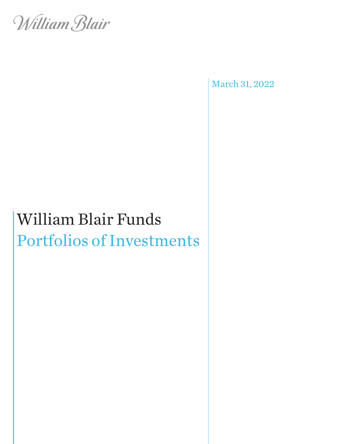

March 31, 2022

# William Blair Funds Portfolios of Investments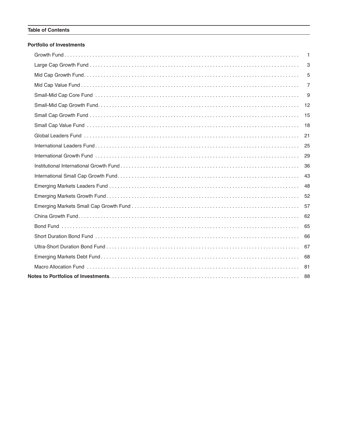#### **Table of Contents**

#### **Portfolio of Investments**

| $\mathbf{1}$   |
|----------------|
| 3              |
| 5              |
| $\overline{7}$ |
| 9              |
| 12             |
|                |
| 18             |
| 21             |
|                |
|                |
| 36             |
| 43             |
| 48             |
| 52             |
|                |
| 62             |
| 65             |
| 66             |
| 67             |
|                |
| 81             |
|                |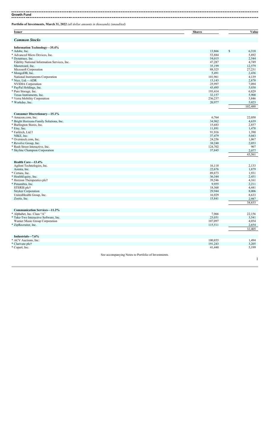**Growth Fund**

**Portfolio of Investments, March 31, 2022** *(all dollar amounts in thousands) (unaudited)*

| <b>Issuer</b>                                             | <b>Shares</b>                                       | Value            |
|-----------------------------------------------------------|-----------------------------------------------------|------------------|
| <b>Common Stocks</b>                                      |                                                     |                  |
| <b>Information Technology-35.4%</b>                       |                                                     |                  |
| * Adobe, Inc.                                             | 13,866                                              | \$<br>6,318      |
| * Advanced Micro Devices, Inc.                            | 53,884                                              | 5,892            |
| * Dynatrace, Inc.                                         | 54,015                                              | 2,544            |
| Fidelity National Information Services, Inc.              | 47,287                                              | 4,749            |
| Mastercard, Inc.                                          | 35,199                                              | 12,579           |
| Microsoft Corporation                                     | 88,325                                              | 27,231           |
| * MongoDB, Inc.                                           | 5,491                                               | 2,436            |
| National Instruments Corporation                          | 101,961                                             | 4,139            |
| * Nice, Ltd.-ADR                                          | 13,143                                              | 2,878            |
| <b>NVIDIA</b> Corporation                                 | 25,997                                              | 7,094            |
| * PayPal Holdings, Inc.                                   | 43,495                                              | 5,030            |
| * Pure Storage, Inc.                                      | 193,414                                             | 6,829            |
| Texas Instruments, Inc.                                   | 32,157                                              | 5,900            |
| * Verra Mobility Corporation                              | 236,237                                             | 3,846            |
| * Workday, Inc.                                           | 20,977                                              | 5,023<br>102,488 |
|                                                           |                                                     |                  |
| <b>Consumer Discretionary–15.1%</b><br>* Amazon.com. Inc. |                                                     |                  |
|                                                           | 6,764                                               | 22,050           |
| * Bright Horizons Family Solutions, Inc.                  | 34,962                                              | 4,639            |
| * Burlington Stores, Inc.                                 | 15,683                                              | 2,857            |
| * Etsy, Inc.                                              | 11,891                                              | 1,478            |
| * Farfetch, Ltd.†<br>NIKE, Inc.                           | 91,916                                              | 1,390            |
|                                                           | 37,479                                              | 5,043            |
| * Overstock.com, Inc.<br>* Revolve Group, Inc.            | 24,256                                              | 1,067            |
|                                                           | 38,240<br>124,702                                   | 2,053<br>907     |
| * Rush Street Interactive, Inc.                           | 37,845                                              |                  |
| * Skyline Champion Corporation                            |                                                     | 2,077<br>43,561  |
| Health Care-13.4%                                         |                                                     |                  |
| Agilent Technologies, Inc.                                | 16,118                                              | 2,133            |
| Azenta, Inc.                                              | 22,676                                              | 1,879            |
| * Certara, Inc.                                           | 89,873                                              | 1,931            |
| * HealthEquity, Inc.                                      | 36,344                                              | 2,451            |
| * Horizon Therapeutics plc†                               | 39,546                                              | 4,161            |
| * Penumbra, Inc.                                          | 9,955                                               | 2,211            |
| STERIS plct                                               | 18,368                                              | 4,441            |
| Stryker Corporation                                       | 29,944                                              | 8,006            |
| UnitedHealth Group, Inc.                                  | 16,929                                              | 8,633            |
| Zoetis, Inc.                                              | 15,841                                              | 2,987            |
|                                                           |                                                     | 38,833           |
| <b>Communication Services-11.2%</b>                       |                                                     |                  |
| * Alphabet, Inc. Class "A"                                | 7,966                                               | 22,156           |
| * Take-Two Interactive Software, Inc.                     | 23,031                                              | 3,541            |
| Warner Music Group Corporation                            | 107,097                                             | 4,054            |
| * ZipRecruiter, Inc.                                      | 115,511                                             | 2,654            |
|                                                           |                                                     | 32,405           |
| Industrials-7.6%                                          |                                                     |                  |
| * ACV Auctions, Inc.                                      | 100,855                                             | 1,494            |
| * Clarivate plc†                                          | 191,243                                             | 3,205            |
| * Copart, Inc.                                            | 41,440                                              | 5,199            |
|                                                           | See accompanying Notes to Portfolio of Investments. |                  |
|                                                           |                                                     | 1                |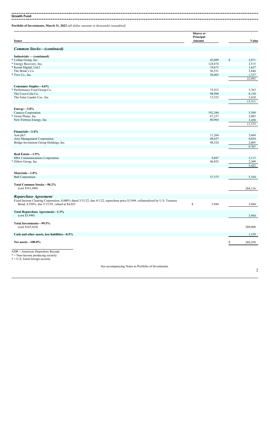**Growth Fund** ---------------------- $\overline{a}$ 

**Portfolio of Investments, March 31, 2022** *(all dollar amounts in thousands) (unaudited)*

| <b>Issuer</b>                                                                                                                  | Shares or<br>Principal<br>Amount |         |               | Value           |
|--------------------------------------------------------------------------------------------------------------------------------|----------------------------------|---------|---------------|-----------------|
|                                                                                                                                |                                  |         |               |                 |
| <b>Common Stocks-(continued)</b>                                                                                               |                                  |         |               |                 |
| Industrials - (continued)                                                                                                      |                                  |         |               |                 |
| * CoStar Group, Inc.                                                                                                           |                                  | 43,099  | <sup>\$</sup> | 2,871           |
| * Energy Recovery, Inc.                                                                                                        |                                  | 124,874 |               | 2,515           |
| * Kornit Digital, Ltd.†                                                                                                        |                                  | 19,671  |               | 1,627           |
| The Brink's Co.                                                                                                                |                                  | 56,531  |               | 3,844           |
| * Trex Co., Inc.                                                                                                               |                                  |         |               |                 |
|                                                                                                                                |                                  | 20,465  |               | 1,337<br>22,092 |
|                                                                                                                                |                                  |         |               |                 |
| Consumer Staples-4.6%                                                                                                          |                                  |         |               |                 |
| * Performance Food Group Co.                                                                                                   |                                  | 73,913  |               | 3,763           |
| The Coca-Cola Co.                                                                                                              |                                  | 98,998  |               | 6,138           |
| The Estee Lauder Cos., Inc.                                                                                                    |                                  | 12,523  |               | 3,410           |
|                                                                                                                                |                                  |         |               | 13,311          |
|                                                                                                                                |                                  |         |               |                 |
| $Energy—3.8\%$<br>Cameco Corporation                                                                                           |                                  | 192,384 |               | 5,598           |
| Green Plains, Inc.                                                                                                             |                                  | 67,237  |               | 2,085           |
|                                                                                                                                |                                  | 80,964  |               |                 |
| New Fortress Energy, Inc.                                                                                                      |                                  |         |               | 3,450           |
|                                                                                                                                |                                  |         |               | 11,133          |
| Financials-3.4%                                                                                                                |                                  |         |               |                 |
| Aon plc†                                                                                                                       |                                  | 11,264  |               | 3,668           |
| Ares Management Corporation                                                                                                    |                                  | 49,657  |               | 4,034           |
| Bridge Investment Group Holdings, Inc.                                                                                         |                                  | 98,524  |               | 2,005           |
|                                                                                                                                |                                  |         |               | 9,707           |
|                                                                                                                                |                                  |         |               |                 |
| Real Estate-1.9%                                                                                                               |                                  |         |               |                 |
| SBA Communications Corporation                                                                                                 |                                  | 9,047   |               | 3,113           |
| * Zillow Group, Inc.                                                                                                           |                                  | 46,852  |               | 2,309           |
|                                                                                                                                |                                  |         |               | 5,422           |
| Materials-1.8%                                                                                                                 |                                  |         |               |                 |
| <b>Ball Corporation</b>                                                                                                        |                                  | 57,375  |               | 5,164           |
|                                                                                                                                |                                  |         |               |                 |
| Total Common Stocks-98.2%                                                                                                      |                                  |         |               |                 |
| (cost \$161,680)                                                                                                               |                                  |         |               | 284,116         |
| <b>Repurchase Agreement</b>                                                                                                    |                                  |         |               |                 |
| Fixed Income Clearing Corporation, 0.000% dated 3/31/22, due 4/1/22, repurchase price \$3,944, collateralized by U.S. Treasury |                                  |         |               |                 |
|                                                                                                                                | $\mathbb S$                      |         |               |                 |
| Bond, 4.250%, due 5/15/39, valued at \$4,023                                                                                   |                                  | 3,944   |               | 3,944           |
| Total Repurchase Agreement-1.3%                                                                                                |                                  |         |               |                 |
| (cost \$3,944)                                                                                                                 |                                  |         |               | 3,944           |
|                                                                                                                                |                                  |         |               |                 |
| Total Investments-99.5%                                                                                                        |                                  |         |               |                 |
| (cost \$165,624)                                                                                                               |                                  |         |               | 288,060         |
| Cash and other assets, less liabilities-0.5%                                                                                   |                                  |         |               | 1,339           |
|                                                                                                                                |                                  |         |               |                 |
| Net assets-100.0%                                                                                                              |                                  |         |               | 289,399         |
|                                                                                                                                |                                  |         |               |                 |
| $ADR = American Depository Receiver$                                                                                           |                                  |         |               |                 |
| $* =$ Non-income producing security                                                                                            |                                  |         |               |                 |
| $\dagger$ = U.S. listed foreign security                                                                                       |                                  |         |               |                 |
|                                                                                                                                |                                  |         |               |                 |
| See accompanying Notes to Portfolio of Investments.                                                                            |                                  |         |               |                 |
|                                                                                                                                |                                  |         |               | 2               |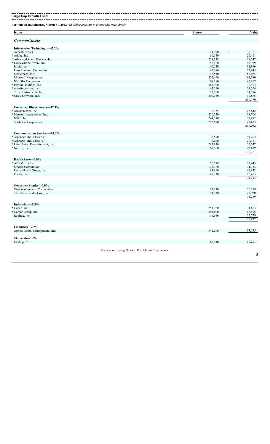**Large Cap Growth Fund**

**Portfolio of Investments, March 31, 2022** *(all dollar amounts in thousands) (unaudited)*

| <b>Issuer</b>                                                     | <b>Shares</b> | Value             |
|-------------------------------------------------------------------|---------------|-------------------|
| <b>Common Stocks</b>                                              |               |                   |
| <b>Information Technology-42.2%</b>                               |               |                   |
| Accenture plc†                                                    | 114,970       | \$<br>38,771      |
| * Adobe, Inc.                                                     | 60,140        | 27,401            |
| * Advanced Micro Devices, Inc.                                    | 258,338       | 28,247            |
| * Guidewire Software, Inc.                                        | 158,100       | 14,959            |
| Intuit, Inc.                                                      | 66,520        | 31,986            |
| Lam Research Corporation                                          | 42,680        | 22,945            |
| Mastercard, Inc.                                                  | 148,540       | 53,085            |
| Microsoft Corporation                                             | 522,460       | 161,080           |
| <b>NVIDIA</b> Corporation                                         | 168,280       | 45,917            |
| * PayPal Holdings, Inc.                                           | 262,900       | 30,404            |
| * salesforce.com, Inc.                                            | 162,510       | 34,504            |
| Texas Instruments, Inc.                                           | 117,700       | 21,596            |
| * Unity Software, Inc.                                            | 200,330       | 19,875            |
|                                                                   |               | 530,770           |
| <b>Consumer Discretionary-17.3%</b>                               |               |                   |
| * Amazon.com, Inc.                                                | 36,455        | 118,842           |
| * Marriott International, Inc.                                    | 220,220       | 38,704            |
| NIKE, Inc.                                                        | 244,370       | 32,882            |
|                                                                   |               | 26,624            |
| <b>Starbucks Corporation</b>                                      | 292,670       | 217,052           |
|                                                                   |               |                   |
| <b>Communication Services-14.0%</b><br>* Alphabet, Inc. Class "A" | 33,870        | 94,204            |
| * Alphabet, Inc. Class "C"                                        | 7,290         | 20,361            |
|                                                                   |               |                   |
| * Live Nation Entertainment, Inc.                                 | 297,830       | 35,037            |
| * Netflix, Inc.                                                   | 68,500        | 25,659<br>175,261 |
|                                                                   |               |                   |
| Health Care-9.9%                                                  |               |                   |
| * ABIOMED, Inc.                                                   | 70,778        | 23,445            |
| <b>Stryker Corporation</b>                                        | 118,770       | 31,753            |
| UnitedHealth Group, Inc.                                          | 83,990        | 42,832            |
| Zoetis, Inc.                                                      | 140,330       | 26,465            |
|                                                                   |               | 124,495           |
| Consumer Staples-6.0%                                             |               |                   |
| Costco Wholesale Corporation                                      | 87,330        | 50,289            |
| The Estee Lauder Cos., Inc.                                       | 91,730        | 24,980            |
|                                                                   |               | 75,269            |
| Industrials-5.8%                                                  |               |                   |
| * Copart, Inc.                                                    | 251,960       | 31,613            |
| * CoStar Group, Inc.                                              | 202,600       | 13,495            |
| Equifax, Inc.                                                     | 116,950       | 27,729            |
|                                                                   |               | 72,837            |
|                                                                   |               |                   |
| Financials-2.7%                                                   |               | 33,555            |
| Apollo Global Management, Inc.                                    | 541,290       |                   |
| Materials-1.5%                                                    |               |                   |
| Linde plc†                                                        | 60,140        | 19,211            |
|                                                                   |               |                   |

See accompanying Notes to Portfolio of Investments.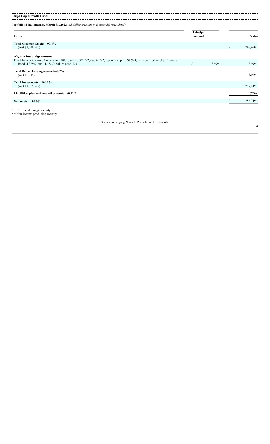**Large Cap Growth Fund**

**Portfolio of Investments, March 31, 2022** *(all dollar amounts in thousands) (unaudited)*

| <b>Issuer</b>                                                                                                                                                                   | Principal<br>Amount |       |    | Value     |
|---------------------------------------------------------------------------------------------------------------------------------------------------------------------------------|---------------------|-------|----|-----------|
|                                                                                                                                                                                 |                     |       |    |           |
| <b>Total Common Stocks-99.4%</b><br>(cost \$1,006,580)                                                                                                                          |                     |       | S. | 1,248,450 |
| Repurchase Agreement                                                                                                                                                            |                     |       |    |           |
| Fixed Income Clearing Corporation, 0.000% dated 3/31/22, due 4/1/22, repurchase price \$8,999, collateralized by U.S. Treasury<br>Bond, 4.375%, due 11/15/39, valued at \$9,179 | $\mathbf S$         | 8,999 |    | 8,999     |
| Total Repurchase Agreement-0.7%<br>(cost \$8,999)                                                                                                                               |                     |       |    | 8,999     |
| Total Investments-100.1%<br>(cost \$1,015,579)                                                                                                                                  |                     |       |    | 1,257,449 |
| Liabilities, plus cash and other assets— $(0.1)\%$                                                                                                                              |                     |       |    | (700)     |
| Net assets $-100.0\%$                                                                                                                                                           |                     |       |    | 1,256,749 |
| $\dagger$ = U.S. listed foreign security<br>* = Mar income such decises complete                                                                                                |                     |       |    |           |

 $=$  Non-income producing security

See accompanying Notes to Portfolio of Investments.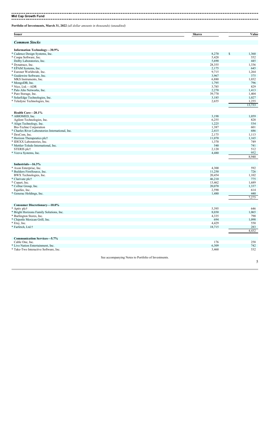**Mid Cap Growth Fund**

**Portfolio of Investments, March 31, 2022** *(all dollar amounts in thousands) (unaudited)*

| <b>Issuer</b>                                                         | <b>Shares</b>                                       | Value        |
|-----------------------------------------------------------------------|-----------------------------------------------------|--------------|
| <b>Common Stocks</b>                                                  |                                                     |              |
| <b>Information Technology-30.9%</b>                                   |                                                     |              |
| * Cadence Design Systems, Inc.                                        | 8,270                                               | \$<br>1,360  |
| * Coupa Software, Inc.                                                | 5,428                                               | 552          |
| Dolby Laboratories, Inc.                                              | 5,690                                               | 445          |
| * Dynatrace, Inc.                                                     | 28,355                                              | 1,336        |
| * EPAM Systems, Inc.                                                  | 2,175                                               | 645          |
| * Euronet Worldwide, Inc.                                             | 9,715                                               | 1,264        |
| * Guidewire Software, Inc.                                            | 3,967                                               | 375          |
| MKS Instruments, Inc.                                                 | 6,880                                               | 1,032        |
| * MongoDB, Inc.                                                       | 1,795                                               | 796          |
| * Nice, Ltd.-ADR                                                      | 3,785                                               | 829          |
| * Palo Alto Networks, Inc.                                            | 2,270                                               | 1,413        |
| * Pure Storage, Inc.                                                  | 39,770                                              | 1,404        |
| * SolarEdge Technologies, Inc.                                        | 3,185                                               | 1,027        |
| * Teledyne Technologies, Inc.                                         | 2,655                                               | 1,255        |
|                                                                       |                                                     | 13,733       |
| Health Care-20.1%                                                     |                                                     |              |
| * ABIOMED, Inc.                                                       | 3,198                                               | 1,059        |
| Agilent Technologies, Inc.                                            | 6,255                                               | 828          |
| * Align Technology, Inc.                                              | 1,225                                               | 534          |
| Bio-Techne Corporation                                                | 1,387                                               | 601          |
| * Charles River Laboratories International, Inc.                      | 2,415                                               | 686          |
| * DexCom, Inc.                                                        | 2,175                                               | 1,113        |
| * Horizon Therapeutics plc†                                           | 11,070                                              | 1,165        |
| * IDEXX Laboratories, Inc.                                            | 1,370                                               | 749          |
| * Mettler-Toledo International, Inc.                                  | 540                                                 | 741          |
| STERIS plc†                                                           | 2,120                                               | 512          |
| * Veeva Systems, Inc.                                                 | 4,480                                               | 952          |
|                                                                       |                                                     | 8,940        |
| Industrials-16.3%                                                     |                                                     |              |
| * Axon Enterprise, Inc.                                               | 4,300                                               | 592          |
| * Builders FirstSource, Inc.                                          | 11,250                                              | 726          |
| BWX Technologies, Inc.                                                | 20,454                                              | 1,102        |
| * Clarivate plc†                                                      | 46,210                                              | 775          |
| * Copart, Inc.                                                        | 13,462                                              | 1,689        |
| * CoStar Group, Inc.                                                  | 20,070                                              | 1,337        |
| Equifax, Inc.                                                         | 2,590                                               | 614          |
| * Generac Holdings, Inc.                                              | 1,480                                               | 440          |
|                                                                       |                                                     | 7,275        |
|                                                                       |                                                     |              |
| <b>Consumer Discretionary-10.0%</b>                                   |                                                     |              |
| * Aptiv plc†                                                          | 5,395                                               | 646          |
| * Bright Horizons Family Solutions, Inc.<br>* Burlington Stores, Inc. | 8,030<br>4,335                                      | 1,065<br>790 |
|                                                                       |                                                     |              |
| * Chipotle Mexican Grill, Inc.<br>* Etsy, Inc.                        | 694                                                 | 1,098        |
|                                                                       | 4,429                                               | 550<br>283   |
| * Farfetch, Ltd.†                                                     | 18,715                                              |              |
|                                                                       |                                                     | 4,432        |
| <b>Communication Services-5.7%</b>                                    |                                                     |              |
| Cable One, Inc.                                                       | 176                                                 | 258          |
| * Live Nation Entertainment, Inc.                                     | 6,309                                               | 742          |
| * Take-Two Interactive Software, Inc.                                 | 3,460                                               | 532          |
|                                                                       | See accompanying Notes to Portfolio of Investments. |              |
|                                                                       |                                                     | 5            |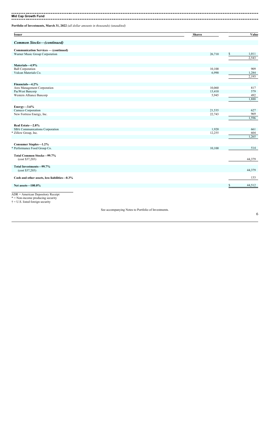**Mid Cap Growth Fund** 

**Portfolio of Investments, March 31, 2022** *(all dollar amounts in thousands) (unaudited)*

| <b>Common Stocks-(continued)</b><br><b>Communication Services - (continued)</b><br>26,710<br>Warner Music Group Corporation<br>Materials-4.9% | \$<br>1,011<br>2,543<br>909<br>1,284<br>2,193 |
|-----------------------------------------------------------------------------------------------------------------------------------------------|-----------------------------------------------|
|                                                                                                                                               |                                               |
|                                                                                                                                               |                                               |
|                                                                                                                                               |                                               |
|                                                                                                                                               |                                               |
|                                                                                                                                               |                                               |
|                                                                                                                                               |                                               |
|                                                                                                                                               |                                               |
| <b>Ball Corporation</b><br>10,100                                                                                                             |                                               |
| 6,990<br>Vulcan Materials Co.                                                                                                                 |                                               |
|                                                                                                                                               |                                               |
| Financials-4.2%                                                                                                                               |                                               |
| 10,060<br>Ares Management Corporation                                                                                                         | 817                                           |
| PacWest Bancorp<br>13,410                                                                                                                     | 579                                           |
| 5,945<br>Western Alliance Bancorp                                                                                                             | 492                                           |
|                                                                                                                                               | 1,888                                         |
|                                                                                                                                               |                                               |
| Energy $-3.6\%$                                                                                                                               |                                               |
| Cameco Corporation<br>21,535                                                                                                                  | 627                                           |
| New Fortress Energy, Inc.<br>22,743                                                                                                           | 969<br>1,596                                  |
|                                                                                                                                               |                                               |
| Real Estate-2.8%                                                                                                                              |                                               |
| SBA Communications Corporation<br>1,920                                                                                                       | 661                                           |
| * Zillow Group, Inc.<br>12,255                                                                                                                | 604                                           |
|                                                                                                                                               | 1,265                                         |
|                                                                                                                                               |                                               |
| <b>Consumer Staples-1.2%</b>                                                                                                                  | 514                                           |
| * Performance Food Group Co.<br>10,100                                                                                                        |                                               |
| Total Common Stocks-99.7%                                                                                                                     |                                               |
| (cost \$37,203)                                                                                                                               | 44,379                                        |
|                                                                                                                                               |                                               |
| Total Investments-99.7%<br>(cost \$37,203)                                                                                                    | 44,379                                        |
|                                                                                                                                               |                                               |
| Cash and other assets, less liabilities-0.3%                                                                                                  | 133                                           |
| Net assets-100.0%                                                                                                                             | 44,512                                        |
|                                                                                                                                               |                                               |

ADR = American Depository Receipt \* = Non-income producing security

 $\dagger$  = U.S. listed foreign security

See accompanying Notes to Portfolio of Investments.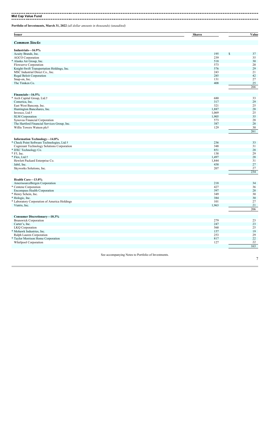**Mid Cap Value Fund**

**Portfolio of Investments, March 31, 2022** *(all dollar amounts in thousands) (unaudited)*

**Issuer Shares Value** *Common Stocks* **Industrials—16.9%** Acuity Brands, Inc. 2008 195 \$ 37 AGCO Corporation 239 35 \* Alaska Air Group, Inc. 518 30 Flowserve Corporation<br>
Flowserve Corporation<br>
Knight-Swift Transportation Holdings, Inc.<br>
S73 20<br>
MSC Industrial Direct Co., Inc.<br>
S78 1243 21<br>
S76 225<br>
Sanap-on, Inc.<br>
S76 225<br>
S1422<br>
S1422<br>
The Timken Co.<br>
255 35<br>
S1422<br> Expediant Transportation Holdings, Inc.<br>
MSC Industrial Direct Co., Inc.<br>
Regal Beloit Corporation<br>
285 MSC Industrial Direct Co., Inc. 213 Regal Beloit Corporation 285 42  $S$ nap-on, Inc. 131 27 The Timken Co. 25 266 **Financials—16.5%** \* Arch Capital Group, Ltd.† 680 33 Comerica, Inc. 29 East West Bancorp, Inc. 25 Last was bandone, inc.<br>
Huntington Bancshares, Inc.<br>
Invesco, Ltd.†<br>
Synovus Financial Corporation<br>
Synovus Financial Corporation<br>
28<br>
Synovus Financial Corporation<br>
28<br>
28<br>
28<br>
28  $\frac{1,069}{25}$  1,069 25 SLM Corporation 2,905 35 Synovus Financial Corporation 61 28 28 The Hartford Financial Services Group, Inc. 387 28 Willis Towers Watson plc† 29 30 261 **Information Technology—14.8%** \* Check Point Software Technologies, Ltd.† 236 33 Cognizant Technology Solutions Corporation 348 31 \* DXC Technology Co. 851 28  $*$  F5, Inc. 138 29 \* Flex, Ltd.† 1,497 28 Hewlett Packard Enterprise Co. 2002 1,844 31 Jabil, Inc. 438 27 Skyworks Solutions, Inc.<br>
Skyworks Solutions, Inc.<br>
207 27<br>
21 21 21 21 21 21 21 22 20 21 22 21 22 21 22 21 22 21 22 21 22 21 22 21 22 21 22 21 22 21 22 21 22 21 234 **Health Care—13.0%** AmerisourceBergen Corporation 218 34 \* Centene Corporation 427 36 Encompass Health Corporation 397 28 \* Henry Schein, Inc. 349 30 \* Hologic, Inc. 384 30 \* Laboratory Corporation of America Holdings 101 27 Viatris, Inc. 21, 2003 2012 1,963 2013 2014 1,963 2014 1,963 2014 1,963 2014 1,963 2014 1,963 2014 1,963 2014 1,963 2014 1,963 2014 1,963 2014 1,963 2014 1,963 2014 1,963 2014 1,963 2014 1,963 2014 1,963 2014 1,963 2014 1, 206 **Consumer Discretionary—10.3%** Brunswick Corporation<br>
Brunswick Corporation<br>
LKQ Corporation<br>
Mohawk Industries, Inc.<br>
Mohawk Industries, Inc.<br>
279 2247 2247 23<br>
279 279 279 2247 22<br>
279 279 279 2247 22<br>
279 279 279 2247 22<br>
279 279 279 2247 22<br>
279 271 Carter's, Inc. 247 23 LKQ Corporation 560 25 \* Mohawk Industries, Inc. 157 19 Ralph Lauren Corporation 253 29 \* Taylor Morrison Home Corporation 817 22 Whirlpool Corporation 127 163

See accompanying Notes to Portfolio of Investments.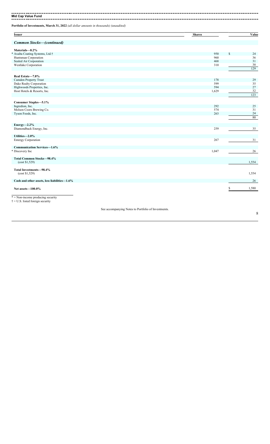**Mid Cap Value Fund** 

**Portfolio of Investments, March 31, 2022** *(all dollar amounts in thousands) (unaudited)*

| <b>Issuer</b>                                | <b>Shares</b> | Value       |
|----------------------------------------------|---------------|-------------|
|                                              |               |             |
| <b>Common Stocks-(continued)</b>             |               |             |
| Materials-8.2%                               |               |             |
| Axalta Coating Systems, Ltd.†<br>ķ.          | 950           | \$<br>24    |
| Huntsman Corporation                         | 960           | 36          |
| Sealed Air Corporation                       | 468           | 31          |
| Westlake Corporation                         | 310           | 38          |
|                                              |               | 129         |
| Real Estate-7.8%                             |               |             |
| Camden Property Trust                        | 178           | 29          |
| Duke Realty Corporation                      | 599           | 35          |
| Highwoods Properties, Inc.                   | 594           | 27          |
| Host Hotels & Resorts, Inc.                  | 1,629         | 32          |
|                                              |               | 123         |
|                                              |               |             |
| <b>Consumer Staples-5.1%</b>                 |               |             |
| Ingredion, Inc.                              | 292           | 25          |
| Molson Coors Brewing Co.                     | 574           | 31          |
| Tyson Foods, Inc.                            | 263           | $24\,$      |
|                                              |               | 80          |
| $Energy-2.2\%$                               |               |             |
| Diamondback Energy, Inc.                     | 259           | 35          |
| Utilities-2.0%                               |               |             |
| <b>Entergy Corporation</b>                   | 267           | 31          |
|                                              |               |             |
| <b>Communication Services-1.6%</b>           |               |             |
| * Discovery Inc                              | 1,047         | 26          |
| Total Common Stocks-98.4%                    |               |             |
| (cost \$1,529)                               |               | 1,554       |
| Total Investments-98.4%                      |               |             |
| (cost \$1,529)                               |               | 1,554       |
|                                              |               |             |
| Cash and other assets, less liabilities-1.6% |               | 26          |
| Net assets-100.0%                            |               | \$<br>1,580 |
|                                              |               |             |
| * = Non-income producing security            |               |             |
| $\dagger$ = U.S. listed foreign security     |               |             |

See accompanying Notes to Portfolio of Investments.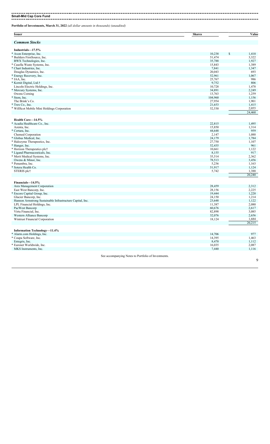**Small-Mid Cap Core Fund** --------------------------------

**Portfolio of Investments, March 31, 2022** *(all dollar amounts in thousands) (unaudited)*

| <b>Issuer</b>                                             | <b>Shares</b> | Value           |
|-----------------------------------------------------------|---------------|-----------------|
| <b>Common Stocks</b>                                      |               |                 |
| Industrials-17.5%                                         |               |                 |
| * Axon Enterprise, Inc.                                   | 10,238        | \$<br>1,410     |
| * Builders FirstSource, Inc.                              | 51,474        | 3,322           |
| BWX Technologies, Inc.                                    | 35,788        | 1,927           |
| * Casella Waste Systems, Inc.                             | 15,843        | 1,389           |
| * Chart Industries, Inc.                                  | 7,841         | 1,347           |
| Douglas Dynamics, Inc.                                    | 20,043        | 693             |
| * Energy Recovery, Inc.                                   | 52,961        | 1,067           |
| * IAA, Inc.                                               | 25,767        | 986             |
| * Kornit Digital, Ltd.†                                   | 9,752         | 806             |
|                                                           |               |                 |
| Lincoln Electric Holdings, Inc.                           | 10,728        | 1,478           |
| * Mercury Systems, Inc.                                   | 34,891        | 2,249           |
| Owens Corning                                             | 13,763        | 1,259           |
| * Stem, Inc.                                              | 104,960       | 1,156           |
| The Brink's Co.                                           | 27,954        | 1,901           |
| * Trex Co., Inc.                                          | 21,653        | 1,415           |
| * WillScot Mobile Mini Holdings Corporation               | 52,530        | 2,055           |
|                                                           |               | 24,460          |
| Health Care-14.5%                                         |               |                 |
| * Acadia Healthcare Co., Inc.                             | 22,815        | 1,495           |
| Azenta, Inc.                                              | 15,850        | 1,314           |
| * Certara, Inc.                                           | 44,648        | 959             |
| Chemed Corporation                                        | 2,147         | 1,088           |
| * Globus Medical, Inc.                                    | 24,179        | 1,784           |
| * Halozyme Therapeutics, Inc.                             |               |                 |
|                                                           | 27,750        | 1,107           |
| * Hanger, Inc.                                            | 52,435        | 961             |
| * Horizon Therapeutics plc†                               | 10,661        | 1,122           |
| * Ligand Pharmaceuticals, Inc.                            | 8,155         | 917             |
| * Merit Medical Systems, Inc.                             | 35,514        | 2,362           |
| Owens & Minor, Inc.                                       | 78,513        | 3,456           |
| * Penumbra, Inc.                                          | 5,236         | 1,163           |
| * Sotera Health Co.                                       | 51,917        | 1,124           |
| STERIS plc†                                               | 5,742         | 1,388           |
|                                                           |               | 20,240          |
| Financials-14.5%                                          |               |                 |
| Ares Management Corporation                               | 28,459        | 2,312           |
| East West Bancorp, Inc.                                   | 28,156        | 2,225           |
| * Encore Capital Group, Inc.                              | 19,444        | 1,220           |
| Glacier Bancorp, Inc.                                     | 24,150        | 1,214           |
| Hannon Armstrong Sustainable Infrastructure Capital, Inc. | 23,648        | 1,122           |
|                                                           |               |                 |
| LPL Financial Holdings, Inc.                              | 11,387        | 2,080           |
| PacWest Bancorp                                           | 60,676        | 2,617           |
| Virtu Financial, Inc.                                     | 82,898        | 3,085           |
| Western Alliance Bancorp                                  | 32,076        | 2,656           |
| Wintrust Financial Corporation                            | 18,124        | 1,684<br>20,215 |
|                                                           |               |                 |
| Information Technology-11.4%                              |               |                 |
| * Alarm.com Holdings, Inc.                                | 14,706        | 977             |
| * Coupa Software, Inc.                                    | 14,395        | 1,463           |
| Entegris, Inc.                                            | 8,470         | 1,112           |
| * Euronet Worldwide, Inc.                                 | 16,035        | 2,087           |
| MKS Instruments, Inc.                                     | 7,440         | 1,116           |
| See accompanying Notes to Portfolio of Investments.       |               |                 |
|                                                           |               | 9               |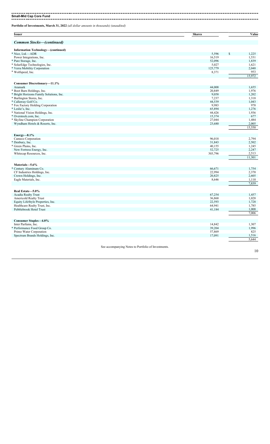#### **Small-Mid Cap Core Fund**

**Portfolio of Investments, March 31, 2022** *(all dollar amounts in thousands) (unaudited)*

| <b>Common Stocks-(continued)</b><br><b>Information Technology-(continued)</b> |         |             |
|-------------------------------------------------------------------------------|---------|-------------|
|                                                                               |         |             |
|                                                                               |         |             |
| * Nice, Ltd.-ADR                                                              | 5,596   | \$<br>1,225 |
| Power Integrations, Inc.                                                      | 16,519  | 1,531       |
| * Pure Storage, Inc.                                                          | 52,096  | 1,839       |
| * SolarEdge Technologies, Inc.                                                | 5,027   | 1,621       |
| * Verra Mobility Corporation                                                  | 125,779 | 2,048       |
| * Wolfspeed, Inc.                                                             | 8,371   | 953         |
|                                                                               |         | 15,972      |
| <b>Consumer Discretionary-11.1%</b>                                           |         |             |
| Aramark                                                                       | 44,008  | 1,655       |
| * Boot Barn Holdings, Inc.                                                    | 20,849  | 1,976       |
| * Bright Horizons Family Solutions, Inc.                                      | 9,058   | 1,202       |
| * Burlington Stores, Inc.                                                     | 7,237   | 1,318       |
| * Callaway Golf Co.                                                           | 44,539  | 1,043       |
| * Fox Factory Holding Corporation                                             | 9,983   | 978         |
| * Leslie's, Inc.                                                              | 65,894  | 1,276       |
| * National Vision Holdings, Inc.                                              | 44,426  | 1,936       |
| * Overstock.com, Inc.                                                         | 15,374  | 677         |
| * Skyline Champion Corporation                                                | 27,044  | 1,484       |
| Wyndham Hotels & Resorts, Inc.                                                | 23,680  | 2,005       |
|                                                                               |         | 15,550      |
| Energy—8.1%                                                                   |         |             |
| Cameco Corporation                                                            | 96,018  | 2,794       |
| * Denbury, Inc.                                                               | 31,843  | 2,502       |
| * Green Plains, Inc.                                                          | 40,155  | 1,245       |
| New Fortress Energy, Inc.                                                     | 52,725  | 2,247       |
| Whitecap Resources, Inc.                                                      | 303,796 | 2,513       |
|                                                                               |         | 11,301      |
| Materials-5.6%                                                                |         |             |
| * Century Aluminum Co.                                                        | 66,671  | 1,754       |
| CF Industries Holdings, Inc.                                                  | 22,994  | 2,370       |
| Crown Holdings, Inc.                                                          | 20,825  | 2,605       |
| Eagle Materials, Inc.                                                         | 8,646   | 1,110       |
|                                                                               |         | 7,839       |
| Real Estate-5.0%                                                              |         |             |
| Acadia Realty Trust                                                           | 67,254  | 1,457       |
| Americold Realty Trust                                                        | 36,868  | 1,028       |
| Equity LifeStyle Properties, Inc.                                             | 22,593  | 1,728       |
| Healthcare Realty Trust, Inc.                                                 | 64,941  | 1,785       |
| Pebblebrook Hotel Trust                                                       | 41,184  | 1,008       |
|                                                                               |         | 7,006       |
| Consumer Staples-4.0%                                                         |         |             |
| Inter Parfums, Inc.                                                           | 14,842  | 1,307       |
| * Performance Food Group Co.                                                  | 39,204  | 1,996       |
| Primo Water Corporation                                                       | 57,869  | 825         |
|                                                                               | 17,091  | 1,516       |
| Spectrum Brands Holdings, Inc.                                                |         | 5,644       |

See accompanying Notes to Portfolio of Investments.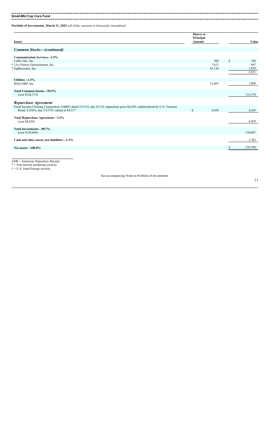**Small-Mid Cap Core Fund**

**Portfolio of Investments, March 31, 2022** *(all dollar amounts in thousands) (unaudited)*

| 508<br>7,621<br>83,139<br>15,407 | \$<br>744<br>897<br>1,910<br>3,551 |
|----------------------------------|------------------------------------|
|                                  |                                    |
|                                  |                                    |
|                                  |                                    |
|                                  |                                    |
|                                  |                                    |
|                                  |                                    |
|                                  |                                    |
|                                  | 1,800                              |
|                                  | 133,578                            |
|                                  |                                    |
| 4,429                            | 4,429                              |
|                                  | 4,429                              |
|                                  | 138,007                            |
|                                  | 1,782                              |
|                                  | 139,789                            |
|                                  |                                    |

\* = Non-income producing security

 $\dagger$  = U.S. listed foreign security

See accompanying Notes to Portfolio of Investments.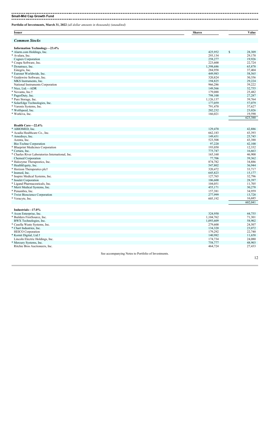**Small-Mid Cap Growth Fund** . . . . . . . . . . . . . . . . . . . .

| <b>Issuer</b>                                    | <b>Shares</b> | Value                        |
|--------------------------------------------------|---------------|------------------------------|
| <b>Common Stocks</b>                             |               |                              |
| Information Technology-23.4%                     |               |                              |
| * Alarm.com Holdings, Inc.                       | 425,952       | $\mathbf{\hat{s}}$<br>28,309 |
| * Avalara, Inc.                                  | 293,134       | 29,170                       |
| Cognex Corporation                               | 258,277       | 19,926                       |
| * Coupa Software, Inc.                           | 223,600       | 22,724                       |
| * Dynatrace, Inc.                                | 1,398,686     | 65,878                       |
| Entegris, Inc.                                   | 284,958       | 37,404                       |
| * Euronet Worldwide, Inc.                        | 449,983       | 58,565                       |
| * Guidewire Software, Inc.                       | 320,824       | 30,356                       |
| MKS Instruments, Inc.                            | 194,825       | 29,224                       |
| National Instruments Corporation                 | 966,286       | 39,222                       |
| * Nice, Ltd.—ADR                                 | 149,566       | 32,755                       |
| * Novanta, Inc.†                                 | 179,088       | 25,482                       |
| * PagerDuty, Inc.                                | 798,100       | 27,287                       |
| * Pure Storage, Inc.                             | 1,126,137     | 39,764                       |
| * SolarEdge Technologies, Inc.                   | 177,059       | 57,079                       |
| * Varonis Systems, Inc.                          | 791,470       | 37,627                       |
| * Wolfspeed, Inc.                                | 202,232       | 23,026                       |
| * Workiva, Inc.                                  | 166,021       | 19,590                       |
|                                                  |               | 623,388                      |
| Health Care-22.6%                                |               |                              |
| * ABIOMED, Inc.                                  | 129,470       | 42,886                       |
| * Acadia Healthcare Co., Inc.                    | 662,183       | 43,393                       |
| * Amedisys, Inc.                                 | 149,431       | 25,745                       |
| Azenta, Inc.                                     | 523,508       | 43,388                       |
| Bio-Techne Corporation                           | 97,220        | 42,100                       |
| * Blueprint Medicines Corporation                | 193,050       | 12,332                       |
| * Certara, Inc.                                  | 775,747       | 16,663                       |
| * Charles River Laboratories International, Inc. | 165,160       | 46,900                       |
| Chemed Corporation                               | 77,706        | 39,362                       |
| * Halozyme Therapeutics, Inc.                    | 874,782       | 34,886                       |
| * HealthEquity, Inc.                             | 547,802       | 36,944                       |
| * Horizon Therapeutics plc†                      | 320,472       | 33,717                       |
| * Insmed, Inc.                                   | 645,823       | 15,177                       |
| * Inspire Medical Systems, Inc.                  | 127,765       | 32,796                       |
| * Insulet Corporation                            | 106,600       | 28,397                       |
| * Ligand Pharmaceuticals, Inc.                   | 104,051       | 11,705                       |
| * Merit Medical Systems, Inc.                    | 455,171       | 30,278                       |
| * Penumbra, Inc.                                 | 157,381       | 34,959                       |
| * Twist Bioscience Corporation                   | 277,999       | 13,728                       |
| * Veracyte, Inc.                                 | 605,192       | 16,685                       |
|                                                  |               | 602,041                      |
| Industrials-17.0%                                |               |                              |
| * Axon Enterprise, Inc.                          | 324,950       | 44,755                       |
| * Builders FirstSource, Inc.                     | 1,104,762     | 71,301                       |
| BWX Technologies, Inc.                           | 1,093,609     | 58,902                       |
| * Casella Waste Systems, Inc.                    | 279,600       | 24,507                       |
| * Chart Industries, Inc.                         | 134,320       | 23,072                       |
| <b>HEICO</b> Corporation                         | 179,292       | 22,740                       |
| * Kornit Digital, Ltd.†                          | 140,982       | 11,658                       |

Ritchie Bros Auctioneers, Inc. 27,433 See accompanying Notes to Portfolio of Investments.

Lincoln Electric Holdings, Inc. 24,080 24,080 24,080 24,080 24,080 25 26,080 26,080 26,080 26,080 26,080 27,034 \* Mercury Systems, Inc. 48,903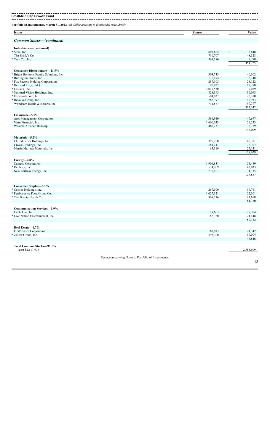. . . . . 

**Small-Mid Cap Growth Fund Portfolio of Investments, March 31, 2022** *(all dollar amounts in thousands) (unaudited)*

| <b>Issuer</b>                                  | <b>Shares</b>                                       | Value             |
|------------------------------------------------|-----------------------------------------------------|-------------------|
| <b>Common Stocks-(continued)</b>               |                                                     |                   |
| Industrials — (continued)                      |                                                     |                   |
| * Stem, Inc.                                   | 803,664<br>\$                                       | 8,848             |
| The Brink's Co.                                | 710,707                                             | 48,328            |
| * Trex Co., Inc.                               | 569,380                                             | 37,198            |
|                                                |                                                     | 451,725           |
| <b>Consumer Discretionary-11.9%</b>            |                                                     |                   |
| * Bright Horizons Family Solutions, Inc.       | 303,733                                             | 40,302            |
| * Burlington Stores, Inc.                      | 176,474                                             | 32,148            |
| * Fox Factory Holding Corporation              | 287,105                                             | 28,122            |
| * Helen of Troy, Ltd.†                         | 90,827                                              | 17,788            |
| * Leslie's, Inc.                               | 2,017,530                                           | 39,059            |
| * National Vision Holdings, Inc.               | 828,395                                             | 36,093            |
| * Overstock.com, Inc.                          | 504,037                                             | 22,180            |
| * Revolve Group, Inc.                          | 762,397                                             | 40,933            |
| Wyndham Hotels & Resorts, Inc.                 | 714,567                                             | 60,517<br>317,142 |
|                                                |                                                     |                   |
| Financials-5.5%<br>Ares Management Corporation | 586,940                                             | 47,677            |
| Virtu Financial, Inc.                          | 1,600,033                                           | 59,553            |
| Western Alliance Bancorp                       | 468,231                                             | 38,779            |
|                                                |                                                     | 146,009           |
| Materials-5.2%                                 |                                                     |                   |
| CF Industries Holdings, Inc.                   | 395,700                                             | 40,781            |
| Crown Holdings, Inc.                           | 581,241                                             | 72,707            |
| Martin Marietta Materials, Inc.                | 65,319                                              | 25,141            |
|                                                |                                                     | 138,629           |
| Energy- $4.8\%$                                |                                                     |                   |
| Cameco Corporation                             | 1,906,831                                           | 55,489            |
| * Denbury, Inc.                                | 534,969                                             | 42,033            |
| New Fortress Energy, Inc.                      | 735,401                                             | 31,335            |
|                                                |                                                     | 128,857           |
|                                                |                                                     |                   |
| Consumer Staples-3.1%                          |                                                     |                   |
| * Celsius Holdings, Inc.                       | 267,500                                             | 14,761            |
| * Performance Food Group Co.                   | 1,027,321                                           | 52,301            |
| * The Beauty Health Co.                        | 868,376                                             | 14,658            |
|                                                |                                                     | 81,720            |
| <b>Communication Services-1.9%</b>             |                                                     |                   |
| Cable One, Inc.                                | 19,603                                              | 28,704            |
| * Live Nation Entertainment, Inc.              | 182,320                                             | 21,448<br>50,152  |
|                                                |                                                     |                   |
| Real Estate-1.7%<br>FirstService Corporation   | 168,013                                             | 24,342            |
| * Zillow Group, Inc.                           | 395,700                                             | 19,504            |
|                                                |                                                     | 43,846            |
| Total Common Stocks-97.1%                      |                                                     |                   |
| (cost \$2,117,976)                             |                                                     | 2,583,509         |
|                                                | See accompanying Notes to Portfolio of Investments. |                   |
|                                                |                                                     | 13                |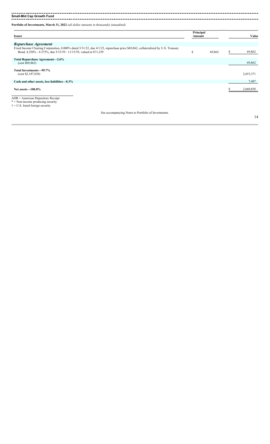**Small-Mid Cap Growth Fund** 

---------------------

| <b>Portfolio of Investments, March 31, 2022</b> (all dollar amounts in thousands) (unaudited) |  |  |  |
|-----------------------------------------------------------------------------------------------|--|--|--|
|-----------------------------------------------------------------------------------------------|--|--|--|

| <b>Issuer</b>                                                                                                                                           | Principal<br>Amount |        |    | Value     |
|---------------------------------------------------------------------------------------------------------------------------------------------------------|---------------------|--------|----|-----------|
|                                                                                                                                                         |                     |        |    |           |
| Repurchase Agreement<br>Fixed Income Clearing Corporation, 0.000% dated 3/31/22, due 4/1/22, repurchase price \$69,862, collateralized by U.S. Treasury |                     |        |    |           |
| Bond, 4.250% - 4.375%, due 5/15/39 - 11/15/39, valued at \$71,259                                                                                       | \$                  | 69,862 | ъ. | 69,862    |
| Total Repurchase Agreement-2.6%<br>(cost \$69,862)                                                                                                      |                     |        |    | 69,862    |
| Total Investments-99.7%                                                                                                                                 |                     |        |    |           |
| (cost \$2,187,838)                                                                                                                                      |                     |        |    | 2,653,371 |
| Cash and other assets, less liabilities-0.3%                                                                                                            |                     |        |    | 7,487     |
| Net assets $-100.0\%$                                                                                                                                   |                     |        |    | 2,660,858 |
| $ADR = American Depository Receiver$<br>$* =$ Non-income producing security<br>$\dagger$ = U.S. listed foreign security                                 |                     |        |    |           |
| See accompanying Notes to Portfolio of Investments.                                                                                                     |                     |        |    |           |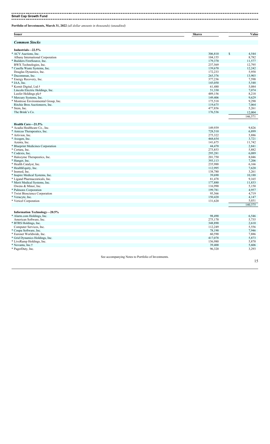#### **Small Cap Growth Fund**

. . . . . . . . . . . . . .

**Portfolio of Investments, March 31, 2022** *(all dollar amounts in thousands) (unaudited)*

| <b>Issuer</b>                        | <b>Shares</b>                                      | Value             |
|--------------------------------------|----------------------------------------------------|-------------------|
| <b>Common Stocks</b>                 |                                                    |                   |
| Industrials-22.5%                    |                                                    |                   |
| * ACV Auctions, Inc.                 | 306,810                                            | \$<br>4,544       |
| Albany International Corporation     | 104,155                                            | 8,782             |
| * Builders FirstSource, Inc.         | 179,370                                            | 11,577            |
| BWX Technologies, Inc.               | 237,569                                            | 12,795            |
| * Casella Waste Systems, Inc.        | 139,670                                            | 12,242            |
| Douglas Dynamics, Inc.               | 172,233                                            | 5,958             |
| * Ducommun, Inc.                     | 265,376                                            | 13,903            |
| * Energy Recovery, Inc.              | 377,236                                            | 7,598             |
| * IAA, Inc.                          | 145,050                                            | 5,548             |
| * Kornit Digital, Ltd.†              | 61,480                                             | 5,084             |
| Lincoln Electric Holdings, Inc.      | 51,330                                             | 7,074             |
| Luxfer Holdings plc†                 | 489,156                                            | 8,218             |
| * Mercury Systems, Inc.              | 149,406                                            | 9,629             |
| * Montrose Environmental Group, Inc. | 175,518                                            | 9,290             |
| Ritchie Bros Auctioneers, Inc.       | 119,675                                            | 7,064             |
| * Stem, Inc.                         | 477,856                                            | 5,261             |
| The Brink's Co.                      |                                                    |                   |
|                                      | 176,536                                            | 12,004<br>146,571 |
|                                      |                                                    |                   |
| Health Care-21.5%                    |                                                    |                   |
| * Acadia Healthcare Co., Inc.        | 149,939                                            | 9,826             |
| * Amicus Therapeutics, Inc.          | 728,510                                            | 6,899             |
| * Artivion, Inc.                     | 275,322                                            | 5,886             |
| * Axogen, Inc.                       | 468,654                                            | 3,721             |
| Azenta, Inc.                         | 141,675                                            | 11,742            |
| * Blueprint Medicines Corporation    | 44,470                                             | 2,841             |
| * Certara, Inc.                      | 273,853                                            | 5,882             |
| * Codexis, Inc.                      | 295,281                                            | 6,089             |
| * Halozyme Therapeutics, Inc.        | 201,750                                            | 8,046             |
| * Hanger, Inc.                       | 393,113                                            | 7,206             |
| * Health Catalyst, Inc.              | 235,988                                            | 6,166             |
| * HealthEquity, Inc.                 | 112,995                                            | 7,620             |
| * Insmed, Inc.                       | 138,780                                            | 3,261             |
| * Inspire Medical Systems, Inc.      | 39,690                                             | 10,188            |
| * Ligand Pharmaceuticals, Inc.       | 81,478                                             | 9.165             |
| * Merit Medical Systems, Inc.        | 177,880                                            | 11,833            |
| Owens & Minor, Inc.                  | 116,990                                            | 5,150             |
| * Pulmonx Corporation                | 199,781                                            | 4,957             |
| * Twist Bioscience Corporation       | 95,566                                             | 4,719             |
| * Veracyte, Inc.                     | 150,420                                            | 4,147             |
| * Vericel Corporation                | 131,620                                            | 5,031             |
|                                      |                                                    | 140,375           |
| <b>Information Technology-20.5%</b>  |                                                    |                   |
| * Alarm.com Holdings, Inc.           | 98,490                                             | 6,546             |
| American Software, Inc.              | 275,170                                            | 5,735             |
| * BTRS Holdings, Inc.                | 348,890                                            | 2,610             |
| Computer Services, Inc.              | 112,249                                            | 5,556             |
| * Coupa Software, Inc.               | 78,190                                             | 7,946             |
| * Euronet Worldwide, Inc.            | 60,590                                             | 7,886             |
| * Grid Dynamics Holdings, Inc.       | 417,078                                            | 5,873             |
| * LiveRamp Holdings, Inc.            | 156,980                                            | 5,870             |
| * Novanta, Inc.†                     | 39,400                                             | 5,606             |
| * PagerDuty, Inc.                    | 96,320                                             | 3,293             |
|                                      |                                                    |                   |
|                                      | See accompanying Natas to Dortfolio of Investments |                   |

See accompanying Notes to Portfolio of Investments.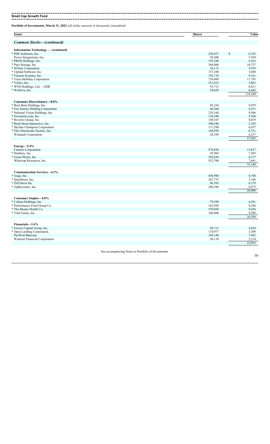## **Small Cap Growth Fund**

**Portfolio of Investments, March 31, 2022** *(all dollar amounts in thousands) (unaudited)*

| <b>Issuer</b>                                           | <b>Shares</b>            | Value           |
|---------------------------------------------------------|--------------------------|-----------------|
| <b>Common Stocks-(continued)</b>                        |                          |                 |
| Information Technology - (continued)                    |                          |                 |
| * PDF Solutions, Inc.                                   | 226,937<br><sup>\$</sup> | 6,325           |
| Power Integrations, Inc.                                | 58,200                   | 5,394           |
| * PROS Holdings, Inc.                                   | 193,100                  | 6,432           |
| * Pure Storage, Inc.                                    | 304,086                  | 10,737          |
| * SiTime Corporation                                    | 24,115                   | 5,976           |
| * Upland Software, Inc.                                 | 173,100                  | 3,048           |
| * Varonis Systems, Inc.<br>* Verra Mobility Corporation | 192,710                  | 9,161<br>11,795 |
| * Vertex, Inc.                                          | 724,489<br>251,833       | 3,863           |
| * WNS Holdings, Ltd.-ADR                                | 93,712                   | 8,011           |
| * Workiva, Inc.                                         | 54,620                   | 6,445           |
|                                                         |                          | 134,108         |
| <b>Consumer Discretionary-8.8%</b>                      |                          |                 |
| * Boot Barn Holdings, Inc.                              | 85,234                   | 8,079           |
| * Fox Factory Holding Corporation                       | 46,260                   | 4,531           |
| * National Vision Holdings, Inc.                        | 218,168                  | 9,506           |
| * Overstock.com, Inc.                                   | 126,540                  | 5,568           |
| * Revolve Group, Inc.                                   | 149,347                  | 8,019           |
| * Rush Street Interactive, Inc.                         | 300,540                  | 2,185           |
| * Skyline Champion Corporation                          | 117,290                  | 6,437           |
| * The Cheesecake Factory, Inc.                          | 168,920                  | 6,721           |
| Winmark Corporation                                     | 28,350                   | 6,237<br>57,283 |
|                                                         |                          |                 |
| $Energy-5.4\%$<br>Cameco Corporation                    | 474,830                  | 13,817          |
| * Denbury, Inc.                                         | 92,969                   | 7,305           |
| * Green Plains, Inc.                                    | 205,630                  | 6,377           |
| Whitecap Resources, Inc.                                | 923,700                  | 7,641           |
|                                                         |                          | 35,140          |
| <b>Communication Services-4.1%</b>                      |                          |                 |
| * Gogo, Inc.                                            | 458,980                  | 8,748           |
| * QuinStreet, Inc.                                      | 267,735                  | 3,106           |
| * Ziff Davis Inc                                        | 86,583                   | 8,379           |
| * ZipRecruiter, Inc.                                    | 290,390                  | 6,673           |
|                                                         |                          | 26,906          |
| Consumer Staples-4.0%                                   |                          |                 |
| * Celsius Holdings, Inc.                                | 79,390                   | 4,381           |
| * Performance Food Group Co.                            | 162,950                  | 8,296           |
| * The Beauty Health Co.                                 | 559,020                  | 9,436           |
| * Vital Farms, Inc.                                     | 346,800                  | 4,286<br>26,399 |
|                                                         |                          |                 |
| Financials-3.4%<br>* Encore Capital Group, Inc.         | 89,713                   | 5,628           |
| * Open Lending Corporation                              | 174,977                  | 3,309           |
| PacWest Bancorp                                         | 184,140                  | 7,942           |
| Wintrust Financial Corporation                          | 56,110                   | 5,214           |
|                                                         |                          | 22,093          |
|                                                         |                          |                 |

See accompanying Notes to Portfolio of Investments.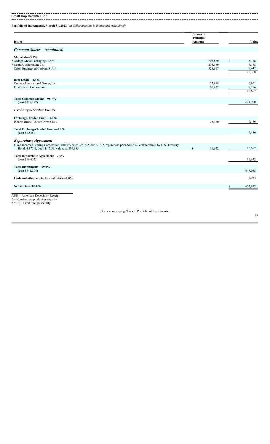**Small Cap Growth Fund**

**Portfolio of Investments, March 31, 2022** *(all dollar amounts in thousands) (unaudited)*

| <b>Issuer</b>                                                                                                                                                                     | <b>Shares</b> or<br>Principal<br>Amount |         | Value           |
|-----------------------------------------------------------------------------------------------------------------------------------------------------------------------------------|-----------------------------------------|---------|-----------------|
| <b>Common Stocks–(continued)</b>                                                                                                                                                  |                                         |         |                 |
| Materials-3.1%                                                                                                                                                                    |                                         |         |                 |
| Ardagh Metal Packaging S.A.†<br>*                                                                                                                                                 |                                         | 705,830 | \$<br>5,738     |
| * Century Aluminum Co.                                                                                                                                                            |                                         | 235,180 | 6,188           |
| Orion Engineered Carbons S.A.†                                                                                                                                                    |                                         | 528,617 | 8,442<br>20,368 |
| Real Estate-2.4%                                                                                                                                                                  |                                         |         |                 |
| Colliers International Group, Inc.                                                                                                                                                |                                         | 52,918  | 6,901           |
| FirstService Corporation                                                                                                                                                          |                                         | 60,437  | 8,756           |
|                                                                                                                                                                                   |                                         |         | 15,657          |
| Total Common Stocks-95.7%<br>(cost \$518,187)                                                                                                                                     |                                         |         | 624,900         |
| <b>Exchange-Traded Funds</b>                                                                                                                                                      |                                         |         |                 |
| Exchange-Traded Fund-1.0%                                                                                                                                                         |                                         |         |                 |
| iShares Russell 2000 Growth ETF                                                                                                                                                   |                                         | 25,360  | 6,486           |
| Total Exchange-Traded Fund-1.0%<br>(cost \$6,555)                                                                                                                                 |                                         |         | 6,486           |
| Repurchase Agreement                                                                                                                                                              |                                         |         |                 |
| Fixed Income Clearing Corporation, 0.000% dated 3/31/22, due 4/1/22, repurchase price \$16,652, collateralized by U.S. Treasury<br>Bond, 4.375%, due 11/15/39, valued at \$16,985 | \$                                      | 16,652  | 16,652          |
| Total Repurchase Agreement-2.5%<br>(cost \$16,652)                                                                                                                                |                                         |         | 16,652          |
| Total Investments-99.2%<br>(cost \$541,394)                                                                                                                                       |                                         |         | 648,038         |
| Cash and other assets, less liabilities-0.8%                                                                                                                                      |                                         |         | 4,954           |
| Net assets-100.0%                                                                                                                                                                 |                                         |         | \$<br>652,992   |
| $ADR = American Depository Receiver$<br>$* =$ Non-income producing security<br>$\dagger$ = U.S. listed foreign security                                                           |                                         |         |                 |

See accompanying Notes to Portfolio of Investments.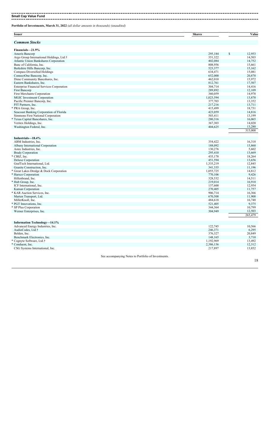**Small Cap Value Fund** 

**Portfolio of Investments, March 31, 2022** *(all dollar amounts in thousands) (unaudited)*

| <b>Issuer</b>                                    | <b>Shares</b> | Value             |
|--------------------------------------------------|---------------|-------------------|
|                                                  |               |                   |
| <b>Common Stocks</b>                             |               |                   |
| Financials-21.9%                                 |               |                   |
| Ameris Bancorp                                   | 295,184       | 12,953<br>\$      |
| Argo Group International Holdings, Ltd.†         | 351,322       | 14,503            |
| Atlantic Union Bankshares Corporation            | 402,084       | 14,752            |
| Banc of California, Inc.                         | 808,956       | 15,661            |
| Berkshire Hills Bancorp, Inc.                    | 523,377       | 15,162            |
| Compass Diversified Holdings                     | 634,471       | 15,081            |
| ConnectOne Bancorp, Inc.                         | 652,000       | 20,870            |
| Dime Community Bancshares, Inc.                  | 462,010       | 15,972            |
| Eastern Bankshares, Inc.                         | 812,761       | 17,507            |
| <b>Enterprise Financial Services Corporation</b> | 304,714       | 14.416            |
| First Bancorp                                    | 289,892       | 12,109            |
| <b>First Merchants Corporation</b>               | 360,059       | 14,978            |
| <b>MGIC</b> Investment Corporation               | 1,023,594     | 13,870            |
| Pacific Premier Bancorp, Inc.                    | 377,703       | 13,352            |
| PJT Partners, Inc.                               | 217,216       | 13,711            |
| * PRA Group, Inc.                                | 415,499       | 18,731            |
| Seacoast Banking Corporation of Florida          | 423,059       | 14,816            |
| Simmons First National Corporation               | 503,411       | 13,199            |
| * Texas Capital Bancshares, Inc.                 | 280,316       | 16,065            |
| Veritex Holdings, Inc.                           | 367,303       | 14,020            |
| Washington Federal, Inc.                         | 404,625       | 13,280            |
|                                                  |               | 315,008           |
|                                                  |               |                   |
| Industrials-18.4%                                |               |                   |
| ABM Industries, Inc.                             | 354,422       | 16,318            |
| Albany International Corporation                 | 188,092       | 15,860            |
| Astec Industries, Inc.                           | 130,276       | 5,602             |
| <b>Brady Corporation</b>                         | 295,410       | 13,669            |
| * CBIZ, Inc.                                     | 435,178       | 18,264            |
| Deluxe Corporation                               | 451,594       | 13,656            |
| GrafTech International, Ltd.                     | 1,335,219     | 12,845            |
| Granite Construction, Inc.                       | 341,335       | 11,196            |
| * Great Lakes Dredge & Dock Corporation          | 1,055,725     | 14,812            |
| * Harsco Corporation                             | 770,106       | 9,426             |
| Hillenbrand, Inc.                                | 328,532       | 14,511            |
| * Hub Group, Inc.                                | 219,014       | 16,910            |
| ICF International, Inc.                          | 137,600       | 12,954            |
| Kaman Corporation                                | 270,405       | 11,757            |
| * KAR Auction Services, Inc.                     | 906,714       | 16,366            |
| Marten Transport, Ltd.                           | 670,508       | 11,908            |
| MillerKnoll, Inc.                                | 484,618       | 16,748            |
| * PGT Innovations, Inc.                          | 521,405       | 9,375             |
| * SP Plus Corporation                            | 344,364       | 10,799            |
| Werner Enterprises, Inc.                         | 304,949       | 12,503<br>265,479 |
|                                                  |               |                   |
| <b>Information Technology-14.1%</b>              |               |                   |
| Advanced Energy Industries, Inc.                 | 122,745       | 10,566            |
| AudioCodes, Ltd.†                                | 246,371       | 6,295             |
| Belden, Inc.                                     | 376,327       | 20,849            |
| Benchmark Electronics, Inc.                      | 148,165       | 3,710             |
| * Cognyte Software, Ltd.†                        | 1,192,969     | 13,492            |
| * Conduent, Inc.                                 | 2,386,136     | 12,312            |
| CSG Systems International, Inc.                  | 217,897       | 13,852            |
|                                                  |               |                   |

See accompanying Notes to Portfolio of Investments.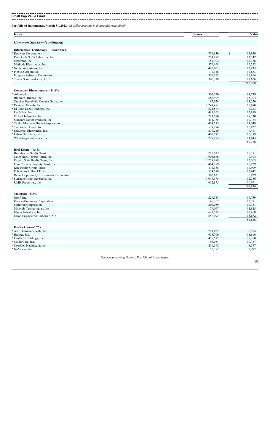. . . **Small Cap Value Fund**

**Portfolio of Investments, March 31, 2022** *(all dollar amounts in thousands) (unaudited)*

| <b>Issuer</b>                              | <b>Shares</b>                                       | Value        |
|--------------------------------------------|-----------------------------------------------------|--------------|
| <b>Common Stocks-(continued)</b>           |                                                     |              |
| Information Technology — (continued)       |                                                     |              |
| * Knowles Corporation                      | 739,830                                             | \$<br>15,929 |
| Kulicke & Soffa Industries, Inc.           | 234,682                                             | 13,147       |
| Maximus, Inc.                              | 189,302                                             | 14,188       |
| Methode Electronics, Inc.                  | 376,698                                             | 16,292       |
| * NetScout Systems, Inc.                   | 496,661                                             | 15,933       |
| * Plexus Corporation                       | 179,116                                             | 14,653       |
| Progress Software Corporation              | 359,192                                             | 16,914       |
| * Tower Semiconductor, Ltd.†               | 306,318                                             | 14,826       |
|                                            |                                                     | 202,958      |
| <b>Consumer Discretionary-11.6%</b>        |                                                     |              |
| * Adient plc†                              | 361,520                                             | 14,739       |
| Bloomin' Brands, Inc.                      | 688,405                                             | 15,104       |
| Cracker Barrel Old Country Store, Inc.     | 97,028                                              | 11,520       |
| * Designer Brands, Inc.                    | 1,249,481                                           | 16,880       |
| * El Pollo Loco Holdings, Inc.             | 621,574                                             | 7,223        |
| La-Z-Boy, Inc.                             | 489,163                                             | 12,899       |
| Oxford Industries, Inc.                    | 213,590                                             | 19,330       |
| Standard Motor Products, Inc.              | 411,785                                             | 17,764       |
| * Taylor Morrison Home Corporation         | 424,275                                             | 11,549       |
| * Tri Pointe Homes, Inc.                   | 539,176                                             | 10,827       |
| * Universal Electronics, Inc.              | 237,226                                             | 7,411        |
| * Urban Outfitters, Inc.                   | 405,772                                             | 10,189       |
| Winnebago Industries, Inc.                 | 219,195                                             | 11,843       |
|                                            |                                                     | 167,278      |
| Real Estate-7.4%                           |                                                     |              |
| <b>Brandywine Realty Trust</b>             | 720,012                                             | 10,181       |
| CatchMark Timber Trust, Inc.               | 901,666                                             | 7,394        |
| Empire State Realty Trust, Inc.            | 1,258,988                                           | 12,363       |
| Four Corners Property Trust, Inc.          | 404,189                                             | 10,929       |
| Kite Realty Group Trust                    | 874,358                                             | 19,909       |
| Pebblebrook Hotel Trust                    | 524,578                                             | 12,842       |
| Retail Opportunity Investments Corporation | 300,631                                             | 5,829        |
| * Sunstone Hotel Investors, Inc.           | 1,047,178                                           | 12,336       |
| UMH Properties, Inc.                       | 612,875                                             | 15,071       |
|                                            |                                                     | 106,854      |
| Materials-5.9%                             |                                                     |              |
| Greif, Inc.                                | 226,544                                             | 14,739       |
| Kaiser Aluminum Corporation                | 146,357                                             | 13,781       |
| Materion Corporation                       | 200,039                                             | 17,151       |
| Minerals Technologies, Inc.                | 179,067                                             | 11,845       |
| Myers Industries, Inc.                     | 623,512                                             | 13,468       |
| Orion Engineered Carbons S.A.†             | 856,092                                             | 13,672       |
|                                            |                                                     | 84,656       |
| Health Care-5.7%                           |                                                     |              |
| * ANI Pharmaceuticals, Inc.                | 211,822                                             | 5,954        |
| * Hanger, Inc.                             | 633,700                                             | 11,616       |
| * Lantheus Holdings, Inc.                  | 456,517                                             | 25,250       |
| * ModivCare, Inc.                          | 93,051                                              | 10,737       |
| * NextGen Healthcare, Inc.                 | 410,198                                             | 8,577        |
| * NuVasive, Inc.                           | 52,772                                              | 2,992        |
|                                            | See accompanying Notes to Portfolio of Investments. |              |
|                                            |                                                     |              |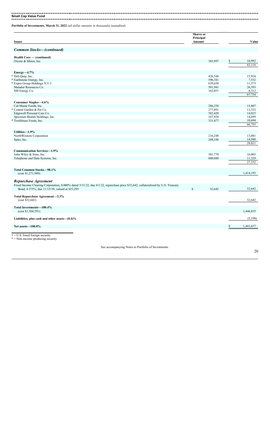**Small Cap Value Fund**

**Portfolio of Investments, March 31, 2022** *(all dollar amounts in thousands) (unaudited)*

| <b>Issuer</b>                                                                                                                                                                     | <b>Shares</b> or<br>Principal<br>Amount | Value           |
|-----------------------------------------------------------------------------------------------------------------------------------------------------------------------------------|-----------------------------------------|-----------------|
| <b>Common Stocks-(continued)</b>                                                                                                                                                  |                                         |                 |
|                                                                                                                                                                                   |                                         |                 |
| Health Care - (continued)<br>Owens & Minor, Inc.                                                                                                                                  | 385,997                                 | \$<br>16,992    |
|                                                                                                                                                                                   |                                         | 82,118          |
|                                                                                                                                                                                   |                                         |                 |
| $Energy-4.7%$<br>* Dril-Quip, Inc.                                                                                                                                                | 426,348                                 | 15,924          |
| * Earthstone Energy, Inc.                                                                                                                                                         | 596,341                                 | 7,532           |
| Expro Group Holdings N.V.†                                                                                                                                                        | 639,658                                 | 11,373          |
| Matador Resources Co.                                                                                                                                                             | 501,941                                 | 26,593          |
| SM Energy Co.                                                                                                                                                                     | 162,051                                 | 6,312           |
|                                                                                                                                                                                   |                                         | 67,734          |
| Consumer Staples-4.6%                                                                                                                                                             |                                         |                 |
| Cal-Maine Foods, Inc.                                                                                                                                                             | 286,258                                 | 15,807          |
| Central Garden & Pet Co.                                                                                                                                                          | 277,891                                 | 11,332          |
| Edgewell Personal Care Co.                                                                                                                                                        | 382,420                                 | 14,023          |
| Spectrum Brands Holdings, Inc.                                                                                                                                                    | 167,928                                 | 14,899          |
| * TreeHouse Foods, Inc.                                                                                                                                                           | 331,477                                 | 10,694          |
|                                                                                                                                                                                   |                                         | 66,755          |
|                                                                                                                                                                                   |                                         |                 |
| Utilities-1.9%                                                                                                                                                                    |                                         | 13,081          |
| NorthWestern Corporation                                                                                                                                                          | 216,248<br>208,196                      | 14,940          |
| Spire, Inc.                                                                                                                                                                       |                                         | 28,021          |
|                                                                                                                                                                                   |                                         |                 |
| <b>Communication Services-1.9%</b>                                                                                                                                                |                                         |                 |
| John Wiley & Sons, Inc.                                                                                                                                                           | 301,770                                 | 16,003          |
| Telephone and Data Systems, Inc.                                                                                                                                                  | 600,080                                 | 11,329          |
|                                                                                                                                                                                   |                                         | 27,332          |
| Total Common Stocks-98.1%                                                                                                                                                         |                                         |                 |
| (cost \$1,271,949)                                                                                                                                                                |                                         | 1,414,193       |
|                                                                                                                                                                                   |                                         |                 |
| Repurchase Agreement                                                                                                                                                              |                                         |                 |
| Fixed Income Clearing Corporation, 0.000% dated 3/31/22, due 4/1/22, repurchase price \$32,642, collateralized by U.S. Treasury<br>Bond, 4.375%, due 11/15/39, valued at \$33,295 | $\mathbb{S}$<br>32,642                  | 32,642          |
|                                                                                                                                                                                   |                                         |                 |
| Total Repurchase Agreement-2.3%<br>(cost \$32,642)                                                                                                                                |                                         | 32,642          |
|                                                                                                                                                                                   |                                         |                 |
| Total Investments-100.4%                                                                                                                                                          |                                         |                 |
| (cost \$1,304,591)                                                                                                                                                                |                                         | 1,446,835       |
| Liabilities, plus cash and other assets— $(0.4)\%$                                                                                                                                |                                         | (5,198)         |
| Net assets-100.0%                                                                                                                                                                 |                                         | \$<br>1,441,637 |
|                                                                                                                                                                                   |                                         |                 |
| $\dagger$ = U.S. listed foreign security                                                                                                                                          |                                         |                 |
| $* =$ Non-income producing security                                                                                                                                               |                                         |                 |
|                                                                                                                                                                                   |                                         |                 |

See accompanying Notes to Portfolio of Investments.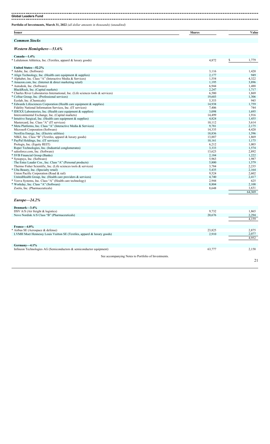**Global Leaders Fund**

**Portfolio of Investments, March 31, 2022** *(all dollar amounts in thousands) (unaudited)*

| Issuer | ~-<br>Share | V alue<br>$\cdots$ |
|--------|-------------|--------------------|
|        |             |                    |

### *Common Stocks*

#### *Western Hemisphere—53.6%*

| $Canada-1.4%$                                                                     |        |             |
|-----------------------------------------------------------------------------------|--------|-------------|
| * Lululemon Athletica, Inc. (Textiles, apparel & luxury goods)                    | 4,872  | \$<br>1,779 |
| United States-52.2%                                                               |        |             |
| * Adobe, Inc. (Software)                                                          | 3,116  | 1,420       |
| * Align Technology, Inc. (Health care equipment & supplies)                       | 2,177  | 949         |
| * Alphabet, Inc. Class "A" (Interactive Media & Services)                         | 1,554  | 4,322       |
| * Amazon.com, Inc. (Internet & direct marketing retail)                           | 1,195  | 3,896       |
| * Autodesk, Inc. (Software)                                                       | 6,944  | 1,488       |
| BlackRock, Inc. (Capital markets)                                                 | 2,247  | 1,717       |
| * Charles River Laboratories International, Inc. (Life sciences tools & services) | 6,580  | 1,869       |
| * CoStar Group, Inc. (Professional services)                                      | 19,603 | 1,306       |
| Ecolab, Inc. (Chemicals)                                                          | 5,353  | 945         |
| * Edwards Lifesciences Corporation (Health care equipment & supplies)             | 14,938 | 1,759       |
| Fidelity National Information Services, Inc. (IT services)                        | 7,406  | 744         |
| * IDEXX Laboratories, Inc. (Health care equipment & supplies)                     | 3,098  | 1,695       |
| Intercontinental Exchange, Inc. (Capital markets)                                 | 14,499 | 1,916       |
| * Intuitive Surgical, Inc. (Health care equipment & supplies)                     | 4,824  | 1,455       |
| Mastercard, Inc. Class "A" (IT services)                                          | 10,112 | 3,614       |
| * Meta Platforms, Inc. Class "A" (Interactive Media & Services)                   | 9,781  | 2,175       |
| Microsoft Corporation (Software)                                                  | 14,335 | 4,420       |
| NextEra Energy, Inc. (Electric utilities)                                         | 18,836 | 1,596       |
| NIKE, Inc. Class "B" (Textiles, apparel & luxury goods)                           | 13,887 | 1,869       |
| * PayPal Holdings, Inc. (IT services)                                             | 10,161 | 1,175       |
| Prologis, Inc. (Equity REIT)                                                      | 6,212  | 1,003       |
| Roper Technologies, Inc. (Industrial conglomerates)                               | 3,333  | 1,574       |
| * salesforce.com, Inc. (Software)                                                 | 13,623 | 2,892       |
| * SVB Financial Group (Banks)                                                     | 2,184  | 1,222       |
| * Synopsys, Inc. (Software)                                                       | 5,963  | 1,987       |
| The Estee Lauder Cos., Inc. Class "A" (Personal products)                         | 5,800  | 1,579       |
| Thermo Fisher Scientific, Inc. (Life sciences tools & services)                   | 3,784  | 2,235       |
| * Ulta Beauty, Inc. (Specialty retail)                                            | 5,435  | 2,164       |
| Union Pacific Corporation (Road & rail)                                           | 9,524  | 2,602       |
| UnitedHealth Group, Inc. (Health care providers & services)                       | 4,740  | 2,417       |
| * Veeva Systems, Inc. Class "A" (Health care technology)                          | 2,944  | 625         |
| * Workday, Inc. Class "A" (Software)                                              | 8,804  | 2,108       |
| Zoetis, Inc. (Pharmaceuticals)                                                    | 8,648  | 1,631       |
|                                                                                   |        | 64,369      |

#### *Europe—24.2%*

| Denmark-3.4%                                                           |        |       |
|------------------------------------------------------------------------|--------|-------|
| DSV A/S (Air freight $&$ logistics)                                    | 9,732  | 1,865 |
| Novo Nordisk A/S Class "B" (Pharmaceuticals)                           | 20,676 | 2,294 |
|                                                                        |        | 4,159 |
|                                                                        |        |       |
| France—4.0%                                                            |        |       |
| * Airbus SE (Aerospace & defense)                                      | 23,825 | 2,875 |
| LVMH Moet Hennessy Louis Vuitton SE (Textiles, apparel & luxury goods) | 2,910  | 2,077 |
|                                                                        |        | 4,952 |
|                                                                        |        |       |
| $Germanv-4.1%$                                                         |        |       |
| Infineon Technologies AG (Semiconductors $\&$ semiconductor equipment) | 63,777 | 2,158 |
|                                                                        |        |       |
| See accompanying Notes to Portfolio of Investments.                    |        |       |
|                                                                        |        | 21    |
|                                                                        |        |       |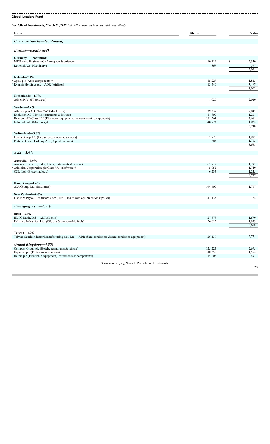| Portfolio of Investments, March 31, 2022 (all dollar amounts in thousands) (unaudited)                |                  |                       |
|-------------------------------------------------------------------------------------------------------|------------------|-----------------------|
| <b>Issuer</b>                                                                                         | <b>Shares</b>    | Value                 |
| <b>Common Stocks-(continued)</b>                                                                      |                  |                       |
| Europe-(continued)                                                                                    |                  |                       |
| Germany — (continued)<br>MTU Aero Engines AG (Aerospace & defense)                                    | 10,119           | \$                    |
| Rational AG (Machinery)                                                                               | 867              | 2,340<br>597<br>5,095 |
| Ireland $-2.4\%$                                                                                      |                  |                       |
| * Aptiv plc (Auto components)†                                                                        | 15,227           | 1,823                 |
| * Ryanair Holdings plc-ADR (Airlines)                                                                 | 13,540           | 1,179<br>3,002        |
| Netherlands-1.7%                                                                                      |                  |                       |
| * Adyen N.V. (IT services)                                                                            | 1,020            | 2,020                 |
| Sweden-5.6%                                                                                           |                  |                       |
| Atlas Copco AB Class "A" (Machinery)                                                                  | 39,337           | 2,042                 |
| Evolution AB (Hotels, restaurants & leisure)                                                          | 11,800           | 1,201                 |
| Hexagon AB Class "B" (Electronic equipment, instruments & components)                                 | 191,364          | 2,681                 |
| Indutrade AB (Machinery)                                                                              | 40,723           | 1,024                 |
|                                                                                                       |                  | 6,948                 |
|                                                                                                       |                  |                       |
| Switzerland-3.0%                                                                                      |                  |                       |
| Lonza Group AG (Life sciences tools & services)                                                       | 2,726            | 1,975                 |
| Partners Group Holding AG (Capital markets)                                                           | 1,383            | 1,713                 |
|                                                                                                       |                  | 3,688                 |
|                                                                                                       |                  |                       |
| $Asia-5.9%$                                                                                           |                  |                       |
| Australia-3.9%                                                                                        |                  |                       |
| Aristocrat Leisure, Ltd. (Hotels, restaurants & leisure)                                              | 65,719           | 1,783                 |
| * Atlassian Corporation plc Class "A" (Software)†                                                     | 5,952            | 1,749                 |
| CSL, Ltd. (Biotechnology)                                                                             | 6,235            | 1,245                 |
|                                                                                                       |                  | 4,777                 |
|                                                                                                       |                  |                       |
| Hong Kong-1.4%                                                                                        |                  |                       |
| AIA Group, Ltd. (Insurance)                                                                           | 164,400          | 1,717                 |
| New Zealand-0.6%                                                                                      |                  |                       |
| Fisher & Paykel Healthcare Corp., Ltd. (Health care equipment & supplies)                             | 43,135           | 724                   |
|                                                                                                       |                  |                       |
| Emerging Asia-5.2%                                                                                    |                  |                       |
| India $-3.0\%$                                                                                        |                  |                       |
| HDFC Bank, Ltd.-ADR (Banks)                                                                           | 27,378           | 1,679                 |
| Reliance Industries, Ltd. (Oil, gas & consumable fuels)                                               | 56,015           | 1,939                 |
|                                                                                                       |                  | 3,618                 |
| Taiwan-2.2%                                                                                           |                  |                       |
| Taiwan Semiconductor Manufacturing Co., Ltd.—ADR (Semiconductors & semiconductor equipment)           | 26,139           | 2,725                 |
|                                                                                                       |                  |                       |
| <b>United Kingdom-4.9%</b>                                                                            | 125,224          |                       |
| Compass Group plc (Hotels, restaurants & leisure)                                                     |                  | 2,695                 |
| Experian plc (Professional services)<br>Halma plc (Electronic equipment, instruments $\&$ components) | 40,350<br>15,208 | 1,554<br>497          |
|                                                                                                       |                  |                       |
| See accompanying Notes to Portfolio of Investments.                                                   |                  | 22                    |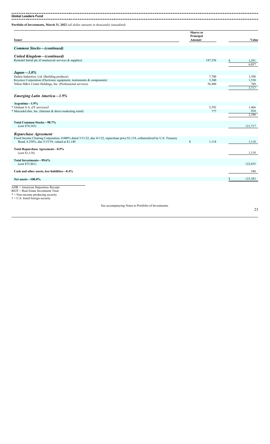**Global Leaders Fund**

**Portfolio of Investments, March 31, 2022** *(all dollar amounts in thousands) (unaudited)*

| <b>Issuer</b>                                                                                                                                                                                                 | <b>Shares</b> or<br>Principal<br>Amount | Value   |
|---------------------------------------------------------------------------------------------------------------------------------------------------------------------------------------------------------------|-----------------------------------------|---------|
|                                                                                                                                                                                                               |                                         |         |
| <b>Common Stocks-(continued)</b>                                                                                                                                                                              |                                         |         |
|                                                                                                                                                                                                               |                                         |         |
| <b>United Kingdom-(continued)</b>                                                                                                                                                                             |                                         |         |
| Rentokil Initial plc (Commercial services & supplies)                                                                                                                                                         | 187,356                                 | 1,291   |
|                                                                                                                                                                                                               |                                         | 6.037   |
| $Japan - 3.0\%$                                                                                                                                                                                               |                                         |         |
| Daikin Industries, Ltd. (Building products)                                                                                                                                                                   | 7,700                                   | 1,398   |
| Keyence Corporation (Electronic equipment, instruments & components)                                                                                                                                          | 3,300                                   | 1,530   |
| Nihon M&A Center Holdings, Inc. (Professional services)                                                                                                                                                       | 56,400                                  | 789     |
|                                                                                                                                                                                                               |                                         | 3,717   |
| <b>Emerging Latin America-1.9%</b>                                                                                                                                                                            |                                         |         |
| Argentina-1.9%                                                                                                                                                                                                |                                         |         |
| * Globant S.A. (IT services)†                                                                                                                                                                                 | 5,592                                   | 1,466   |
| * MercadoLibre, Inc. (Internet & direct marketing retail)                                                                                                                                                     | 777                                     | 924     |
|                                                                                                                                                                                                               |                                         | 2.390   |
| Total Common Stocks-98.7%<br>(cost \$74,343)                                                                                                                                                                  |                                         | 121,717 |
| <b>Repurchase Agreement</b><br>Fixed Income Clearing Corporation, 0.000% dated 3/31/22, due 4/1/22, repurchase price \$1,118, collateralized by U.S. Treasury<br>Bond, 4.250%, due 5/15/39, valued at \$1,140 | $\mathbf S$<br>1,118                    | 1,118   |
|                                                                                                                                                                                                               |                                         |         |
| Total Repurchase Agreement-0.9%<br>(cost \$1,118)                                                                                                                                                             |                                         | 1,118   |
| Total Investments-99.6%<br>(cost \$75,461)                                                                                                                                                                    |                                         | 122,835 |
| Cash and other assets, less liabilities-0.4%                                                                                                                                                                  |                                         | 548     |
| Net assets-100.0%                                                                                                                                                                                             |                                         | 123,383 |
| $ADR = American Depository Receiver$<br>REIT = Real Estate Investment Trust<br>$* =$ Non-income producing security<br>$\dagger$ = U.S. listed foreign security                                                |                                         |         |

See accompanying Notes to Portfolio of Investments.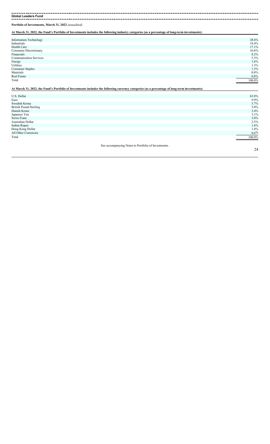**Global Leaders Fund** ---------------------

**Portfolio of Investments, March 31, 2022** *(unaudited)*

**At March 31, 2022, the Fund's Portfolio of Investments includes the following industry categories (as a percentage of long-term investments):**

| <b>Information Technology</b> | 28.6%      |
|-------------------------------|------------|
| Industrials                   | 18.4%      |
| Health Care                   | 17.1%      |
| Consumer Discretionary        | 16.6%      |
| Financials                    | 8.2%       |
| <b>Communication Services</b> | 5.3%       |
| Energy                        | 1.6%       |
| Utilities                     | 1.3%       |
| <b>Consumer Staples</b>       | 1.3%       |
| Materials                     | 0.8%       |
| Real Estate                   | 0.8%       |
| Total                         | 100.0%     |
|                               | __________ |

**At March 31, 2022, the Fund's Portfolio of Investments includes the following currency categories (as a percentage of long-term investments):**

| U.S. Dollar                   | 63.8%  |
|-------------------------------|--------|
| Euro                          | 9.9%   |
| Swedish Krona                 | 5.7%   |
| <b>British Pound Sterling</b> | 5.0%   |
| Danish Krone                  | 3.4%   |
| Japanese Yen                  | 3.1%   |
| Swiss Franc                   | 3.0%   |
| Australian Dollar             | 2.5%   |
| <b>Indian Rupee</b>           | 1.6%   |
| Hong Kong Dollar              | 1.4%   |
| All Other Currencies          | 0.6%   |
| Total                         | 100.0% |
|                               |        |

See accompanying Notes to Portfolio of Investments.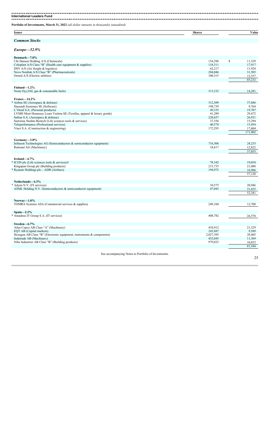-------**International Leaders Fund**

**Portfolio of Investments, March 31, 2022** *(all dollar amounts in thousands) (unaudited)*

| <b>Issuer</b> | $\sim$ | <b>Share</b><br>alue |
|---------------|--------|----------------------|
|               |        |                      |

### *Common Stocks*

#### *Europe—52.9%*

| $L$ <i>u</i> <sub>1</sub> $opp$ C $-$ 32,370                           |           |              |
|------------------------------------------------------------------------|-----------|--------------|
| Denmark-7.0%                                                           |           |              |
| Chr Hansen Holding A/S (Chemicals)                                     | 154,296   | \$<br>11,329 |
| Coloplast A/S Class "B" (Health care equipment $&$ supplies)           | 118,311   | 17,917       |
| DSV A/S (Air freight $&$ logistics)                                    | 62,217    | 11,924       |
| Novo Nordisk A/S Class "B" (Pharmaceuticals)                           | 284,046   | 31,505       |
| Orsted A/S (Electric utilities)                                        | 100,315   | 12,557       |
|                                                                        |           | 85,232       |
|                                                                        |           |              |
| Finland $-1.2\%$                                                       |           |              |
| Neste Oyj (Oil, gas & consumable fuels)                                | 313,232   | 14,281       |
|                                                                        |           |              |
| France-14.2%                                                           |           |              |
| Airbus SE (Aerospace & defense)                                        | 312,309   | 37,686       |
| Dassault Systemes SE (Software)                                        | 198,739   | 9,764        |
| L'Oreal S.A. (Personal products)                                       | 49,335    | 19,707       |
| LVMH Moet Hennessy Louis Vuitton SE (Textiles, apparel & luxury goods) | 41,289    | 29,472       |
| Safran S.A. (Aerospace & defense)                                      | 228,657   | 26,921       |
| Sartorius Stedim Biotech (Life sciences tools & services)              | 37,356    | 15,294       |
| Teleperformance (Professional services)                                | 40,574    | 15,454       |
| Vinci S.A. (Construction & engineering)                                | 172,293   | 17,604       |
|                                                                        |           | 171,902      |
|                                                                        |           |              |
| Germany-3.0%                                                           |           |              |
| Infineon Technologies AG (Semiconductors $\&$ semiconductor equipment) | 716,306   | 24,233       |
| Rational AG (Machinery)                                                | 18,617    | 12,822       |
|                                                                        |           | 37,055       |
|                                                                        |           |              |
| Ireland-4.7%                                                           |           |              |
| ICON plc (Life sciences tools & services)†                             | 78,342    | 19,054       |
| Kingspan Group plc (Building products)                                 | 215,735   | 21,088       |
| * Ryanair Holdings plc-ADR (Airlines)                                  | 194,975   | 16,986       |
|                                                                        |           | 57,128       |
|                                                                        |           |              |
| Netherlands-4.3%                                                       |           |              |
| Adyen N.V. (IT services)                                               | 10,575    | 20,946       |
| ASML Holding N.V. (Semiconductors $\&$ semiconductor equipment)        | 47,043    | 31,435       |
|                                                                        |           | 52,381       |
|                                                                        |           |              |
| Norway- $1.0\%$                                                        |           |              |
| TOMRA Systems ASA (Commercial services & supplies)                     | 249,104   | 12,708       |
|                                                                        |           |              |
| Spain- $2.2\%$                                                         |           |              |
| Amadeus IT Group S.A. (IT services)                                    | 408,782   | 26,578       |
|                                                                        |           |              |
| Sweden-6.7%                                                            |           |              |
| Atlas Copco AB Class "A" (Machinery)                                   | 410,912   | 21,329       |
| EQT AB (Capital markets)                                               | 245,887   | 9,589        |
| Hexagon AB Class "B" (Electronic equipment, instruments & components)  | 2,027,395 | 28,405       |
| Indutrade AB (Machinery)                                               | 452,045   | 11,369       |
| Nibe Industrier AB Class "B" (Building products)                       | 979,032   | 10,852       |
|                                                                        |           | 81,544       |

See accompanying Notes to Portfolio of Investments.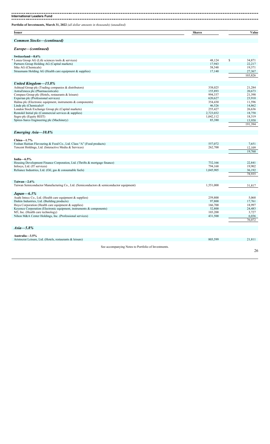| Portfolio of Investments, March 31, 2022 (all dollar amounts in thousands) (unaudited)                     |                    |                   |
|------------------------------------------------------------------------------------------------------------|--------------------|-------------------|
| <b>Issuer</b>                                                                                              | <b>Shares</b>      | Value             |
| <b>Common Stocks-(continued)</b>                                                                           |                    |                   |
| Europe-(continued)                                                                                         |                    |                   |
| Switzerland-8.6%                                                                                           |                    |                   |
| * Lonza Group AG (Life sciences tools & services)                                                          | 48,124             | \$<br>34,871      |
| Partners Group Holding AG (Capital markets)                                                                | 17,943             | 22,217            |
| Sika AG (Chemicals)                                                                                        | 58,548             | 19,371            |
| Straumann Holding AG (Health care equipment & supplies)                                                    | 17,140             | 27,367<br>103,826 |
| United Kingdom-15.8%                                                                                       |                    |                   |
| Ashtead Group plc (Trading companies & distributors)                                                       | 338,025            | 21,284            |
| AstraZeneca plc (Pharmaceuticals)                                                                          | 155,893            | 20,673            |
| Compass Group plc (Hotels, restaurants & leisure)                                                          | 994,337            | 21,398            |
| Experian plc (Professional services)                                                                       | 620,627            | 23,910            |
| Halma plc (Electronic equipment, instruments & components)                                                 | 354,430            | 11,596            |
| Linde plc (Chemicals)†                                                                                     | 46,526             | 14,862            |
| London Stock Exchange Group plc (Capital markets)                                                          | 255,427            | 26,636            |
| Rentokil Initial plc (Commercial services & supplies)                                                      | 2,723,032          | 18,758            |
| Segro plc (Equity REIT)                                                                                    | 1,042,112          | 18,319            |
| Spirax-Sarco Engineering plc (Machinery)                                                                   | 85,380             | 13,958<br>191,394 |
| Emerging Asia-10.8%                                                                                        |                    |                   |
|                                                                                                            |                    |                   |
| $China-1.7%$                                                                                               |                    |                   |
| Foshan Haitian Flavouring & Food Co., Ltd. Class "A" (Food products)                                       | 557,072            | 7,651             |
| Tencent Holdings, Ltd. (Interactive Media & Services)                                                      | 262,700            | 12,109            |
|                                                                                                            |                    | 19,760            |
| India $-6.5\%$                                                                                             |                    |                   |
| Housing Development Finance Corporation, Ltd. (Thrifts & mortgage finance)                                 | 732,166            | 22,841            |
| Infosys, Ltd. (IT services)                                                                                | 794,168            | 19,902            |
| Reliance Industries, Ltd. (Oil, gas & consumable fuels)                                                    | 1,045,905          | 36,192<br>78,935  |
|                                                                                                            |                    |                   |
| Taiwan $-2.6\%$<br>Taiwan Semiconductor Manufacturing Co., Ltd. (Semiconductors & semiconductor equipment) | 1,551,000          | 31,817            |
|                                                                                                            |                    |                   |
| $Japan - 6.3\%$                                                                                            |                    |                   |
| Asahi Intecc Co., Ltd. (Health care equipment & supplies)                                                  | 259,800            | 5,068             |
| Daikin Industries, Ltd. (Building products)                                                                | 97,800             | 17,761            |
| Hoya Corporation (Health care equipment & supplies)                                                        | 166,700            | 18,997            |
| Keyence Corporation (Electronic equipment, instruments & components)                                       | 52,800             | 24,483            |
| M3, Inc. (Health care technology)<br>Nihon M&A Center Holdings, Inc. (Professional services)               | 103,200<br>431,500 | 3,727             |
|                                                                                                            |                    | 6,036<br>76,072   |
| $Asia - 5.8\%$                                                                                             |                    |                   |
| Australia-3.5%                                                                                             |                    |                   |
| Aristocrat Leisure, Ltd. (Hotels, restaurants & leisure)                                                   | 803,599            | 21,811            |
|                                                                                                            |                    |                   |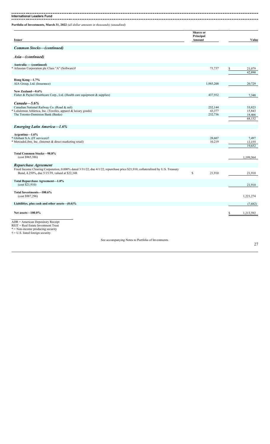-------

**International Leaders Fund**

**Portfolio of Investments, March 31, 2022** *(all dollar amounts in thousands) (unaudited)*

| <b>Issuer</b>                    | <b>Shares</b> or<br>Principal<br>Amount | Value |
|----------------------------------|-----------------------------------------|-------|
| <b>Common Stocks–(continued)</b> |                                         |       |

### *Asia—(continued)*

| Australia - (continued)                                                                                                                                                          |              |                   |                  |
|----------------------------------------------------------------------------------------------------------------------------------------------------------------------------------|--------------|-------------------|------------------|
| * Atlassian Corporation plc Class "A" (Software)†                                                                                                                                |              | 71,737            | \$<br>21,079     |
|                                                                                                                                                                                  |              |                   | 42,890           |
|                                                                                                                                                                                  |              |                   |                  |
| Hong Kong-1.7%                                                                                                                                                                   |              |                   |                  |
| AIA Group, Ltd. (Insurance)                                                                                                                                                      |              | 1,985,200         | 20,729           |
|                                                                                                                                                                                  |              |                   |                  |
| New Zealand-0.6%                                                                                                                                                                 |              |                   |                  |
| Fisher & Paykel Healthcare Corp., Ltd. (Health care equipment & supplies)                                                                                                        |              | 437,932           | 7,348            |
|                                                                                                                                                                                  |              |                   |                  |
| $Canada - 5.6\%$                                                                                                                                                                 |              |                   |                  |
| Canadian National Railway Co. (Road & rail)<br>Lululemon Athletica, Inc. (Textiles, apparel & luxury goods)                                                                      |              | 252,144<br>43,377 | 33,823<br>15,843 |
| The Toronto-Dominion Bank (Banks)                                                                                                                                                |              | 232,736           | 18,466           |
|                                                                                                                                                                                  |              |                   | 68,132           |
|                                                                                                                                                                                  |              |                   |                  |
| <b>Emerging Latin America-1.6%</b>                                                                                                                                               |              |                   |                  |
|                                                                                                                                                                                  |              |                   |                  |
| Argentina-1.6%                                                                                                                                                                   |              |                   |                  |
| * Globant S.A. (IT services)†                                                                                                                                                    |              | 28,607            | 7,497            |
| * MercadoLibre, Inc. (Internet & direct marketing retail)                                                                                                                        |              | 10,219            | 12,155           |
|                                                                                                                                                                                  |              |                   | 19.652           |
|                                                                                                                                                                                  |              |                   |                  |
| <b>Total Common Stocks-98.8%</b>                                                                                                                                                 |              |                   |                  |
| (cost \$965,386)                                                                                                                                                                 |              |                   | 1,199,364        |
|                                                                                                                                                                                  |              |                   |                  |
| Repurchase Agreement                                                                                                                                                             |              |                   |                  |
| Fixed Income Clearing Corporation, 0.000% dated 3/31/22, due 4/1/22, repurchase price \$21,910, collateralized by U.S. Treasury<br>Bond, 4.250%, due 5/15/39, valued at \$22,348 | $\mathbb{S}$ | 21,910            |                  |
|                                                                                                                                                                                  |              |                   | 21,910           |
| Total Repurchase Agreement-1.8%                                                                                                                                                  |              |                   |                  |
| (cost \$21,910)                                                                                                                                                                  |              |                   | 21,910           |
|                                                                                                                                                                                  |              |                   |                  |
| Total Investments-100.6%                                                                                                                                                         |              |                   |                  |
| (cost \$987,296)                                                                                                                                                                 |              |                   | 1,221,274        |
|                                                                                                                                                                                  |              |                   |                  |
| Liabilities, plus cash and other assets $-(0.6)\%$                                                                                                                               |              |                   | (7,682)          |
|                                                                                                                                                                                  |              |                   |                  |
| Net assets-100.0%                                                                                                                                                                |              |                   | \$<br>1,213,592  |
|                                                                                                                                                                                  |              |                   |                  |
| $ADR = American Depository Receiver$                                                                                                                                             |              |                   |                  |
| REIT = Real Estate Investment Trust                                                                                                                                              |              |                   |                  |
| * = Non-income producing security                                                                                                                                                |              |                   |                  |
| $\dagger$ = U.S. listed foreign security                                                                                                                                         |              |                   |                  |
|                                                                                                                                                                                  |              |                   |                  |

See accompanying Notes to Portfolio of Investments.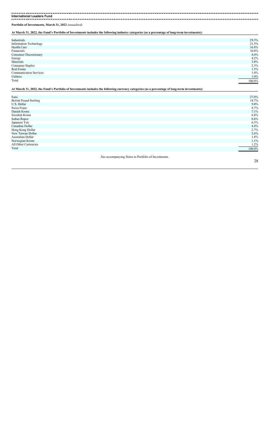**International Leaders Fund**

**Portfolio of Investments, March 31, 2022** *(unaudited)*

**At March 31, 2022, the Fund's Portfolio of Investments includes the following industry categories (as a percentage of long-term investments):**

| 29.5%  |
|--------|
| 21.5%  |
| 16.8%  |
| 10.0%  |
| 8.4%   |
| 4.2%   |
| 3.8%   |
| 2.3%   |
| 1.5%   |
| 1.0%   |
| 1.0%   |
| 100.0% |
|        |

**At March 31, 2022, the Fund's Portfolio of Investments includes the following currency categories (as a percentage of long-term investments):**

| Euro                          |                                                     | 27.0%   |
|-------------------------------|-----------------------------------------------------|---------|
| <b>British Pound Sterling</b> |                                                     | 14.7%   |
| U.S. Dollar                   |                                                     | $9.0\%$ |
| Swiss Franc                   |                                                     | 8.7%    |
| Danish Krone                  |                                                     | 7.1%    |
| Swedish Krona                 |                                                     | 6.8%    |
| <b>Indian Rupee</b>           |                                                     | 6.6%    |
| Japanese Yen                  |                                                     | 6.3%    |
| Canadian Dollar               |                                                     | 4.4%    |
| Hong Kong Dollar              |                                                     | 2.7%    |
| New Taiwan Dollar             |                                                     | 2.6%    |
| Australian Dollar             |                                                     | 1.8%    |
| Norwegian Krone               |                                                     | 1.1%    |
| All Other Currencies          |                                                     | 1.2%    |
| Total                         |                                                     | 100.0%  |
|                               | See accompanying Notes to Portfolio of Investments. |         |
|                               |                                                     | 28      |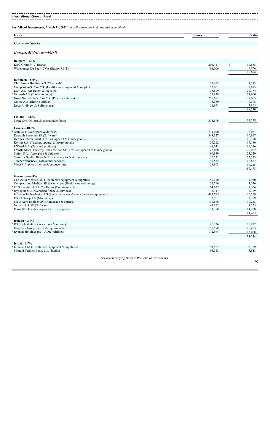-------**International Growth Fund**

**Portfolio of Investments, March 31, 2022** *(all dollar amounts in thousands) (unaudited)*

| <b>Issuer</b>                                                 | <b>Shares</b> | Value        |
|---------------------------------------------------------------|---------------|--------------|
| <b>Common Stocks</b>                                          |               |              |
| Europe, Mid-East-46.9%                                        |               |              |
| Belgium $-1.0\%$                                              |               |              |
| KBC Group N.V. (Banks)                                        | 204,711       | \$<br>14,688 |
| Warehouses De Pauw CVA (Equity REIT)                          | 91,006        | 3,926        |
|                                                               |               | 18,614       |
| Denmark-5.0%                                                  |               |              |
| Chr Hansen Holding A/S (Chemicals)                            | 59,695        | 4,383        |
| Coloplast A/S Class "B" (Health care equipment $\&$ supplies) | 52,001        | 7,875        |
| DSV A/S (Air freight $&$ logistics)                           | 115,699       | 22,174       |
| * Genmab A/S (Biotechnology)                                  | 32,838        | 11,860       |

Novo Nordisk A/S Class "B" (Pharmaceuticals) 250,685 27,805

| Orsted A/S (Electric utilities)                                        | 75,080  | 9,398   |
|------------------------------------------------------------------------|---------|---------|
| Royal Unibrew A/S (Beverages)                                          | 51,971  | 4,855   |
|                                                                        |         | 88,350  |
| Finland-0.8%                                                           |         |         |
| Neste Oyj (Oil, gas & consumable fuels)                                | 313,596 | 14,298  |
|                                                                        |         |         |
| $France - 10.6\%$                                                      |         |         |
| Airbus SE (Aerospace & defense)                                        | 274,070 | 33,071  |
| Dassault Systemes SE (Software)                                        | 343,327 | 16,867  |
| Hermes International (Textiles, apparel & luxury goods)                | 7,177   | 10,158  |
| Kering S.A. (Textiles, apparel & luxury goods)                         | 27,212  | 17,180  |
| L'Oreal S.A. (Personal products)                                       | 48,031  | 19,186  |
| LVMH Moet Hennessy Louis Vuitton SE (Textiles, apparel & luxury goods) | 28,050  | 20,022  |
| Safran S.A. (Aerospace & defense)                                      | 199,849 | 23,529  |
| Sartorius Stedim Biotech (Life sciences tools & services)              | 30,221  | 12,373  |
| Teleperformance (Professional services)                                | 49,532  | 18,867  |
| Vinci S.A. (Construction & engineering)                                | 158,802 | 16,225  |
|                                                                        |         | 187,478 |
|                                                                        |         |         |
| Germany-4.8%                                                           |         |         |
| Carl Zeiss Meditec AG (Health care equipment & supplies)               | 49,170  | 7,920   |
| CompuGroup Medical SE & Co. KgaA (Health care technology)              | 51,796  | 3,156   |
| * CTS Eventim AG & Co. KGaA (Entertainment)                            | 104,623 | 7,106   |
| * Hypoport SE (Diversified financial services)                         | 5,747   | 2,169   |
| Infineon Technologies AG (Semiconductors & semiconductor equipment)    | 481,795 | 16,299  |
| KION Group AG (Machinery)                                              | 32,761  | 2,159   |
| MTU Aero Engines AG (Aerospace & defense)                              | 130,676 | 30,223  |
| Nemetschek SE (Software)                                               | 43,992  | 4,225   |
| Puma SE (Textiles, apparel & luxury goods)                             | 131,788 | 11,208  |
|                                                                        |         | 84,465  |
|                                                                        |         |         |
| Ireland $-2.9\%$                                                       |         |         |
| * ICON plc (Life sciences tools & services)†                           | 86,226  | 20,972  |
| Kingspan Group plc (Building products)                                 | 157,578 | 15,403  |
| * Ryanair Holdings plc—ADR (Airlines)                                  | 172,964 | 15,068  |
|                                                                        |         | 51,443  |
|                                                                        |         |         |
| $Israel - 0.7\%$                                                       |         |         |
| Inmode, Ltd. (Health care equipment $&$ supplies) $\dagger$            | 91,555  | 3,379   |
| Mizrahi Tefahot Bank, Ltd. (Banks)                                     | 98,543  | 3,848   |
|                                                                        |         |         |
| See accompanying Notes to Portfolio of Investments.                    |         |         |
|                                                                        |         | 29      |
|                                                                        |         |         |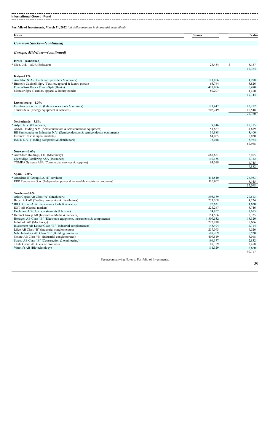---------------**International Growth Fund** -------------------------------------------------

**Portfolio of Investments, March 31, 2022** *(all dollar amounts in thousands) (unaudited)*

| <b>Issuer</b>                    | <b>Shares</b> | Value |
|----------------------------------|---------------|-------|
| <b>Common Stocks–(continued)</b> |               |       |
| Europe, Mid-East-(continued)     |               |       |
| Israel—(continued)               |               |       |
| * Nice, Ltd.—ADR (Software)      | 23,454        | 5,137 |

| $1$ . The $\sim$ $1$ $\sim$ $1$ $\sim$ $1$ $\sim$ $1$                          | +ں+,رے    | Φ<br>J, 1 J / |
|--------------------------------------------------------------------------------|-----------|---------------|
|                                                                                |           | 12,364        |
|                                                                                |           |               |
| Italy $-1.1\%$<br>Amplifon SpA (Health care providers $&$ services)            | 111,856   | 4,978         |
| Brunello Cucinelli SpA (Textiles, apparel & luxury goods)                      | 65,764    | 3,826         |
| FinecoBank Banca Fineco SpA (Banks)                                            | 427,806   | 6,490         |
| Moncler SpA (Textiles, apparel & luxury goods)                                 | 80,207    | 4,450         |
|                                                                                |           | 19,744        |
|                                                                                |           |               |
| Luxembourg-1.3%                                                                |           |               |
| Eurofins Scientific SE (Life sciences tools & services)                        | 123,447   | 12,212        |
| Tenaris S.A. (Energy equipment & services)                                     | 702,249   | 10,548        |
|                                                                                |           | 22,760        |
|                                                                                |           |               |
| Netherlands-3.8%                                                               |           |               |
| Adven N.V. (IT services)                                                       | 9,146     | 18,115        |
| ASML Holding N.V. (Semiconductors & semiconductor equipment)                   | 51,867    | 34,659        |
| BE Semiconductor Industries N.V. (Semiconductors $\&$ semiconductor equipment) | 39,888    | 3,400         |
| Euronext N.V. (Capital markets)                                                | 64,065    | 5,820         |
| IMCD N.V. (Trading companies & distributors)                                   | 35,018    | 5,974         |
|                                                                                |           | 67,968        |
|                                                                                |           |               |
| Norway- $0.6\%$                                                                |           |               |
| AutoStore Holdings, Ltd. (Machinery)                                           | 663,681   | 2,405         |
| Gjensidige Forsikring ASA (Insurance)                                          | 110,155   | 2,732         |
| TOMRA Systems ASA (Commercial services & supplies)                             | 93,019    | 4,745         |
|                                                                                |           | 9.882         |
| Spain- $2.0\%$                                                                 |           |               |
| Amadeus IT Group S.A. (IT services)                                            | 414,540   | 26,953        |
| EDP Renovaveis S.A. (Independent power & renewable electricity producers)      | 316,802   | 8,145         |
|                                                                                |           | 35,098        |
|                                                                                |           |               |
| Sweden-5.6%                                                                    |           |               |
| Atlas Copco AB Class "A" (Machinery)                                           | 395,189   | 20,513        |
| Beijer Ref AB (Trading companies & distributors)                               | 233,208   | 4,224         |
| BICO Group AB (Life sciences tools & services)                                 | 92,631    | 1,620         |
| EQT AB (Capital markets)                                                       | 224,267   | 8,746         |
| Evolution AB (Hotels, restaurants & leisure)                                   | 74,857    | 7,615         |
| Hemnet Group AB (Interactive Media & Services)                                 | 154,566   | 2,325         |
| Hexagon AB Class "B" (Electronic equipment, instruments $\&$ components)       | 1,307,532 | 18,320        |
| Indutrade AB (Machinery)                                                       | 222,918   | 5,606         |
| Investment AB Latour Class "B" (Industrial conglomerates)                      | 148,494   | 4,714         |
| Lifco AB Class "B" (Industrial conglomerates)                                  | 257,093   | 6,526         |
| Nibe Industrier AB Class "B" (Building products)                               | 588,209   | 6,520         |
| Nolato AB Class "B" (Industrial conglomerates)                                 | 407,519   | 3,018         |
| Sweco AB Class "B" (Construction & engineering)                                | 196,177   | 2,852         |
| Thule Group AB (Leisure products)                                              | 87,359    | 3,458         |
| Vitrolife AB (Biotechnology)                                                   | 111,329   | 3,660         |
|                                                                                |           | 99.717        |
|                                                                                |           |               |

See accompanying Notes to Portfolio of Investments.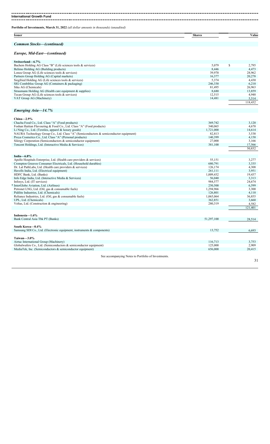| International Growth Fund                                                                        |                  |                  |
|--------------------------------------------------------------------------------------------------|------------------|------------------|
| Portfolio of Investments, March 31, 2022 (all dollar amounts in thousands) (unaudited)           |                  |                  |
| <b>Issuer</b>                                                                                    | <b>Shares</b>    | Value            |
| <b>Common Stocks-(continued)</b>                                                                 |                  |                  |
| Europe, Mid-East-(continued)                                                                     |                  |                  |
| Switzerland-6.7%                                                                                 |                  |                  |
| Bachem Holding AG Class "B" (Life sciences tools & services)                                     | 5,079            | \$<br>2,795      |
| Belimo Holding AG (Building products)                                                            | 8,446            | 4,473            |
| Lonza Group AG (Life sciences tools $&$ services)<br>Partners Group Holding AG (Capital markets) | 39,970<br>16,377 | 28,962<br>20,278 |
| Siegfried Holding AG (Life sciences tools $&$ services)                                          | 5,374            | 4,430            |
| SIG Combibloc Group AG (Containers & packaging)                                                  | 246,330          | 6,210            |
| Sika AG (Chemicals)                                                                              | 81,495           | 26,963           |
| Straumann Holding AG (Health care equipment & supplies)                                          | 8,680            | 13,859           |
| Tecan Group AG (Life sciences tools & services)                                                  | 12,515           | 4,948            |
| VAT Group AG (Machinery)                                                                         | 14,481           | 5,514            |
|                                                                                                  |                  | 118,432          |
| Emerging Asia-14.7%                                                                              |                  |                  |
| China $-2.9%$                                                                                    |                  |                  |
| Chacha Food Co., Ltd. Class "A" (Food products)                                                  | 369,742          | 3,120            |
| Foshan Haitian Flavouring & Food Co., Ltd. Class "A" (Food products)                             | 340,065          | 4,670            |
| Li Ning Co., Ltd. (Textiles, apparel & luxury goods)                                             | 1,721,000        | 14,614           |
| NAURA Technology Group Co., Ltd. Class "A" (Semiconductors & semiconductor equipment)            | 82,813           | 3,538            |
| Proya Cosmetics Co., Ltd. Class "A" (Personal products)                                          | 140,399          | 4,158            |
| Silergy Corporation (Semiconductors & semiconductor equipment)                                   | 27,000           | 3,166            |
| Tencent Holdings, Ltd. (Interactive Media & Services)                                            | 381,100          | 17,566<br>50,832 |
|                                                                                                  |                  |                  |
| India $-6.8\%$<br>Apollo Hospitals Enterprise, Ltd. (Health care providers & services)           | 55,151           | 3,277            |
| Crompton Greaves Consumer Electricals, Ltd. (Household durables)                                 | 680,791          | 3,335            |
| Dr. Lal PathLabs, Ltd. (Health care providers & services)                                        | 126,174          | 4,308            |
| Havells India, Ltd. (Electrical equipment)                                                       | 261,111          | 3,951            |
| HDFC Bank, Ltd. (Banks)                                                                          | 1,009,432        | 19,437           |
| Info Edge India, Ltd. (Interactive Media & Services)                                             | 56,040           | 3,313            |
| Infosys, Ltd. (IT services)                                                                      | 984,577          | 24,674           |
| InterGlobe Aviation, Ltd. (Airlines)                                                             | 250,500          | 6,599            |
| Petronet LNG, Ltd. (Oil, gas & consumable fuels)                                                 | 1,294,966        | 3,300            |
| Pidilite Industries, Ltd. (Chemicals)                                                            | 126,801          | 4,110            |
| Reliance Industries, Ltd. (Oil, gas & consumable fuels)                                          | 1,065,064        | 36,855           |
| UPL, Ltd. (Chemicals)                                                                            | 362,851          | 3,660            |
| Voltas, Ltd. (Construction & engineering)                                                        | 280,319          | 4,582<br>121,401 |
| Indonesia-1.6%                                                                                   |                  |                  |
| Bank Central Asia Tbk PT (Banks)                                                                 | 51,297,100       | 28,514           |
| South Korea-0.4%                                                                                 |                  |                  |
| Samsung SDI Co., Ltd. (Electronic equipment, instruments & components)                           | 13,752           | 6,693            |
| Taiwan-3.0%                                                                                      |                  |                  |
| Airtac International Group (Machinery)                                                           | 116,713          | 3,753            |
| Globalwafers Co., Ltd. (Semiconductors $\&$ semiconductor equipment)                             | 125,000          | 2,909            |
| MediaTek, Inc. (Semiconductors & semiconductor equipment)                                        | 656,000          | 20,415           |
| See accompanying Notes to Portfolio of Investments.                                              |                  | 31               |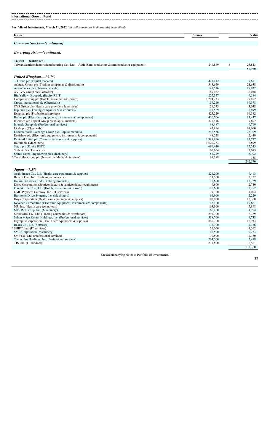-------. . . . . . **International Growth Fund** --------------------------------

**Portfolio of Investments, March 31, 2022** *(all dollar amounts in thousands) (unaudited)*

| <b>Issuer</b>                  | <b>Shares</b> | Value |
|--------------------------------|---------------|-------|
|                                |               |       |
| Stocks<br>ommon<br>'continuea, |               |       |

### *Emerging Asia—(continued)*

| Taiwan — (continued)                                                                        |           |              |
|---------------------------------------------------------------------------------------------|-----------|--------------|
| Taiwan Semiconductor Manufacturing Co., Ltd.—ADR (Semiconductors & semiconductor equipment) | 247,869   | \$<br>25,843 |
|                                                                                             |           | 52,920       |
|                                                                                             |           |              |
| United Kingdom-13.7%                                                                        |           |              |
| 3i Group plc (Capital markets)                                                              | 423,112   | 7,651        |
| Ashtead Group plc (Trading companies & distributors)                                        | 343,659   | 21,638       |
| AstraZeneca plc (Pharmaceuticals)                                                           | 143,516   | 19,032       |
| AVEVA Group plc (Software)                                                                  | 189,052   | 6,038        |
| Big Yellow Group plc (Equity REIT)                                                          | 227,357   | 4,584        |
| Compass Group plc (Hotels, restaurants & leisure)                                           | 1,294,233 | 27,852       |
| Croda International plc (Chemicals)                                                         | 159,210   | 16,378       |
| CVS Group plc (Health care providers & services)                                            | 129,573   | 3,038        |
| Diploma plc (Trading companies & distributors)                                              | 113,569   | 3,899        |
| Experian plc (Professional services)                                                        | 425,229   | 16,382       |
| Halma plc (Electronic equipment, instruments & components)                                  | 410,706   | 13,437       |
| Intermediate Capital Group plc (Capital markets)                                            | 327,416   | 7,602        |
| Intertek Group plc (Professional services)                                                  | 98,487    | 6,719        |
| Linde plc (Chemicals)†                                                                      | 45,894    | 14,660       |
| London Stock Exchange Group plc (Capital markets)                                           | 246,536   | 25,709       |
| Renishaw plc (Electronic equipment, instruments & components)                               | 48,528    | 2,449        |
| Rentokil Initial plc (Commercial services & supplies)                                       | 1,999,996 | 13,777       |
| Rotork plc (Machinery)                                                                      | 1,620,283 | 6,899        |
| Segro plc (Equity REIT)                                                                     | 696,440   | 12,243       |
| Softcat plc (IT services)                                                                   | 165,654   | 3,693        |
| Spirax-Sarco Engineering plc (Machinery)                                                    | 53,229    | 8,702        |
| * Trustpilot Group plc (Interactive Media & Services)                                       | 99,388    | 188          |
|                                                                                             |           | 242,570      |
|                                                                                             |           |              |
| $Japan - 7.5\%$                                                                             |           |              |
| Asahi Intecc Co., Ltd. (Health care equipment & supplies)                                   | 226,200   | 4,413        |
| Benefit One, Inc. (Professional services)                                                   | 153,500   | 3,222        |
| Daikin Industries, Ltd. (Building products)                                                 | 75,600    | 13,729       |
| Disco Corporation (Semiconductors & semiconductor equipment)                                | 9,800     | 2,740        |
| Food & Life Cos., Ltd. (Hotels, restaurants & leisure)                                      | 116,600   | 3,252        |
| GMO Payment Gateway, Inc. (IT services)                                                     | 39,300    | 4,004        |
| Harmonic Drive Systems, Inc. (Machinery)                                                    | 64,900    | 2,229        |
| Hoya Corporation (Health care equipment & supplies)                                         | 108,000   | 12,308       |
| Keyence Corporation (Electronic equipment, instruments & components)                        | 42,400    | 19.661       |

| <u>110, onee Corporation (missionis equipment, montantito se equiponento)</u> | $- - -$ | 1.001   |
|-------------------------------------------------------------------------------|---------|---------|
| M3, Inc. (Health care technology)                                             | 163,300 | 5,898   |
| MISUMI Group, Inc. (Machinery)                                                | 166,400 | 4,954   |
| MonotaRO Co., Ltd. (Trading companies & distributors)                         | 297,700 | 6,389   |
| Nihon M&A Center Holdings, Inc. (Professional services)                       | 338,700 | 4,738   |
| Olympus Corporation (Health care equipment & supplies)                        | 840,700 | 15,933  |
| Rakus Co., Ltd. (Software)                                                    | 173,300 | 2,326   |
| * SHIFT, Inc. (IT services)                                                   | 26,000  | 4,562   |
| SMC Corporation (Machinery)                                                   | 16,500  | 9.223   |
| SMS Co., Ltd. (Professional services)                                         | 79,500  | 2,180   |
| TechnoPro Holdings, Inc. (Professional services)                              | 203,500 | 5,498   |
| TIS, Inc. (IT services)                                                       | 277,800 | 6,501   |
|                                                                               |         | 133,760 |
|                                                                               |         |         |

See accompanying Notes to Portfolio of Investments.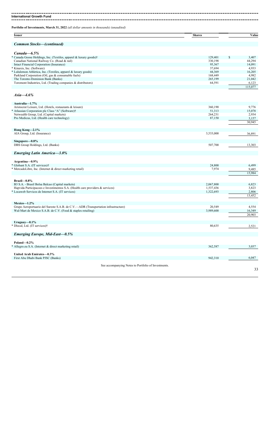-------------------------**International Growth Fund** 

**Portfolio of Investments, March 31, 2022** *(all dollar amounts in thousands) (unaudited)*

| <b>Common Stocks-(continued)</b><br>$Canada - 6.5\%$<br>* Canada Goose Holdings, Inc. (Textiles, apparel & luxury goods)†<br>Canadian National Railway Co. (Road & rail)<br>Intact Financial Corporation (Insurance)<br>* Kinaxis, Inc. (Software)<br>* Lululemon Athletica, Inc. (Textiles, apparel & luxury goods)<br>Parkland Corporation (Oil, gas & consumable fuels)<br>The Toronto-Dominion Bank (Banks)<br>Toromont Industries, Ltd. (Trading companies & distributors)<br><i>Asia</i> —4.6% | 129,401<br>330,198<br>95,367<br>37,694<br>44,369<br>168,449<br>265,199<br>64,591 | \$<br>3,407<br>44,294<br>14,091<br>4,933<br>16,205<br>4,982<br>21,042<br>6,123<br>115,077 |
|------------------------------------------------------------------------------------------------------------------------------------------------------------------------------------------------------------------------------------------------------------------------------------------------------------------------------------------------------------------------------------------------------------------------------------------------------------------------------------------------------|----------------------------------------------------------------------------------|-------------------------------------------------------------------------------------------|
|                                                                                                                                                                                                                                                                                                                                                                                                                                                                                                      |                                                                                  |                                                                                           |
|                                                                                                                                                                                                                                                                                                                                                                                                                                                                                                      |                                                                                  |                                                                                           |
|                                                                                                                                                                                                                                                                                                                                                                                                                                                                                                      |                                                                                  |                                                                                           |
|                                                                                                                                                                                                                                                                                                                                                                                                                                                                                                      |                                                                                  |                                                                                           |
|                                                                                                                                                                                                                                                                                                                                                                                                                                                                                                      |                                                                                  |                                                                                           |
|                                                                                                                                                                                                                                                                                                                                                                                                                                                                                                      |                                                                                  |                                                                                           |
|                                                                                                                                                                                                                                                                                                                                                                                                                                                                                                      |                                                                                  |                                                                                           |
|                                                                                                                                                                                                                                                                                                                                                                                                                                                                                                      |                                                                                  |                                                                                           |
|                                                                                                                                                                                                                                                                                                                                                                                                                                                                                                      |                                                                                  |                                                                                           |
|                                                                                                                                                                                                                                                                                                                                                                                                                                                                                                      |                                                                                  |                                                                                           |
|                                                                                                                                                                                                                                                                                                                                                                                                                                                                                                      |                                                                                  |                                                                                           |
|                                                                                                                                                                                                                                                                                                                                                                                                                                                                                                      |                                                                                  |                                                                                           |
| Australia-1.7%                                                                                                                                                                                                                                                                                                                                                                                                                                                                                       |                                                                                  |                                                                                           |
| Aristocrat Leisure, Ltd. (Hotels, restaurants & leisure)                                                                                                                                                                                                                                                                                                                                                                                                                                             | 360,190                                                                          | 9,776                                                                                     |
| * Atlassian Corporation plc Class "A" (Software)†                                                                                                                                                                                                                                                                                                                                                                                                                                                    | 51,313                                                                           | 15,078                                                                                    |
| Netwealth Group, Ltd. (Capital markets)                                                                                                                                                                                                                                                                                                                                                                                                                                                              | 264,231                                                                          | 2,934                                                                                     |
| Pro Medicus, Ltd. (Health care technology)                                                                                                                                                                                                                                                                                                                                                                                                                                                           | 87,150                                                                           | 3,157<br>30,945                                                                           |
| Hong Kong-2.1%                                                                                                                                                                                                                                                                                                                                                                                                                                                                                       |                                                                                  |                                                                                           |
| AIA Group, Ltd. (Insurance)                                                                                                                                                                                                                                                                                                                                                                                                                                                                          | 3,533,000                                                                        | 36,891                                                                                    |
| Singapore-0.8%                                                                                                                                                                                                                                                                                                                                                                                                                                                                                       |                                                                                  |                                                                                           |
| DBS Group Holdings, Ltd. (Banks)                                                                                                                                                                                                                                                                                                                                                                                                                                                                     | 507,700                                                                          | 13,303                                                                                    |
| <b>Emerging Latin America-3.0%</b>                                                                                                                                                                                                                                                                                                                                                                                                                                                                   |                                                                                  |                                                                                           |
| Argentina-0.9%                                                                                                                                                                                                                                                                                                                                                                                                                                                                                       |                                                                                  |                                                                                           |
| * Globant S.A. (IT services)†                                                                                                                                                                                                                                                                                                                                                                                                                                                                        | 24,800                                                                           | 6,499                                                                                     |
| * MercadoLibre, Inc. (Internet & direct marketing retail)                                                                                                                                                                                                                                                                                                                                                                                                                                            | 7,974                                                                            | 9,485<br>15,984                                                                           |
| Brazil $-0.8\%$                                                                                                                                                                                                                                                                                                                                                                                                                                                                                      |                                                                                  |                                                                                           |
| B3 S.A. - Brasil Bolsa Balcao (Capital markets)                                                                                                                                                                                                                                                                                                                                                                                                                                                      | 2,067,800                                                                        | 6,823                                                                                     |
| Hapvida Participacoes e Investimentos S.A. (Health care providers & services)                                                                                                                                                                                                                                                                                                                                                                                                                        | 1,537,436                                                                        | 3,823                                                                                     |
| * Locaweb Servicos de Internet S.A. (IT services)                                                                                                                                                                                                                                                                                                                                                                                                                                                    | 1,322,693                                                                        | 2,806                                                                                     |
|                                                                                                                                                                                                                                                                                                                                                                                                                                                                                                      |                                                                                  | 13,452                                                                                    |
|                                                                                                                                                                                                                                                                                                                                                                                                                                                                                                      |                                                                                  |                                                                                           |
| $Mexico-1.2%$                                                                                                                                                                                                                                                                                                                                                                                                                                                                                        |                                                                                  |                                                                                           |
| Grupo Aeroportuario del Sureste S.A.B. de C.V.—ADR (Transportation infrastructure)                                                                                                                                                                                                                                                                                                                                                                                                                   | 20,549                                                                           | 4,554                                                                                     |
| Wal-Mart de Mexico S.A.B. de C.V. (Food & staples retailing)                                                                                                                                                                                                                                                                                                                                                                                                                                         | 3,989,600                                                                        | 16,349                                                                                    |
|                                                                                                                                                                                                                                                                                                                                                                                                                                                                                                      |                                                                                  | 20,903                                                                                    |
| Uruguay-0.1%                                                                                                                                                                                                                                                                                                                                                                                                                                                                                         |                                                                                  |                                                                                           |
| * Dlocal, Ltd. (IT services)†                                                                                                                                                                                                                                                                                                                                                                                                                                                                        | 80,635                                                                           | 2,521                                                                                     |
| Emerging Europe, Mid-East-0.5%                                                                                                                                                                                                                                                                                                                                                                                                                                                                       |                                                                                  |                                                                                           |
| Poland $-0.2\%$                                                                                                                                                                                                                                                                                                                                                                                                                                                                                      |                                                                                  |                                                                                           |
| * Allegro.eu S.A. (Internet & direct marketing retail)                                                                                                                                                                                                                                                                                                                                                                                                                                               | 362,587                                                                          | 3,037                                                                                     |
| United Arab Emirates-0.3%                                                                                                                                                                                                                                                                                                                                                                                                                                                                            |                                                                                  |                                                                                           |
| First Abu Dhabi Bank PJSC (Banks)                                                                                                                                                                                                                                                                                                                                                                                                                                                                    | 942,310                                                                          | 6,047                                                                                     |
| See accompanying Notes to Portfolio of Investments.                                                                                                                                                                                                                                                                                                                                                                                                                                                  |                                                                                  | 33                                                                                        |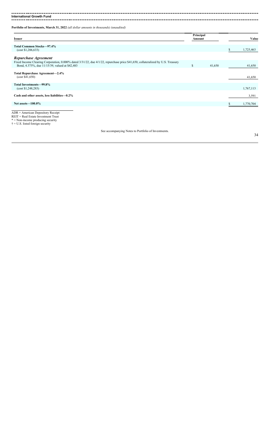---------. . . . . **International Growth Fund**

**Portfolio of Investments, March 31, 2022** *(all dollar amounts in thousands) (unaudited)*

| <b>Issuer</b>                                                                                                                                                                     | Principal<br>Amount |        | Value     |
|-----------------------------------------------------------------------------------------------------------------------------------------------------------------------------------|---------------------|--------|-----------|
| Total Common Stocks-97.4%<br>(cost \$1,206,633)                                                                                                                                   |                     |        | 1,725,463 |
| Repurchase Agreement                                                                                                                                                              |                     |        |           |
| Fixed Income Clearing Corporation, 0.000% dated 3/31/22, due 4/1/22, repurchase price \$41,650, collateralized by U.S. Treasury<br>Bond, 4.375%, due 11/15/39, valued at \$42,483 | \$                  | 41,650 | 41,650    |
| Total Repurchase Agreement-2.4%<br>(cost \$41,650)                                                                                                                                |                     |        | 41,650    |
| Total Investments-99.8%<br>(cost \$1,248,283)                                                                                                                                     |                     |        | 1,767,113 |
| Cash and other assets, less liabilities-0.2%                                                                                                                                      |                     |        | 3,591     |
| Net assets $-100.0\%$                                                                                                                                                             |                     |        | 1,770,704 |
| $\mathbf{r}$                                                                                                                                                                      |                     |        |           |

ADR = American Depository Receipt REIT = Real Estate Investment Trust \* = Non-income producing security  $\dagger$  = U.S. listed foreign security

See accompanying Notes to Portfolio of Investments.

------------------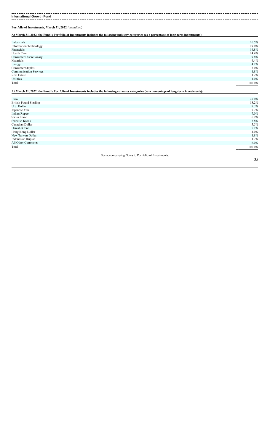$- - - - - -$ **International Growth Fund** ------------------

**Portfolio of Investments, March 31, 2022** *(unaudited)*

**At March 31, 2022, the Fund's Portfolio of Investments includes the following industry categories (as a percentage of long-term investments):**

| 26.5%  |
|--------|
| 19.0%  |
| 14.8%  |
| 14.4%  |
| 9.8%   |
| 4.4%   |
| 4.1%   |
| 3.0%   |
| 1.8%   |
| 1.2%   |
| 1.0%   |
| 100.0% |
|        |

#### **At March 31, 2022, the Fund's Portfolio of Investments includes the following currency categories (as a percentage of long-term investments):**

| Euro                                                | 27.0%   |
|-----------------------------------------------------|---------|
| <b>British Pound Sterling</b>                       | 13.2%   |
| U.S. Dollar                                         | 8.3%    |
| Japanese Yen                                        | 7.7%    |
| <b>Indian Rupee</b>                                 | 7.0%    |
| Swiss Franc                                         | 6.9%    |
| Swedish Krona                                       | 5.8%    |
| Canadian Dollar                                     | 5.5%    |
| Danish Krone                                        | 5.1%    |
| Hong Kong Dollar                                    | 4.0%    |
| New Taiwan Dollar                                   | 1.8%    |
| Indonesian Rupiah                                   | 1.7%    |
| All Other Currencies                                | $6.0\%$ |
| Total                                               | 100.0%  |
|                                                     |         |
| See accompanying Notes to Portfolio of Investments. |         |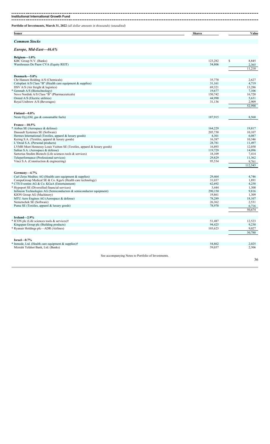| <b>Issuer</b><br><b>Shares</b><br><b>Common Stocks</b><br>Europe, Mid-East-46.6%<br>Belgium $-1.0\%$<br>\$<br>KBC Group N.V. (Banks)<br>123,282<br>Warehouses De Pauw CVA (Equity REIT)<br>54,806<br>Denmark-5.0%<br>Chr Hansen Holding A/S (Chemicals)<br>35,770<br>Coloplast A/S Class "B" (Health care equipment & supplies)<br>31,161<br>DSV $A/S$ (Air freight $\&$ logistics)<br>69,321<br>Genmab A/S (Biotechnology)<br>19,677<br>Novo Nordisk A/S Class "B" (Pharmaceuticals)<br>150,742<br>44,990<br>Orsted A/S (Electric utilities)<br>Royal Unibrew A/S (Beverages)<br>31,136<br>Finland-0.8%<br>Neste Oyj (Oil, gas & consumable fuels)<br>187,915<br>France-10.5%<br>164,229<br>Dassault Systemes SE (Software)<br>205,730<br>4,301<br>Hermes International (Textiles, apparel & luxury goods)<br>16,387<br>Kering S.A. (Textiles, apparel $&$ luxury goods)<br>L'Oreal S.A. (Personal products)<br>28,781<br>16,893<br>LVMH Moet Hennessy Louis Vuitton SE (Textiles, apparel & luxury goods)<br>119,729<br>Safran S.A. (Aerospace & defense)<br>18,109<br>Sartorius Stedim Biotech (Life sciences tools & services)<br>29,829<br>Teleperformance (Professional services)<br>Vinci S.A. (Construction & engineering)<br>95,534<br>Germany-4.7%<br>Carl Zeiss Meditec AG (Health care equipment & supplies)<br>29,464<br>31,037<br>CompuGroup Medical SE & Co. KgaA (Health care technology)<br>62,692<br>3,444<br>Infineon Technologies AG (Semiconductors $\&$ semiconductor equipment)<br>290,150<br>KION Group AG (Machinery)<br>19,861<br>MTU Aero Engines AG (Aerospace & defense)<br>78,289<br>Nemetschek SE (Software)<br>26,362<br>78,970<br>Puma SE (Textiles, apparel & luxury goods)<br>Ireland-2.9%<br>51,487<br>Kingspan Group plc (Building products)<br>94,425<br>103,623<br>Israel $-0.7\%$<br>54,862 | Portfolio of Investments, March 31, 2022 (all dollar amounts in thousands) (unaudited) |        |                  |
|-------------------------------------------------------------------------------------------------------------------------------------------------------------------------------------------------------------------------------------------------------------------------------------------------------------------------------------------------------------------------------------------------------------------------------------------------------------------------------------------------------------------------------------------------------------------------------------------------------------------------------------------------------------------------------------------------------------------------------------------------------------------------------------------------------------------------------------------------------------------------------------------------------------------------------------------------------------------------------------------------------------------------------------------------------------------------------------------------------------------------------------------------------------------------------------------------------------------------------------------------------------------------------------------------------------------------------------------------------------------------------------------------------------------------------------------------------------------------------------------------------------------------------------------------------------------------------------------------------------------------------------------------------------------------------------------------------------------------------------------------------------------------------------------------------------------------------------|----------------------------------------------------------------------------------------|--------|------------------|
|                                                                                                                                                                                                                                                                                                                                                                                                                                                                                                                                                                                                                                                                                                                                                                                                                                                                                                                                                                                                                                                                                                                                                                                                                                                                                                                                                                                                                                                                                                                                                                                                                                                                                                                                                                                                                                     |                                                                                        |        | Value            |
|                                                                                                                                                                                                                                                                                                                                                                                                                                                                                                                                                                                                                                                                                                                                                                                                                                                                                                                                                                                                                                                                                                                                                                                                                                                                                                                                                                                                                                                                                                                                                                                                                                                                                                                                                                                                                                     |                                                                                        |        |                  |
|                                                                                                                                                                                                                                                                                                                                                                                                                                                                                                                                                                                                                                                                                                                                                                                                                                                                                                                                                                                                                                                                                                                                                                                                                                                                                                                                                                                                                                                                                                                                                                                                                                                                                                                                                                                                                                     |                                                                                        |        |                  |
|                                                                                                                                                                                                                                                                                                                                                                                                                                                                                                                                                                                                                                                                                                                                                                                                                                                                                                                                                                                                                                                                                                                                                                                                                                                                                                                                                                                                                                                                                                                                                                                                                                                                                                                                                                                                                                     |                                                                                        |        |                  |
|                                                                                                                                                                                                                                                                                                                                                                                                                                                                                                                                                                                                                                                                                                                                                                                                                                                                                                                                                                                                                                                                                                                                                                                                                                                                                                                                                                                                                                                                                                                                                                                                                                                                                                                                                                                                                                     |                                                                                        |        | 8,845            |
|                                                                                                                                                                                                                                                                                                                                                                                                                                                                                                                                                                                                                                                                                                                                                                                                                                                                                                                                                                                                                                                                                                                                                                                                                                                                                                                                                                                                                                                                                                                                                                                                                                                                                                                                                                                                                                     |                                                                                        |        | 2,365<br>11,210  |
|                                                                                                                                                                                                                                                                                                                                                                                                                                                                                                                                                                                                                                                                                                                                                                                                                                                                                                                                                                                                                                                                                                                                                                                                                                                                                                                                                                                                                                                                                                                                                                                                                                                                                                                                                                                                                                     |                                                                                        |        |                  |
|                                                                                                                                                                                                                                                                                                                                                                                                                                                                                                                                                                                                                                                                                                                                                                                                                                                                                                                                                                                                                                                                                                                                                                                                                                                                                                                                                                                                                                                                                                                                                                                                                                                                                                                                                                                                                                     |                                                                                        |        | 2,627            |
|                                                                                                                                                                                                                                                                                                                                                                                                                                                                                                                                                                                                                                                                                                                                                                                                                                                                                                                                                                                                                                                                                                                                                                                                                                                                                                                                                                                                                                                                                                                                                                                                                                                                                                                                                                                                                                     |                                                                                        |        | 4,719            |
|                                                                                                                                                                                                                                                                                                                                                                                                                                                                                                                                                                                                                                                                                                                                                                                                                                                                                                                                                                                                                                                                                                                                                                                                                                                                                                                                                                                                                                                                                                                                                                                                                                                                                                                                                                                                                                     |                                                                                        |        | 13,286           |
|                                                                                                                                                                                                                                                                                                                                                                                                                                                                                                                                                                                                                                                                                                                                                                                                                                                                                                                                                                                                                                                                                                                                                                                                                                                                                                                                                                                                                                                                                                                                                                                                                                                                                                                                                                                                                                     |                                                                                        |        | 7,106            |
|                                                                                                                                                                                                                                                                                                                                                                                                                                                                                                                                                                                                                                                                                                                                                                                                                                                                                                                                                                                                                                                                                                                                                                                                                                                                                                                                                                                                                                                                                                                                                                                                                                                                                                                                                                                                                                     |                                                                                        |        | 16,720           |
| * Airbus SE (Aerospace & defense)                                                                                                                                                                                                                                                                                                                                                                                                                                                                                                                                                                                                                                                                                                                                                                                                                                                                                                                                                                                                                                                                                                                                                                                                                                                                                                                                                                                                                                                                                                                                                                                                                                                                                                                                                                                                   |                                                                                        |        | 5,631            |
|                                                                                                                                                                                                                                                                                                                                                                                                                                                                                                                                                                                                                                                                                                                                                                                                                                                                                                                                                                                                                                                                                                                                                                                                                                                                                                                                                                                                                                                                                                                                                                                                                                                                                                                                                                                                                                     |                                                                                        |        | 2,909<br>52,998  |
|                                                                                                                                                                                                                                                                                                                                                                                                                                                                                                                                                                                                                                                                                                                                                                                                                                                                                                                                                                                                                                                                                                                                                                                                                                                                                                                                                                                                                                                                                                                                                                                                                                                                                                                                                                                                                                     |                                                                                        |        |                  |
|                                                                                                                                                                                                                                                                                                                                                                                                                                                                                                                                                                                                                                                                                                                                                                                                                                                                                                                                                                                                                                                                                                                                                                                                                                                                                                                                                                                                                                                                                                                                                                                                                                                                                                                                                                                                                                     |                                                                                        |        | 8,568            |
|                                                                                                                                                                                                                                                                                                                                                                                                                                                                                                                                                                                                                                                                                                                                                                                                                                                                                                                                                                                                                                                                                                                                                                                                                                                                                                                                                                                                                                                                                                                                                                                                                                                                                                                                                                                                                                     |                                                                                        |        |                  |
|                                                                                                                                                                                                                                                                                                                                                                                                                                                                                                                                                                                                                                                                                                                                                                                                                                                                                                                                                                                                                                                                                                                                                                                                                                                                                                                                                                                                                                                                                                                                                                                                                                                                                                                                                                                                                                     |                                                                                        |        | 19,817           |
|                                                                                                                                                                                                                                                                                                                                                                                                                                                                                                                                                                                                                                                                                                                                                                                                                                                                                                                                                                                                                                                                                                                                                                                                                                                                                                                                                                                                                                                                                                                                                                                                                                                                                                                                                                                                                                     |                                                                                        |        | 10,107           |
|                                                                                                                                                                                                                                                                                                                                                                                                                                                                                                                                                                                                                                                                                                                                                                                                                                                                                                                                                                                                                                                                                                                                                                                                                                                                                                                                                                                                                                                                                                                                                                                                                                                                                                                                                                                                                                     |                                                                                        |        | 6,087            |
|                                                                                                                                                                                                                                                                                                                                                                                                                                                                                                                                                                                                                                                                                                                                                                                                                                                                                                                                                                                                                                                                                                                                                                                                                                                                                                                                                                                                                                                                                                                                                                                                                                                                                                                                                                                                                                     |                                                                                        |        | 10,346           |
|                                                                                                                                                                                                                                                                                                                                                                                                                                                                                                                                                                                                                                                                                                                                                                                                                                                                                                                                                                                                                                                                                                                                                                                                                                                                                                                                                                                                                                                                                                                                                                                                                                                                                                                                                                                                                                     |                                                                                        |        | 11,497           |
|                                                                                                                                                                                                                                                                                                                                                                                                                                                                                                                                                                                                                                                                                                                                                                                                                                                                                                                                                                                                                                                                                                                                                                                                                                                                                                                                                                                                                                                                                                                                                                                                                                                                                                                                                                                                                                     |                                                                                        |        | 12,058           |
|                                                                                                                                                                                                                                                                                                                                                                                                                                                                                                                                                                                                                                                                                                                                                                                                                                                                                                                                                                                                                                                                                                                                                                                                                                                                                                                                                                                                                                                                                                                                                                                                                                                                                                                                                                                                                                     |                                                                                        |        | 14,096           |
|                                                                                                                                                                                                                                                                                                                                                                                                                                                                                                                                                                                                                                                                                                                                                                                                                                                                                                                                                                                                                                                                                                                                                                                                                                                                                                                                                                                                                                                                                                                                                                                                                                                                                                                                                                                                                                     |                                                                                        |        | 7,414            |
|                                                                                                                                                                                                                                                                                                                                                                                                                                                                                                                                                                                                                                                                                                                                                                                                                                                                                                                                                                                                                                                                                                                                                                                                                                                                                                                                                                                                                                                                                                                                                                                                                                                                                                                                                                                                                                     |                                                                                        |        | 11,362           |
|                                                                                                                                                                                                                                                                                                                                                                                                                                                                                                                                                                                                                                                                                                                                                                                                                                                                                                                                                                                                                                                                                                                                                                                                                                                                                                                                                                                                                                                                                                                                                                                                                                                                                                                                                                                                                                     |                                                                                        |        | 9,761<br>112,545 |
|                                                                                                                                                                                                                                                                                                                                                                                                                                                                                                                                                                                                                                                                                                                                                                                                                                                                                                                                                                                                                                                                                                                                                                                                                                                                                                                                                                                                                                                                                                                                                                                                                                                                                                                                                                                                                                     |                                                                                        |        |                  |
| * CTS Eventim AG & Co. KGaA (Entertainment)                                                                                                                                                                                                                                                                                                                                                                                                                                                                                                                                                                                                                                                                                                                                                                                                                                                                                                                                                                                                                                                                                                                                                                                                                                                                                                                                                                                                                                                                                                                                                                                                                                                                                                                                                                                         |                                                                                        |        | 4,746            |
|                                                                                                                                                                                                                                                                                                                                                                                                                                                                                                                                                                                                                                                                                                                                                                                                                                                                                                                                                                                                                                                                                                                                                                                                                                                                                                                                                                                                                                                                                                                                                                                                                                                                                                                                                                                                                                     |                                                                                        |        | 1,891            |
|                                                                                                                                                                                                                                                                                                                                                                                                                                                                                                                                                                                                                                                                                                                                                                                                                                                                                                                                                                                                                                                                                                                                                                                                                                                                                                                                                                                                                                                                                                                                                                                                                                                                                                                                                                                                                                     |                                                                                        |        | 4,258            |
| * ICON plc (Life sciences tools & services)†<br>* Ryanair Holdings plc—ADR (Airlines)<br>* Inmode, Ltd. (Health care equipment & supplies)†                                                                                                                                                                                                                                                                                                                                                                                                                                                                                                                                                                                                                                                                                                                                                                                                                                                                                                                                                                                                                                                                                                                                                                                                                                                                                                                                                                                                                                                                                                                                                                                                                                                                                         | * Hypoport SE (Diversified financial services)                                         |        | 1,300            |
|                                                                                                                                                                                                                                                                                                                                                                                                                                                                                                                                                                                                                                                                                                                                                                                                                                                                                                                                                                                                                                                                                                                                                                                                                                                                                                                                                                                                                                                                                                                                                                                                                                                                                                                                                                                                                                     |                                                                                        |        | 9,816            |
|                                                                                                                                                                                                                                                                                                                                                                                                                                                                                                                                                                                                                                                                                                                                                                                                                                                                                                                                                                                                                                                                                                                                                                                                                                                                                                                                                                                                                                                                                                                                                                                                                                                                                                                                                                                                                                     |                                                                                        |        | 1,309            |
|                                                                                                                                                                                                                                                                                                                                                                                                                                                                                                                                                                                                                                                                                                                                                                                                                                                                                                                                                                                                                                                                                                                                                                                                                                                                                                                                                                                                                                                                                                                                                                                                                                                                                                                                                                                                                                     |                                                                                        |        | 18,107<br>2,531  |
|                                                                                                                                                                                                                                                                                                                                                                                                                                                                                                                                                                                                                                                                                                                                                                                                                                                                                                                                                                                                                                                                                                                                                                                                                                                                                                                                                                                                                                                                                                                                                                                                                                                                                                                                                                                                                                     |                                                                                        |        | 6,716            |
|                                                                                                                                                                                                                                                                                                                                                                                                                                                                                                                                                                                                                                                                                                                                                                                                                                                                                                                                                                                                                                                                                                                                                                                                                                                                                                                                                                                                                                                                                                                                                                                                                                                                                                                                                                                                                                     |                                                                                        |        | 50,674           |
|                                                                                                                                                                                                                                                                                                                                                                                                                                                                                                                                                                                                                                                                                                                                                                                                                                                                                                                                                                                                                                                                                                                                                                                                                                                                                                                                                                                                                                                                                                                                                                                                                                                                                                                                                                                                                                     |                                                                                        |        |                  |
|                                                                                                                                                                                                                                                                                                                                                                                                                                                                                                                                                                                                                                                                                                                                                                                                                                                                                                                                                                                                                                                                                                                                                                                                                                                                                                                                                                                                                                                                                                                                                                                                                                                                                                                                                                                                                                     |                                                                                        |        | 12,523           |
|                                                                                                                                                                                                                                                                                                                                                                                                                                                                                                                                                                                                                                                                                                                                                                                                                                                                                                                                                                                                                                                                                                                                                                                                                                                                                                                                                                                                                                                                                                                                                                                                                                                                                                                                                                                                                                     |                                                                                        |        | 9,230            |
|                                                                                                                                                                                                                                                                                                                                                                                                                                                                                                                                                                                                                                                                                                                                                                                                                                                                                                                                                                                                                                                                                                                                                                                                                                                                                                                                                                                                                                                                                                                                                                                                                                                                                                                                                                                                                                     |                                                                                        |        | 9,027            |
|                                                                                                                                                                                                                                                                                                                                                                                                                                                                                                                                                                                                                                                                                                                                                                                                                                                                                                                                                                                                                                                                                                                                                                                                                                                                                                                                                                                                                                                                                                                                                                                                                                                                                                                                                                                                                                     |                                                                                        |        | 30,780           |
|                                                                                                                                                                                                                                                                                                                                                                                                                                                                                                                                                                                                                                                                                                                                                                                                                                                                                                                                                                                                                                                                                                                                                                                                                                                                                                                                                                                                                                                                                                                                                                                                                                                                                                                                                                                                                                     |                                                                                        |        |                  |
|                                                                                                                                                                                                                                                                                                                                                                                                                                                                                                                                                                                                                                                                                                                                                                                                                                                                                                                                                                                                                                                                                                                                                                                                                                                                                                                                                                                                                                                                                                                                                                                                                                                                                                                                                                                                                                     | Mizrahi Tefahot Bank, Ltd. (Banks)                                                     | 59,037 | 2,025<br>2,306   |
| See accompanying Notes to Portfolio of Investments.                                                                                                                                                                                                                                                                                                                                                                                                                                                                                                                                                                                                                                                                                                                                                                                                                                                                                                                                                                                                                                                                                                                                                                                                                                                                                                                                                                                                                                                                                                                                                                                                                                                                                                                                                                                 |                                                                                        |        |                  |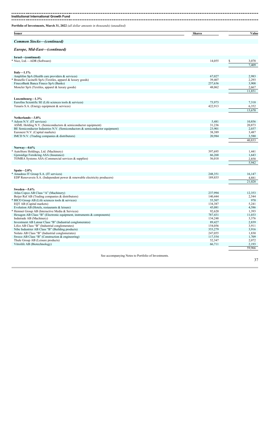| Portfolio of Investments, March 31, 2022 (all dollar amounts in thousands) (unaudited)                     |                    |                 |
|------------------------------------------------------------------------------------------------------------|--------------------|-----------------|
| <b>Issuer</b>                                                                                              | <b>Shares</b>      | Value           |
| <b>Common Stocks-(continued)</b>                                                                           |                    |                 |
| Europe, Mid-East-(continued)                                                                               |                    |                 |
| Israel-(continued)                                                                                         |                    |                 |
| * Nice, Ltd.—ADR (Software)                                                                                | 14,055             | \$<br>3,078     |
|                                                                                                            |                    | 7,409           |
| Italy- $1.1\%$                                                                                             |                    |                 |
| Amplifon SpA (Health care providers $&$ services)                                                          | 67,027             | 2,983           |
| * Brunello Cucinelli SpA (Textiles, apparel & luxury goods)                                                | 39,407             | 2,293           |
| FinecoBank Banca Fineco SpA (Banks)                                                                        | 257,636            | 3,908           |
| Moncler SpA (Textiles, apparel & luxury goods)                                                             | 48,062             | 2,667           |
|                                                                                                            |                    | 11,851          |
| Luxembourg-1.3%                                                                                            |                    |                 |
| Eurofins Scientific SE (Life sciences tools & services)                                                    | 73,973             | 7,318           |
| Tenaris S.A. (Energy equipment & services)                                                                 | 422,913            | 6,352           |
|                                                                                                            |                    | 13,670          |
| Netherlands-3.8%                                                                                           |                    |                 |
| * Adven N.V. (IT services)                                                                                 | 5,481              | 10,856          |
| ASML Holding N.V. (Semiconductors & semiconductor equipment)                                               | 31,236             | 20,873          |
| BE Semiconductor Industries N.V. (Semiconductors $\&$ semiconductor equipment)                             | 23,901             | 2,037           |
| Euronext N.V. (Capital markets)                                                                            | 38,389             | 3,487           |
| IMCD N.V. (Trading companies & distributors)                                                               | 20,984             | 3,580<br>40,833 |
|                                                                                                            |                    |                 |
| Norway— $0.6\%$                                                                                            |                    |                 |
| * AutoStore Holdings, Ltd. (Machinery)                                                                     | 397,695            | 1,441           |
| Gjensidige Forsikring ASA (Insurance)<br>TOMRA Systems ASA (Commercial services & supplies)                | 66,268<br>56,018   | 1,643           |
|                                                                                                            |                    | 2,858<br>5,942  |
|                                                                                                            |                    |                 |
| Spain- $2.0\%$<br>* Amadeus IT Group S.A. (IT services)                                                    | 248,351            | 16,147          |
| EDP Renovaveis S.A. (Independent power & renewable electricity producers)                                  | 189,835            | 4,881           |
|                                                                                                            |                    | 21,028          |
|                                                                                                            |                    |                 |
| Sweden-5.6%                                                                                                |                    |                 |
| Atlas Copco AB Class "A" (Machinery)<br>Beijer Ref AB (Trading companies & distributors)                   | 237,994<br>140,444 | 12,353<br>2,544 |
| * BICO Group AB (Life sciences tools & services)                                                           | 55,507             | 970             |
| EQT AB (Capital markets)                                                                                   | 134,387            | 5,241           |
| Evolution AB (Hotels, restaurants & leisure)                                                               | 45,081             | 4,586           |
| * Hemnet Group AB (Interactive Media & Services)                                                           | 92,620             | 1,393           |
| Hexagon AB Class "B" (Electronic equipment, instruments & components)                                      | 787,431            | 11,033          |
| Indutrade AB (Machinery)                                                                                   | 134,248            | 3,376           |
| Investment AB Latour Class "B" (Industrial conglomerates)<br>Lifco AB Class "B" (Industrial conglomerates) | 89,427<br>154,056  | 2,839           |
| Nibe Industrier AB Class "B" (Building products)                                                           | 353,279            | 3,911<br>3,916  |
| Nolato AB Class "B" (Industrial conglomerates)                                                             | 247,055            | 1,830           |
| Sweco AB Class "B" (Construction & engineering)                                                            | 117,554            | 1,709           |
| Thule Group AB (Leisure products)                                                                          | 52,347             | 2,072           |
| Vitrolife AB (Biotechnology)                                                                               | 66,711             | 2,193           |
|                                                                                                            |                    | 59,966          |

See accompanying Notes to Portfolio of Investments.

37L,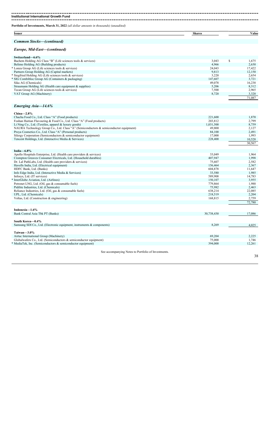#### ---------------**Institutional International Growth Fund**

**Portfolio of Investments, March 31, 2022** *(all dollar amounts in thousands) (unaudited)*

| Issuer                         | <b>Shares</b> | Value |
|--------------------------------|---------------|-------|
|                                |               |       |
| Stocks-<br>ommon<br>continued, |               |       |

### *Europe, Mid-East—(continued)*

| Switzerland—6.6%                                             |         |   |        |
|--------------------------------------------------------------|---------|---|--------|
| Bachem Holding AG Class "B" (Life sciences tools & services) | 3,043   | ъ | 1,675  |
| Belimo Holding AG (Building products)                        | 4,966   |   | 2,630  |
| * Lonza Group AG (Life sciences tools & services)            | 24,043  |   | 17,422 |
| Partners Group Holding AG (Capital markets)                  | 9,813   |   | 12,150 |
| * Siegfried Holding AG (Life sciences tools & services)      | 3,220   |   | 2,654  |
| * SIG Combibloc Group AG (Containers & packaging)            | 147.607 |   | 3,721  |
| Sika AG (Chemicals)                                          | 49.078  |   | 16,238 |
| Straumann Holding AG (Health care equipment & supplies)      | 5.206   |   | 8,312  |
| Tecan Group AG (Life sciences tools & services)              | 7,500   |   | 2,965  |
| VAT Group AG (Machinery)                                     | 8,720   |   | 3,320  |
|                                                              |         |   | 71,087 |

### *Emerging Asia—14.6%*

| China $-2.8\%$                                                                        |            |        |
|---------------------------------------------------------------------------------------|------------|--------|
| Chacha Food Co., Ltd. Class "A" (Food products)                                       | 221,600    | 1,870  |
| Foshan Haitian Flavouring & Food Co., Ltd. Class "A" (Food products)                  | 203,812    | 2,799  |
| Li Ning Co., Ltd. (Textiles, apparel & luxury goods)                                  | 1,031,500  | 8,759  |
| NAURA Technology Group Co., Ltd. Class "A" (Semiconductors & semiconductor equipment) | 49,800     | 2,127  |
| Proya Cosmetics Co., Ltd. Class "A" (Personal products)                               | 84,100     | 2,491  |
| Silergy Corporation (Semiconductors & semiconductor equipment)                        | 17,000     | 1,993  |
| Tencent Holdings, Ltd. (Interactive Media & Services)                                 | 228,400    | 10,528 |
|                                                                                       |            | 30,567 |
|                                                                                       |            |        |
| India $-6.8\%$                                                                        |            |        |
| Apollo Hospitals Enterprise, Ltd. (Health care providers & services)                  | 33,049     | 1,964  |
| Crompton Greaves Consumer Electricals, Ltd. (Household durables)                      | 407,947    | 1,998  |
| Dr. Lal PathLabs, Ltd. (Health care providers & services)                             | 75,607     | 2,582  |
| Havells India, Ltd. (Electrical equipment)                                            | 156,464    | 2,367  |
| HDFC Bank, Ltd. (Banks)                                                               | 604,878    | 11,647 |
| Info Edge India, Ltd. (Interactive Media & Services)                                  | 33,580     | 1,985  |
| Infosys, Ltd. (IT services)                                                           | 589,908    | 14,783 |
| InterGlobe Aviation, Ltd. (Airlines)                                                  | 150,107    | 3,955  |
| Petronet LNG, Ltd. (Oil, gas & consumable fuels)                                      | 779,864    | 1,988  |
| Pidilite Industries, Ltd. (Chemicals)                                                 | 75,982     | 2,463  |
| Reliance Industries, Ltd. (Oil, gas & consumable fuels)                               | 638,214    | 22,085 |
| UPL, Ltd. (Chemicals)                                                                 | 218,519    | 2,204  |
| Voltas, Ltd. (Construction & engineering)                                             | 168,815    | 2,759  |
|                                                                                       |            | 72.780 |
|                                                                                       |            |        |
| Indonesia-1.6%                                                                        |            |        |
| Bank Central Asia Tbk PT (Banks)                                                      | 30,738,430 | 17,086 |
|                                                                                       |            |        |
| South Korea-0.4%                                                                      |            |        |
| Samsung SDI Co., Ltd. (Electronic equipment, instruments & components)                | 8,269      | 4,025  |
|                                                                                       |            |        |
| Taiwan $-3.0\%$                                                                       |            |        |
| Airtac International Group (Machinery)                                                | 69,204     | 2,225  |
| Globalwafers Co., Ltd. (Semiconductors & semiconductor equipment)                     | 75,000     | 1,746  |
| * MediaTek, Inc. (Semiconductors & semiconductor equipment)                           | 394,000    | 12,261 |
|                                                                                       |            |        |
|                                                                                       |            |        |

See accompanying Notes to Portfolio of Investments.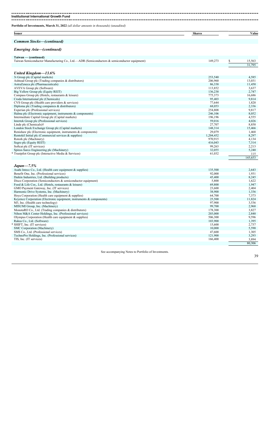| Portfolio of Investments, March 31, 2022 (all dollar amounts in thousands) (unaudited)      |               |         |
|---------------------------------------------------------------------------------------------|---------------|---------|
| <b>Issuer</b>                                                                               | <b>Shares</b> | Value   |
| <b>Common Stocks-(continued)</b>                                                            |               |         |
| <b>Emerging Asia-(continued)</b>                                                            |               |         |
| Taiwan — (continued)                                                                        |               |         |
| Taiwan Semiconductor Manufacturing Co., Ltd.—ADR (Semiconductors & semiconductor equipment) | 149,273<br>\$ | 15,563  |
|                                                                                             |               | 31,795  |
| United Kingdom-13.6%                                                                        |               |         |
| 3i Group plc (Capital markets)                                                              | 253,540       | 4,585   |
| Ashtead Group plc (Trading companies & distributors)                                        | 206,960       | 13,031  |
| AstraZeneca plc (Pharmaceuticals)                                                           | 86,338        | 11,450  |
| AVEVA Group plc (Software)                                                                  | 113,852       | 3,637   |
| Big Yellow Group plc (Equity REIT)                                                          | 136,238       | 2,747   |
| Compass Group plc (Hotels, restaurants & leisure)                                           | 775,373       | 16,686  |
| Croda International plc (Chemicals)                                                         | 95,403        | 9.814   |
| CVS Group plc (Health care providers & services)                                            | 77,644        | 1,820   |
| Diploma plc (Trading companies & distributors)                                              | 68,053        | 2,336   |
| Experian plc (Professional services)                                                        | 254,808       | 9,817   |
| Halma plc (Electronic equipment, instruments $\&$ components)                               | 246,106       | 8,052   |
| Intermediate Capital Group plc (Capital markets)                                            | 196,196       | 4,555   |
| Intertek Group plc (Professional services)                                                  | 59,016        | 4,026   |
| Linde plc (Chemicals) <sup>†</sup>                                                          | 27,707        | 8,850   |
| London Stock Exchange Group plc (Capital markets)                                           | 148,314       | 15,466  |
| Renishaw plc (Electronic equipment, instruments & components)                               | 29,079        | 1.468   |
| Rentokil Initial plc (Commercial services & supplies)                                       | 1,204,452     | 8,297   |
| Rotork plc (Machinery)                                                                      | 970,915       | 4,134   |
| Segro plc (Equity REIT)                                                                     | 416,043       | 7,314   |
| Softcat plc (IT services)                                                                   | 99,263        | 2,213   |
| Spirax-Sarco Engineering plc (Machinery)                                                    | 32.055        | 5,240   |
| * Trustpilot Group plc (Interactive Media & Services)                                       | 61,032        | 115     |
|                                                                                             |               | 145.653 |

| $Japan - 7.5\%$                                                      |         |        |
|----------------------------------------------------------------------|---------|--------|
| Asahi Intecc Co., Ltd. (Health care equipment & supplies)            | 135,500 | 2,643  |
| Benefit One, Inc. (Professional services)                            | 92,000  | 1,931  |
| Daikin Industries, Ltd. (Building products)                          | 45,400  | 8,245  |
| Disco Corporation (Semiconductors & semiconductor equipment)         | 5,800   | 1,622  |
| Food & Life Cos., Ltd. (Hotels, restaurants & leisure)               | 69,800  | 1,947  |
| GMO Payment Gateway, Inc. (IT services)                              | 23,600  | 2,404  |
| Harmonic Drive Systems, Inc. (Machinery)                             | 38,900  | 1,336  |
| Hoya Corporation (Health care equipment $&$ supplies)                | 64,700  | 7,373  |
| Keyence Corporation (Electronic equipment, instruments & components) | 25,500  | 11,824 |
| M3, Inc. (Health care technology)                                    | 97,900  | 3,536  |
| MISUMI Group, Inc. (Machinery)                                       | 99,700  | 2,968  |
| MonotaRO Co., Ltd. (Trading companies & distributors)                | 178,300 | 3,827  |
| Nihon M&A Center Holdings, Inc. (Professional services)              | 203,000 | 2,840  |
| Olympus Corporation (Health care equipment & supplies)               | 506,300 | 9,596  |
| Rakus Co., Ltd. (Software)                                           | 103,900 | 1,395  |
| SHIFT, Inc. (IT services)                                            | 15,600  | 2,737  |
| SMC Corporation (Machinery)                                          | 10,000  | 5,590  |
| SMS Co., Ltd. (Professional services)                                | 47,600  | 1,305  |
| TechnoPro Holdings, Inc. (Professional services)                     | 121,900 | 3,293  |
| TIS, Inc. (IT services)                                              | 166,400 | 3,894  |
|                                                                      |         | 80,306 |

See accompanying Notes to Portfolio of Investments.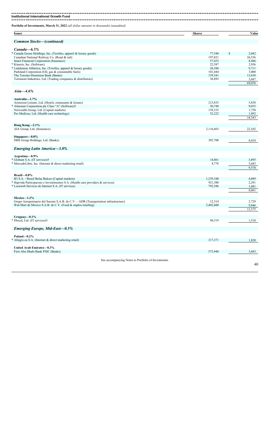---------------------**Institutional International Growth Fund**

| Issuer                                                                                       | <b>Shares</b>     | Value           |
|----------------------------------------------------------------------------------------------|-------------------|-----------------|
| <b>Common Stocks-(continued)</b>                                                             |                   |                 |
| $Canada - 6.5\%$                                                                             |                   |                 |
| * Canada Goose Holdings, Inc. (Textiles, apparel & luxury goods)                             | 77,540            | \$<br>2,042     |
| Canadian National Railway Co. (Road & rail)                                                  | 197,821           | 26,536          |
| Intact Financial Corporation (Insurance)                                                     | 57,433            | 8,486           |
| * Kinaxis, Inc. (Software)                                                                   | 22,587            | 2,956           |
| * Lululemon Athletica, Inc. (Textiles, apparel & luxury goods)                               | 26,588            | 9,711           |
| Parkland Corporation (Oil, gas & consumable fuels)                                           | 101,444           | 3,000           |
| The Toronto-Dominion Bank (Banks)                                                            | 159,541           | 12,658          |
| Toromont Industries, Ltd. (Trading companies & distributors)                                 | 38,893            | 3,687           |
|                                                                                              |                   | 69,076          |
| $Asia - 4.6\%$                                                                               |                   |                 |
| Australia-1.7%                                                                               |                   |                 |
| Aristocrat Leisure, Ltd. (Hotels, restaurants & leisure)                                     | 215,835<br>30,748 | 5,858           |
| * Atlassian Corporation plc Class "A" (Software)†<br>Netwealth Group, Ltd. (Capital markets) | 158,333           | 9,035<br>1,758  |
| Pro Medicus, Ltd. (Health care technology)                                                   | 52,222            | 1,892           |
|                                                                                              |                   | 18,543          |
|                                                                                              |                   |                 |
| Hong Kong-2.1%<br>AIA Group, Ltd. (Insurance)                                                | 2,116,663         | 22,102          |
|                                                                                              |                   |                 |
| Singapore-0.8%                                                                               |                   |                 |
| DBS Group Holdings, Ltd. (Banks)                                                             | 305,700           | 8,010           |
| <b>Emerging Latin America–3.0%</b>                                                           |                   |                 |
| Argentina-0.9%                                                                               |                   |                 |
| * Globant S.A. (IT services)†                                                                | 14,861            | 3,895           |
| * MercadoLibre, Inc. (Internet & direct marketing retail)                                    | 4,778             | 5,683           |
|                                                                                              |                   | 9,578           |
| Brazil $-0.8\%$                                                                              |                   |                 |
| B3 S.A. - Brasil Bolsa Balcao (Capital markets)                                              | 1,239,100         | 4,089           |
| * Hapvida Participacoes e Investimentos S.A. (Health care providers & services)              | 921,380           | 2,291           |
| * Locaweb Servicos de Internet S.A. (IT services)                                            | 792,586           | 1,681           |
|                                                                                              |                   | 8,061           |
| Mexico-1.2%                                                                                  |                   |                 |
| Grupo Aeroportuario del Sureste S.A.B. de C.V.—ADR (Transportation infrastructure)           | 12,314            | 2,729           |
| Wal-Mart de Mexico S.A.B. de C.V. (Food & staples retailing)                                 | 2,402,600         | 9,846<br>12,575 |
|                                                                                              |                   |                 |
| Uruguay $-0.1\%$                                                                             |                   |                 |
| * Dlocal, Ltd. (IT services)†                                                                | 48,319            | 1,510           |

*Emerging Europe, Mid-East—0.5%* **Poland—0.2%**

**United Arab Emirates—0.3%** First Abu Dhabi Bank PJSC (Banks) 573,940 3,683

See accompanying Notes to Portfolio of Investments.

\* Allegro.eu S.A. (Internet & direct marketing retail) 217,271 1,820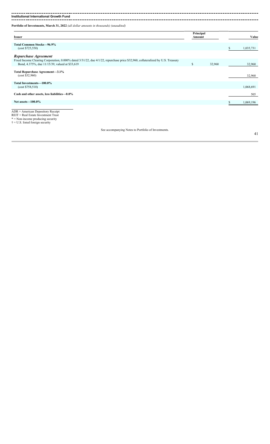. . . . . ---------

**Institutional International Growth Fund** 

**Portfolio of Investments, March 31, 2022** *(all dollar amounts in thousands) (unaudited)*

| <b>Issuer</b>                                                                                                                                                                     | Principal<br>Amount |        | Value     |
|-----------------------------------------------------------------------------------------------------------------------------------------------------------------------------------|---------------------|--------|-----------|
| <b>Total Common Stocks-96.9%</b><br>(cost \$725,550)                                                                                                                              |                     |        | 1,035,731 |
| Repurchase Agreement                                                                                                                                                              |                     |        |           |
| Fixed Income Clearing Corporation, 0.000% dated 3/31/22, due 4/1/22, repurchase price \$32,960, collateralized by U.S. Treasury<br>Bond, 4.375%, due 11/15/39, valued at \$33,619 | S                   | 32,960 | 32,960    |
| Total Repurchase Agreement-3.1%<br>(cost \$32,960)                                                                                                                                |                     |        | 32,960    |
| Total Investments-100.0%<br>(cost \$758,510)                                                                                                                                      |                     |        | 1,068,691 |
| Cash and other assets, less liabilities-0.0%                                                                                                                                      |                     |        | 505       |
| Net assets $-100.0\%$                                                                                                                                                             |                     |        | 1,069,196 |
|                                                                                                                                                                                   |                     |        |           |

ADR = American Depository Receipt REIT = Real Estate Investment Trust

\* = Non-income producing security † = U.S. listed foreign security

See accompanying Notes to Portfolio of Investments.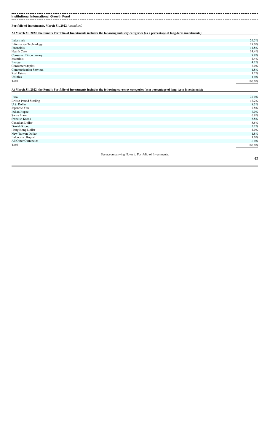**Institutional International Growth Fund**

**Portfolio of Investments, March 31, 2022** *(unaudited)*

**At March 31, 2022, the Fund's Portfolio of Investments includes the following industry categories (as a percentage of long-term investments):**

| 26.5%  |
|--------|
| 19.0%  |
| 14.8%  |
| 14.4%  |
| 9.8%   |
| 4.4%   |
| 4.1%   |
| 3.0%   |
| 1.8%   |
| 1.2%   |
| 1.0%   |
| 100.0% |
|        |

**At March 31, 2022, the Fund's Portfolio of Investments includes the following currency categories (as a percentage of long-term investments):**

| Euro                          |                                                     | 27.0%   |
|-------------------------------|-----------------------------------------------------|---------|
| <b>British Pound Sterling</b> |                                                     | 13.2%   |
| U.S. Dollar                   |                                                     | 8.3%    |
| Japanese Yen                  |                                                     | 7.8%    |
| <b>Indian Rupee</b>           |                                                     | 7.0%    |
| Swiss Franc                   |                                                     | 6.9%    |
| Swedish Krona                 |                                                     | 5.8%    |
| Canadian Dollar               |                                                     | 5.5%    |
| Danish Krone                  |                                                     | 5.1%    |
| Hong Kong Dollar              |                                                     | 4.0%    |
| New Taiwan Dollar             |                                                     | 1.8%    |
| Indonesian Rupiah             |                                                     | 1.6%    |
| All Other Currencies          |                                                     | $6.0\%$ |
| Total                         | 100.0%                                              |         |
|                               |                                                     |         |
|                               | See accompanying Notes to Portfolio of Investments. |         |
|                               |                                                     | 42      |
|                               |                                                     |         |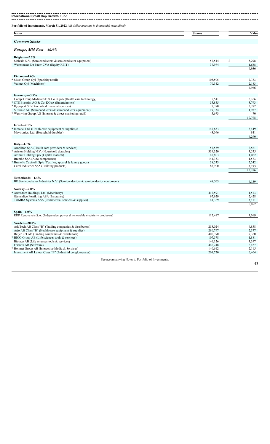| <b>Issuer</b>                                                                                                     | <b>Shares</b>      | Value           |
|-------------------------------------------------------------------------------------------------------------------|--------------------|-----------------|
| <b>Common Stocks</b>                                                                                              |                    |                 |
| Europe, Mid-East-40.9%                                                                                            |                    |                 |
| Belgium $-2.3\%$                                                                                                  |                    |                 |
| Melexis N.V. (Semiconductors & semiconductor equipment)                                                           | 57,544             | \$<br>5,298     |
| Warehouses De Pauw CVA (Equity REIT)                                                                              | 37,974             | 1,638<br>6,936  |
|                                                                                                                   |                    |                 |
| Finland-1.6%                                                                                                      |                    |                 |
| Musti Group Oyj (Specialty retail)<br>Valmet Oyj (Machinery)                                                      | 105,505<br>70,342  | 2,783<br>2,183  |
|                                                                                                                   |                    | 4,966           |
|                                                                                                                   |                    |                 |
| Germany-3.5%<br>CompuGroup Medical SE & Co. KgaA (Health care technology)                                         | 35,541             | 2,166           |
| CTS Eventim AG & Co. KGaA (Entertainment)                                                                         | 55,855             | 3,793           |
| * Hypoport SE (Diversified financial services)<br>Siltronic AG (Semiconductors & semiconductor equipment)         | 7,370<br>19,334    | 2,782<br>1,987  |
| * Westwing Group AG (Internet & direct marketing retail)                                                          | 5,673              | 70              |
|                                                                                                                   |                    | 10,798          |
| Israel- $2.1\%$                                                                                                   |                    |                 |
| Inmode, Ltd. (Health care equipment $&$ supplies) $\dagger$                                                       | 147,633            | 5,449           |
| Maytronics, Ltd. (Household durables)                                                                             | 43,096             | 841             |
|                                                                                                                   |                    | 6,290           |
| Italy $-4.3\%$                                                                                                    |                    |                 |
| Amplifon SpA (Health care providers $&$ services)                                                                 | 57,559             | 2,561           |
| Ariston Holding N.V. (Household durables)<br>Azimut Holding SpA (Capital markets)                                 | 339,320<br>45,803  | 3,555<br>1,062  |
| Brembo SpA (Auto components)                                                                                      | 141,353            | 1,573           |
| Brunello Cucinelli SpA (Textiles, apparel & luxury goods)                                                         | 38,533             | 2,242           |
| Carel Industries SpA (Building products)                                                                          | 85,900             | 2,193<br>13,186 |
|                                                                                                                   |                    |                 |
| Netherlands-1.4%                                                                                                  |                    |                 |
| BE Semiconductor Industries N.V. (Semiconductors & semiconductor equipment)                                       | 48,563             | 4,139           |
| Norway- $2.0\%$                                                                                                   |                    |                 |
| AutoStore Holdings, Ltd. (Machinery)                                                                              | 417,591            | 1,513           |
| Gjensidige Forsikring ASA (Insurance)<br>TOMRA Systems ASA (Commercial services & supplies)                       | 97,929<br>41,369   | 2,428<br>2,111  |
|                                                                                                                   |                    | 6,052           |
|                                                                                                                   |                    |                 |
| $Spain-1.0%$<br>EDP Renovaveis S.A. (Independent power & renewable electricity producers)                         | 117,417            | 3,019           |
|                                                                                                                   |                    |                 |
| Sweden $-20.0\%$                                                                                                  |                    |                 |
| AddTech AB Class "B" (Trading companies & distributors)<br>Arjo AB Class "B" (Health care equipment $&$ supplies) | 253,024<br>280,797 | 4,858<br>2,377  |
| Beijer Ref AB (Trading companies & distributors)                                                                  | 406,390            | 7,360           |
| BICO Group AB (Life sciences tools & services)                                                                    | 107,578            | 1,881           |
| Biotage AB (Life sciences tools $&$ services)<br>Fortnox AB (Software)                                            | 146,126<br>446,248 | 3,397<br>2,427  |
| Hemnet Group AB (Interactive Media & Services)                                                                    | 140,612            | 2,115           |
| Investment AB Latour Class "B" (Industrial conglomerates)                                                         | 201,720            | 6,404           |
| See accompanying Notes to Portfolio of Investments.                                                               |                    |                 |
|                                                                                                                   |                    | 43              |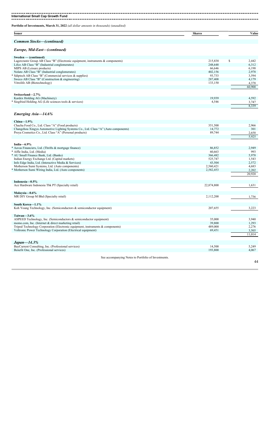**International Small Cap Growth Fund** \_\_\_\_\_\_\_\_\_\_\_\_\_\_

**Portfolio of Investments, March 31, 2022** *(all dollar amounts in thousands) (unaudited)*

| <b>Issuer</b>                                      | <b>Shares</b> | ⁄ alue |
|----------------------------------------------------|---------------|--------|
|                                                    |               |        |
| $.$ $\alpha$ <i>mmar</i><br>Stocks<br>l eontuun ed |               |        |

### *Europe, Mid-East—(continued)*

| Sweden — (continued)                                                            |         |   |        |
|---------------------------------------------------------------------------------|---------|---|--------|
| Lagercrantz Group AB Class "B" (Electronic equipment, instruments & components) | 215,838 | S | 2,442  |
| Lifco AB Class "B" (Industrial conglomerates)                                   | 248,648 |   | 6,312  |
| MIPS AB (Leisure products)                                                      | 66,646  |   | 6,198  |
| Nolato AB Class "B" (Industrial conglomerates)                                  | 402,156 |   | 2,978  |
| Sdiptech AB Class "B" (Commercial services & supplies)                          | 93,733  |   | 3,594  |
| Sweco AB Class "B" (Construction $\&$ engineering)                              | 287,408 |   | 4,179  |
| Vitrolife AB (Biotechnology)                                                    | 133,150 |   | 4,378  |
|                                                                                 |         |   | 60,900 |
|                                                                                 |         |   |        |
| Switzerland-2.7%                                                                |         |   |        |
| Kardex Holding AG (Machinery)                                                   | 19.939  |   | 4,592  |
| * Siegfried Holding AG (Life sciences tools & services)                         | 4,546   |   | 3,747  |
|                                                                                 |         |   | 8,339  |

#### *Emerging Asia—14.6%*

| Emerging Asia-14.6%                                                                |            |        |
|------------------------------------------------------------------------------------|------------|--------|
| $China-1.9%$                                                                       |            |        |
| Chacha Food Co., Ltd. Class "A" (Food products)                                    | 351,500    | 2,966  |
| Changzhou Xingyu Automotive Lighting Systems Co., Ltd. Class "A" (Auto components) | 14,772     | 301    |
| Proya Cosmetics Co., Ltd. Class "A" (Personal products)                            | 89,744     | 2,658  |
|                                                                                    |            | 5,925  |
| India $-6.9\%$                                                                     |            |        |
| * Aavas Financiers, Ltd. (Thrifts & mortgage finance)                              | 86,852     | 2,949  |
| * Affle India, Ltd. (Media)                                                        | 60,663     | 993    |
| * AU Small Finance Bank, Ltd. (Banks)                                              | 366,482    | 5,978  |
| Indian Energy Exchange Ltd. (Capital markets)                                      | 525,747    | 1,543  |
| Info Edge India, Ltd. (Interactive Media & Services)                               | 43,504     | 2,572  |
| Motherson Sumi Systems, Ltd. (Auto components)                                     | 2,560,421  | 4,683  |
| * Motherson Sumi Wiring India, Ltd. (Auto components)                              | 2,582,453  | 2,202  |
|                                                                                    |            | 20,920 |
| Indonesia-0.5%                                                                     |            |        |
| Ace Hardware Indonesia Tbk PT (Specialty retail)                                   | 22,874,800 | 1,631  |
| Malaysia-0.6%                                                                      |            |        |
| MR DIY Group M Bhd (Specialty retail)                                              | 2,112,200  | 1,736  |
| South Korea-1.1%                                                                   |            |        |
| Koh Young Technology, Inc. (Semiconductors & semiconductor equipment)              | 207,655    | 3,223  |
| Taiwan $-3.6\%$                                                                    |            |        |
| ASPEED Technology, Inc. (Semiconductors & semiconductor equipment)                 | 35,000     | 3,940  |
| momo.com, Inc. (Internet & direct marketing retail)                                | 39,800     | 1,293  |
| Tripod Technology Corporation (Electronic equipment, instruments & components)     | 489,000    | 2,276  |
| Voltronic Power Technology Corporation (Electrical equipment)                      | 69,451     | 3,505  |
|                                                                                    |            | 11,014 |
| $Japan - 14.3\%$                                                                   |            |        |
| BayCurrent Consulting, Inc. (Professional services)                                | 14,500     | 5,249  |
| Benefit One, Inc. (Professional services)                                          | 193,800    | 4,067  |
|                                                                                    |            |        |
| See accompanying Notes to Portfolio of Investments.                                |            |        |
|                                                                                    |            | 44     |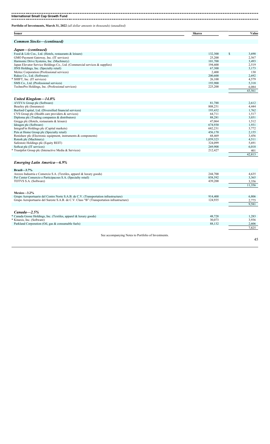**Portfolio of Investments, March 31, 2022** *(all dollar amounts in thousands) (unaudited)*

**Issuer Shares Value** *Common Stocks—(continued) Japan—(continued)* Food & Life Cos., Ltd. (Hotels, restaurants & leisure) 3,690 \$ 3,690 GMO Payment Gateway, Inc. (IT services) 25,567 Harmonic Drive Systems, Inc. (Machinery) 3,493 Japan Elevator Service Holdings Co., Ltd. (Commercial services & supplies) 194,600 2,519 JINS Holdings, Inc. (Specialty retail) 67,300 3,173 Meitec Corporation (Professional services) 2,400 130 Rakus Co., Ltd. (Software) 200,600 2,692 \* SHIFT, Inc. (IT services) 26,100 4,579 SMS Co., Ltd. (Professional services) 5,318 TechnoPro Holdings, Inc. (Professional services) 225,200 225,200 6,084 43,561 *United Kingdom—14.0%* AVEVA Group plc (Software) 2,612 Beazley plc (Insurance) 2008,251 4,444 Burford Capital, Ltd. (Diversified financial services) 193,432 1,762  $CVS$  Group plc (Health care providers  $\&$  services) 64,711 1,517 Exercise plc (Insurance)<br>
Buzzley plc (Insurance)<br>
Burford Capital, Ltd. (Diversified financial services)<br>
Burford Capital, Ltd. (Diversified financial services)<br>
Diploma plc (Trading companies & distributors)<br>
Since 193,4 Greggs plc (Hotels, restaurants & leisure) 47,064 1,512 Ideagen plc (Software) 674,930 1,931 1,931 1,932 1,932 1,933 1,933 1,933 1,934 1,933 1,934 1,935 1,934 1,935 1,934 1,935 1,934 1,935 1,935 1,935 1,935 1,936 1,937 1,938 1,938 1,938 1,938 1,938 1,938 1,938 1,938 1,938 1,938 IntegraFin Holdings plc (Capital markets) 3,772 Pets at Home Group plc (Specialty retail) 2,155 Renishaw plc (Electronic equipment, instruments & components) 68,469 3,456 Rotork plc (Machinery) and the set of the set of the set of the set of the set of the set of the set of the set of the set of the set of the set of the set of the set of the set of the set of the set of the set of the set Safestore Holdings plc (Equity REIT) 5,691 Softcat plc (IT services) 6,018 6 and 5 and 5 and 5 and 5 and 5 and 5 and 5 and 5 and 5 and 5 and 5 and 5 and 5 and 5 and 5 and 5 and 5 and 5 and 5 and 5 and 5 and 5 and 5 and 5 and 5 and 5 and 5 and 5 and 5 and 5 and 5 an \* Trustpilot Group plc (Interactive Media & Services) 212,427 212,427 401 42,813 *Emerging Latin America—6.9%* **Brazil—3.7%** Arezzo Industria e Comercio S.A. (Textiles, apparel & luxury goods) 244,700 4,635 Pet Center Comercio e Participacoes S.A. (Specialty retail) 3,365 Pet Center Comercio e Participacoes S.A. (Specialty retail)<br>
TOTVS S.A. (Software)<br>
439,200 3,356 11,356 **Mexico—3.2%** Grupo Aeroportuario del Centro Norte S.A.B. de C.V. (Transportation infrastructure) 914,400 914,400 6,806 Grupo Aeroportuario del Sureste S.A.B. de C.V. Class "B" (Transportation infrastructure) 124,935 124,935 2,775 2,775<br>9,581 *Canada—2.5%* \* Canada Goose Holdings, Inc. (Textiles, apparel & luxury goods) 48,728 1,283 1,283 1,283 1,283 1,283 1,283 1,283 1,283 1,283 1,283 1,283 1,283 1,283 1,283 1,283 1,283 1,283 1,283 1,283 1,283 1,283 1,283 1,283 1,283 1,283 \* Kinaxis, Inc. (Software) 30,073 3,936 Parkland Corporation (Oil, gas & consumable fuels) 88,132 2,606 7,825 See accompanying Notes to Portfolio of Investments.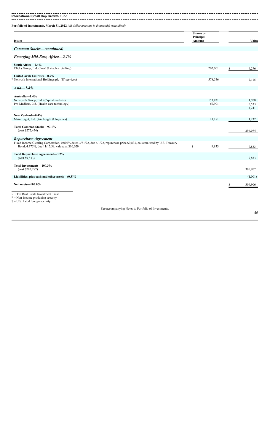**Portfolio of Investments, March 31, 2022** *(all dollar amounts in thousands) (unaudited)*

| <b>Issuer</b>                                                                                                                                                                    | <b>Shares</b> or<br>Principal<br>Amount |                   |    | Value                   |
|----------------------------------------------------------------------------------------------------------------------------------------------------------------------------------|-----------------------------------------|-------------------|----|-------------------------|
| <b>Common Stocks–(continued)</b>                                                                                                                                                 |                                         |                   |    |                         |
| Emerging Mid-East, Africa-2.1%                                                                                                                                                   |                                         |                   |    |                         |
| South Africa-1.4%<br>Clicks Group, Ltd. (Food & staples retailing)                                                                                                               |                                         | 202,001           | \$ | 4,276                   |
| United Arab Emirates-0.7%<br>* Network International Holdings plc (IT services)                                                                                                  |                                         | 578,556           |    | 2,115                   |
| $Asia-1.8\%$                                                                                                                                                                     |                                         |                   |    |                         |
| Australia-1.4%<br>Netwealth Group, Ltd. (Capital markets)<br>Pro Medicus, Ltd. (Health care technology)                                                                          |                                         | 153,821<br>69,901 |    | 1,708<br>2,533<br>4,241 |
| New Zealand-0.4%<br>Mainfreight, Ltd. (Air freight & logistics)                                                                                                                  |                                         | 21,181            |    | 1,232                   |
| Total Common Stocks-97.1%<br>(cost \$272,454)                                                                                                                                    |                                         |                   |    | 296,074                 |
| Repurchase Agreement                                                                                                                                                             |                                         |                   |    |                         |
| Fixed Income Clearing Corporation, 0.000% dated 3/31/22, due 4/1/22, repurchase price \$9,833, collateralized by U.S. Treasury<br>Bond, 4.375%, due 11/15/39, valued at \$10,029 | \$                                      | 9,833             |    | 9,833                   |
| Total Repurchase Agreement-3.2%<br>(cost \$9,833)                                                                                                                                |                                         |                   |    | 9,833                   |
| Total Investments-100.3%<br>(cost \$282,287)                                                                                                                                     |                                         |                   |    | 305,907                 |
| Liabilities, plus cash and other assets $-(0.3)\%$                                                                                                                               |                                         |                   |    | (1,001)                 |
| Net assets-100.0%                                                                                                                                                                |                                         |                   | £. | 304,906                 |
| REIT = Real Estate Investment Trust<br>$* =$ Non-income producing security                                                                                                       |                                         |                   |    |                         |

 $\dagger$  = U.S. listed foreign security

See accompanying Notes to Portfolio of Investments.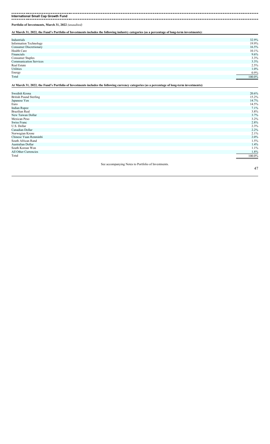**Portfolio of Investments, March 31, 2022** *(unaudited)*

**At March 31, 2022, the Fund's Portfolio of Investments includes the following industry categories (as a percentage of long-term investments):**

| 32.9%  |
|--------|
| 19.9%  |
| 16.5%  |
| 10.1%  |
| 9.6%   |
| 3.3%   |
| 3.3%   |
| 2.5%   |
| 1.0%   |
| 0.9%   |
| 100.0% |
|        |

**At March 31, 2022, the Fund's Portfolio of Investments includes the following currency categories (as a percentage of long-term investments):**

| Swedish Krona                                       | 20.6%  |
|-----------------------------------------------------|--------|
| <b>British Pound Sterling</b>                       | 15.2%  |
| Japanese Yen                                        | 14.7%  |
| Euro                                                | 14.5%  |
| <b>Indian Rupee</b>                                 | 7.1%   |
| <b>Brazilian Real</b>                               | 3.8%   |
| New Taiwan Dollar                                   | 3.7%   |
| Mexican Peso                                        | 3.2%   |
| Swiss Franc                                         | 2.8%   |
| U.S. Dollar                                         | 2.3%   |
| Canadian Dollar                                     | 2.2%   |
| Norwegian Krone                                     | 2.1%   |
| Chinese Yuan Renminbi                               | 2.0%   |
| South African Rand                                  | 1.5%   |
| Australian Dollar                                   | 1.4%   |
| South Korean Won                                    | 1.1%   |
| All Other Currencies                                | 1.8%   |
| Total                                               | 100.0% |
|                                                     |        |
| See accompanying Notes to Portfolio of Investments. |        |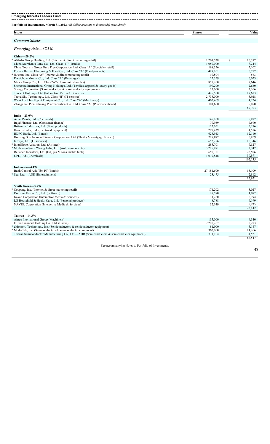#### -------------------**Emerging Markets Leaders Fund**<br> **Emerging Markets Leaders Fund Portfolio of Investments, March 31, 2022** *(all dollar amounts in thousands) (unaudited)* **Issuer Shares Value** *Common Stocks*

#### *Emerging Asia—67.3%*

| $China=20.2\%$                                                                 |           |              |
|--------------------------------------------------------------------------------|-----------|--------------|
| * Alibaba Group Holding, Ltd. (Internet & direct marketing retail)             | 1,201,528 | \$<br>16,397 |
| China Merchants Bank Co., Ltd. Class "H" (Banks)                               | 1,059,000 | 8,244        |
| China Tourism Group Duty Free Corporation, Ltd. Class "A" (Specialty retail)   | 198,356   | 5,102        |
| Foshan Haitian Flavouring & Food Co., Ltd. Class "A" (Food products)           | 489,101   | 6,717        |
| * JD.com, Inc. Class "A" (Internet & direct marketing retail)                  | 19,804    | 563          |
| Kweichow Moutai Co., Ltd. Class "A" (Beverages)                                | 22,359    | 6,023        |
| Midea Group Co., Ltd. Class "A" (Household durables)                           | 857,200   | 7,646        |
| Shenzhou International Group Holdings, Ltd. (Textiles, apparel & luxury goods) | 199.200   | 2,630        |
| Silergy Corporation (Semiconductors & semiconductor equipment)                 | 27,000    | 3,166        |
| Tencent Holdings, Ltd. (Interactive Media & Services)                          | 425,500   | 19,613       |
| TravelSky Technology, Ltd. Class "H" (IT services)                             | 2,738,000 | 3,928        |
| Wuxi Lead Intelligent Equipment Co., Ltd. Class "A" (Machinery)                | 462.469   | 4,224        |
| Zhangzhou Pientzehuang Pharmaceutical Co., Ltd. Class "A" (Pharmaceuticals)    | 101,600   | 5,050        |
|                                                                                |           | 89,303       |
|                                                                                |           |              |

|            | 5,872                                                       |
|------------|-------------------------------------------------------------|
|            | 7,590                                                       |
|            | 5,176                                                       |
|            | 4,516                                                       |
| 628,943    | 12,110                                                      |
| 219,877    | 6,859                                                       |
| 652,286    | 16,346                                                      |
| 285,701    | 7,527                                                       |
| 3,215,871  | 2,742                                                       |
| 650,381    | 22,506                                                      |
| 1,079,848  | 10,891                                                      |
|            | 102,135                                                     |
|            |                                                             |
|            |                                                             |
| 27,181,600 | 15,109                                                      |
|            | 2,812                                                       |
|            | 17,921                                                      |
|            |                                                             |
|            |                                                             |
| 171,202    | 3,027                                                       |
| 28,570     | 1,087                                                       |
| 71,260     | 6,194                                                       |
| 8,788      | 6,199                                                       |
|            | 8.935                                                       |
|            | 25,442                                                      |
|            |                                                             |
|            |                                                             |
| 135,000    | 4,340                                                       |
| 7,210,267  | 8,273                                                       |
| 81,000     | 5,147                                                       |
| 362,000    | 11,266                                                      |
| 331,104    | 34,521                                                      |
|            | 63.547                                                      |
|            | 145,108<br>79,939<br>122,651<br>298,439<br>23,475<br>32,149 |

See accompanying Notes to Portfolio of Investments.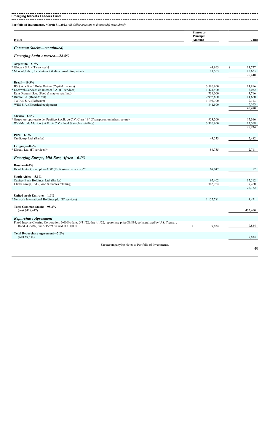**Emerging Markets Leaders Fund** ------------------

**Portfolio of Investments, March 31, 2022** *(all dollar amounts in thousands) (unaudited)*

| Issuer                           | <b>Shares</b> or<br>Principal<br>Amount | Value |
|----------------------------------|-----------------------------------------|-------|
| <b>Common Stocks-(continued)</b> |                                         |       |

## *Emerging Latin America—24.8%*

| Argentina-5.7%                                                                                                                 |             |              |
|--------------------------------------------------------------------------------------------------------------------------------|-------------|--------------|
| * Globant S.A. (IT services)†                                                                                                  | 44,863      | \$<br>11,757 |
| * MercadoLibre, Inc. (Internet & direct marketing retail)                                                                      | 11,503      | 13,683       |
|                                                                                                                                |             | 25,440       |
| $Brazil - 10.3%$                                                                                                               |             |              |
| B3 S.A. - Brasil Bolsa Balcao (Capital markets)                                                                                | 3,580,900   | 11,816       |
| * Locaweb Servicos de Internet S.A. (IT services)                                                                              | 1,424,400   | 3,022        |
| Raia Drogasil S.A. (Food & staples retailing)                                                                                  | 739,000     | 3,716        |
| Rumo S.A. (Road & rail)<br>∗                                                                                                   | 2,992,600   | 11,660       |
| TOTVS S.A. (Software)                                                                                                          | 1,192,700   | 9,113        |
| WEG S.A. (Electrical equipment)                                                                                                | 841,500     | 6,163        |
|                                                                                                                                |             | 45.490       |
| Mexico-6.5%                                                                                                                    |             |              |
| Grupo Aeroportuario del Pacifico S.A.B. de C.V. Class "B" (Transportation infrastructure)                                      | 953,200     | 15,366       |
| Wal-Mart de Mexico S.A.B. de C.V. (Food & staples retailing)                                                                   | 3,310,900   | 13,568       |
|                                                                                                                                |             | 28,934       |
|                                                                                                                                |             |              |
| $Peru-1.7%$                                                                                                                    |             |              |
| Credicorp, Ltd. (Banks)†                                                                                                       | 43,533      | 7,482        |
| Uruguay $-0.6\%$                                                                                                               |             |              |
| Dlocal, Ltd. (IT services)†                                                                                                    | 86,735      | 2,711        |
| Emerging Europe, Mid-East, Africa-6.1%                                                                                         |             |              |
|                                                                                                                                |             |              |
| Russia-0.0%                                                                                                                    |             |              |
| HeadHunter Group plc—ADR (Professional services)**                                                                             | 69,047      | 52           |
| South Africa-5.1%                                                                                                              |             |              |
| Capitec Bank Holdings, Ltd. (Banks)                                                                                            | 97,402      | 15,512       |
| Clicks Group, Ltd. (Food & staples retailing)                                                                                  | 342,964     | 7,260        |
|                                                                                                                                |             | 22,772       |
|                                                                                                                                |             |              |
| United Arab Emirates-1.0%                                                                                                      |             |              |
| * Network International Holdings plc (IT services)                                                                             | 1,157,781   | 4,231        |
| Total Common Stocks-98.2%                                                                                                      |             |              |
| (cost \$418,447)                                                                                                               |             | 435,460      |
| <b>Repurchase Agreement</b>                                                                                                    |             |              |
| Fixed Income Clearing Corporation, 0.000% dated 3/31/22, due 4/1/22, repurchase price \$9,834, collateralized by U.S. Treasury |             |              |
| Bond, 4.250%, due 5/15/39, valued at \$10,030                                                                                  | \$<br>9,834 | 9,834        |
| Total Repurchase Agreement-2.2%<br>(cost \$9,834)                                                                              |             | 9,834        |
|                                                                                                                                |             |              |
| See accompanying Notes to Portfolio of Investments.                                                                            |             |              |
|                                                                                                                                |             | 49           |
|                                                                                                                                |             |              |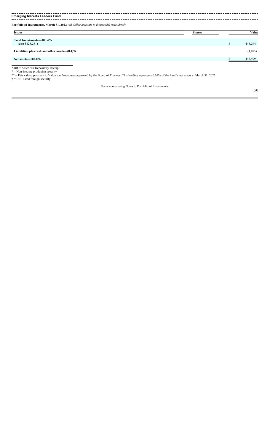#### 

**Emerging Markets Leaders Fund** 

| <b>Issuer</b>                                      | <b>Shares</b> | Value   |
|----------------------------------------------------|---------------|---------|
| Total Investments-100.4%<br>(cost \$428,281)       |               | 445,294 |
| Liabilities, plus cash and other assets $-(0.4)\%$ |               | (1,885) |
| Net assets $-100.0\%$                              |               | 443,409 |

ADR = American Depository Receipt

\* = Non-income producing security

\*\* = Fair valued pursuant to Valuation Procedures approved by the Board of Trustees. This holding represents 0.01% of the Fund's net assets at March 31, 2022.

† = U.S. listed foreign security

See accompanying Notes to Portfolio of Investments.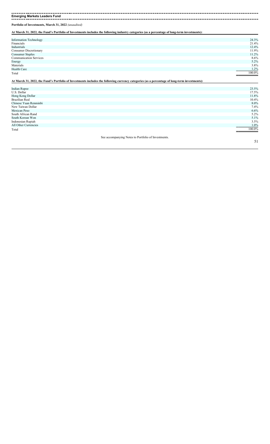**Emerging Markets Leaders Fund**

**Portfolio of Investments, March 31, 2022** *(unaudited)*

**At March 31, 2022, the Fund's Portfolio of Investments includes the following industry categories (as a percentage of long-term investments):**

| 24.3%  |
|--------|
| 21.4%  |
| 12.4%  |
| 11.9%  |
| 11.2%  |
| 8.6%   |
| 5.2%   |
| 3.8%   |
| 1.2%   |
| 100.0% |
|        |
|        |
|        |

| <b>Indian Rupee</b>   | 23.5%    |
|-----------------------|----------|
| U.S. Dollar           | 17.5%    |
| Hong Kong Dollar      | 11.8%    |
| <b>Brazilian Real</b> | $10.4\%$ |
| Chinese Yuan Renminbi | $8.0\%$  |
| New Taiwan Dollar     | 7.4%     |
| Mexican Peso          | 6.6%     |
| South African Rand    | 5.2%     |
| South Korean Won      | 5.1%     |
| Indonesian Rupiah     | 3.5%     |
| All Other Currencies  | 1.0%     |
| Total                 | 100.0%   |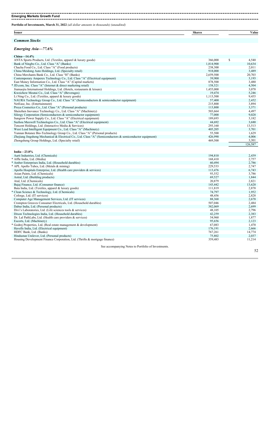### 

**Emerging Markets Growth Fund** 

**Portfolio of Investments, March 31, 2022** *(all dollar amounts in thousands) (unaudited)*

| Issuer            | <b>Shares</b> | ⁄ alue |
|-------------------|---------------|--------|
|                   |               |        |
| <b>CONTRACTOR</b> |               |        |

## *Common Stocks*

#### *Emerging Asia—77.6%*

| $China=14.4\%$                                                                                            |           |                |
|-----------------------------------------------------------------------------------------------------------|-----------|----------------|
| ANTA Sports Products, Ltd. (Textiles, apparel & luxury goods)                                             | 366,000   | \$<br>4,540    |
| Bank of Ningbo Co., Ltd. Class "A" (Banks)                                                                | 1,814,900 | 10,634         |
| Chacha Food Co., Ltd. Class "A" (Food products)                                                           | 238,300   | 2,011          |
| China Meidong Auto Holdings, Ltd. (Specialty retail)                                                      | 918,000   | 3,489          |
| China Merchants Bank Co., Ltd. Class "H" (Banks)                                                          | 2,659,500 | 20,703         |
| Contemporary Amperex Technology Co., Ltd. Class "A" (Electrical equipment)                                | 39,900    | 3,193          |
| East Money Information Co., Ltd. Class "A" (Capital markets)                                              | 878,500   | 3,480          |
| JD.com, Inc. Class "A" (Internet & direct marketing retail)                                               | 158,521   | 4,504          |
| Jiumaojiu International Holdings, Ltd. (Hotels, restaurants & leisure)                                    | 1,455,000 | 3,078          |
| Kweichow Moutai Co., Ltd. Class "A" (Beverages)                                                           | 19,474    | 5.246          |
| Li Ning Co., Ltd. (Textiles, apparel & luxury goods)                                                      | 1,113,500 | 9,455          |
| NAURA Technology Group Co., Ltd. Class "A" (Semiconductors & semiconductor equipment)                     | 57,400    | 2,452          |
| NetEase, Inc. (Entertainment)                                                                             | 215,800   | 3,894          |
| Proya Cosmetics Co., Ltd. Class "A" (Personal products)                                                   | 113,800   | 3,371          |
| Shenzhen Inovance Technology Co., Ltd. Class "A" (Machinery)                                              | 503,664   | 4,497          |
| Silergy Corporation (Semiconductors & semiconductor equipment)                                            | 77,000    | 9.028          |
| Sungrow Power Supply Co., Ltd. Class "A" (Electrical equipment)                                           | 189,693   | 3,182          |
| Suzhou Maxwell Technologies Co., Ltd. Class "A" (Electrical equipment)                                    | 44,692    | 3,680          |
| Tencent Holdings, Ltd. (Interactive Media & Services)                                                     | 293,160   | 13,513         |
| Wuxi Lead Intelligent Equipment Co., Ltd. Class "A" (Machinery)                                           | 405,205   | 3,701          |
| Yunnan Botanee Bio-Technology Group Co., Ltd. Class "A" (Personal products)                               | 55,500    | 1,629          |
| Zhejiang Jingsheng Mechanical & Electrical Co., Ltd. Class "A" (Semiconductors & semiconductor equipment) | 426,990   | 4,006          |
| Zhongsheng Group Holdings, Ltd. (Specialty retail)                                                        | 469,500   | 3,301          |
|                                                                                                           |           | 126,587        |
|                                                                                                           |           |                |
| India $-23.8\%$<br>Aarti Industries, Ltd. (Chemicals)                                                     | 194,810   | 2,439          |
| * Affle India, Ltd. (Media)                                                                               | 168,410   |                |
| * Amber Enterprises India, Ltd. (Household durables)                                                      | 60,494    | 2,757<br>2,786 |
|                                                                                                           | 229,533   | 2,747          |
| * APL Apollo Tubes, Ltd. (Metals & mining)                                                                |           |                |
| Apollo Hospitals Enterprise, Ltd. (Health care providers & services)                                      | 113,476   | 6,743          |
| Asian Paints, Ltd. (Chemicals)                                                                            | 93,552    | 3,786          |
| Astral, Ltd. (Building products)                                                                          | 69,527    | 1,844          |
| Atul, Ltd. (Chemicals)                                                                                    | 20,879    | 2,821          |
| Bajaj Finance, Ltd. (Consumer finance)                                                                    | 143,442   | 13,620         |
| Bata India, Ltd. (Textiles, apparel & luxury goods)                                                       | 111,819   | 2,878          |
| Clean Science & Technology, Ltd. (Chemicals)                                                              | 74,797    | 1,952          |
| Coforge, Ltd. (IT services)                                                                               | 48,456    | 2,828          |
| Computer Age Management Services, Ltd. (IT services)                                                      | 88,368    | 2,678          |
| Crompton Greaves Consumer Electricals, Ltd. (Household durables)                                          | 507,046   | 2,484          |
| Dabur India, Ltd. (Personal products)                                                                     | 382,069   | 2,699          |
| Divi's Laboratories, Ltd. (Life sciences tools & services)                                                |           | 2,796          |
|                                                                                                           | 48,105    | 2,383          |
| Dixon Technologies India, Ltd. (Household durables)                                                       | 42,259    |                |
| Dr. Lal PathLabs, Ltd. (Health care providers & services)                                                 | 54,960    | 1,877          |
| Escorts, Ltd. (Machinery)                                                                                 | 95,656    | 2,123          |
| Godrej Properties, Ltd. (Real estate management & development)                                            | 67,083    | 1,470          |
| Havells India, Ltd. (Electrical equipment)                                                                | 176,191   | 2,666          |
| HDFC Bank, Ltd. (Banks)                                                                                   | 767,261   | 14,774         |
| Hindustan Unilever, Ltd. (Personal products)                                                              | 75,802    | 2,037          |
| Housing Development Finance Corporation, Ltd. (Thrifts & mortgage finance)                                | 359,483   | 11,214         |

See accompanying Notes to Portfolio of Investments.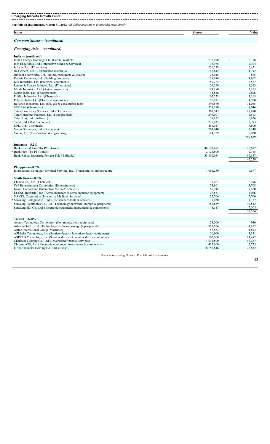#### **Emerging Markets Growth Fund**

-----------------------

**Portfolio of Investments, March 31, 2022** *(all dollar amounts in thousands) (unaudited)*

|        | $\sim$       |                    |
|--------|--------------|--------------------|
| Issuer | <b>Share</b> | ⁄ alue<br>$\cdots$ |
|        |              |                    |

### *Common Stocks—(continued)*

#### *Emerging Asia—(continued)*

| India — (continued)                                      |         |             |
|----------------------------------------------------------|---------|-------------|
| Indian Energy Exchange Ltd. (Capital markets)            | 735,070 | \$<br>2,158 |
| Info Edge India, Ltd. (Interactive Media & Services)     | 38,965  | 2,304       |
| Infosys, Ltd. (IT services)                              | 256,228 | 6,421       |
| JK Cement, Ltd. (Construction materials)                 | 43,644  | 1,392       |
| Jubilant Foodworks, Ltd. (Hotels, restaurants & leisure) | 25,045  | 865         |
| Kajaria Ceramics, Ltd. (Building products)               | 139,974 | 1,862       |
| KEI Industries, Ltd. (Electrical equipment)              | 157,262 | 2,587       |
| Larsen & Toubro Infotech, Ltd. (IT services)             | 56,599  | 4,563       |
| Minda Industries, Ltd. (Auto components)                 | 193,380 | 2,355       |
| Nestle India, Ltd. (Food products)                       | 11,818  | 2,696       |
| Pidilite Industries, Ltd. (Chemicals)                    | 102,223 | 3,313       |
| Polycab India, Ltd. (Electrical equipment)               | 56,911  | 1,760       |
| Reliance Industries, Ltd. (Oil, gas & consumable fuels)  | 896,860 | 31,035      |
| SRF, Ltd. (Chemicals)                                    | 228,510 | 8,046       |
| Tata Consultancy Services, Ltd. (IT services)            | 363,543 | 17,880      |
| Tata Consumer Products, Ltd. (Food products)             | 246,007 | 2,513       |
| Tata Elxsi, Ltd. (Software)                              | 58,815  | 6,826       |
| Trent, Ltd. (Multiline retail)                           | 225,835 | 3,793       |
| UPL, Ltd. (Chemicals)                                    | 456,047 | 4,600       |
| Varun Beverages, Ltd. (Beverages)                        | 263,940 | 3,248       |
| Voltas, Ltd. (Construction & engineering)                | 184,729 | 3,020       |
|                                                          |         | 209,639     |

| Indonesia-5.2%                                                                  |            |        |
|---------------------------------------------------------------------------------|------------|--------|
| Bank Central Asia Tbk PT (Banks)                                                | 46,193,495 | 25,677 |
| * Bank Jago Tbk PT (Banks)                                                      | 2,124,800  | 2,165  |
| Bank Rakyat Indonesia Persero Tbk PT (Banks)                                    | 53,834,051 | 17,387 |
|                                                                                 |            | 45,229 |
|                                                                                 |            |        |
| Philippines-0.5%                                                                |            |        |
| International Container Terminal Services, Inc. (Transportation infrastructure) | 1,061,280  | 4,597  |
|                                                                                 |            |        |
| South Korea-8.8%                                                                |            |        |
| Chunbo Co., Ltd. (Chemicals)                                                    | 9,063      | 2,496  |
| JYP Entertainment Corporation (Entertainment)                                   | 73,901     | 3,708  |
| Kakao Corporation (Interactive Media & Services)                                | 85,944     | 7,470  |
| LEENO Industrial, Inc. (Semiconductors $\&$ semiconductor equipment)            | 26,853     | 4,056  |
| NAVER Corporation (Interactive Media & Services)                                | 27,706     | 7,700  |
| Samsung Biologics Co., Ltd. (Life sciences tools & services)                    | 7,030      | 4,777  |
| Samsung Electronics Co., Ltd. (Technology hardware, storage & peripherals)      | 783,639    | 44,842 |
| Samsung SDI Co., Ltd. (Electronic equipment, instruments & components)          | 5,147      | 2,505  |
|                                                                                 |            | 77,554 |
| Taiwan $-22.8\%$                                                                |            |        |
| Accton Technology Corporation (Communications equipment)                        | 123,000    | 946    |
| Advantech Co., Ltd. (Technology hardware, storage & peripherals)                | 335,766    | 4,302  |
|                                                                                 |            |        |
| Airtac International Group (Machinery)                                          | 58,852     | 1,892  |
| ASMedia Technology, Inc. (Semiconductors & semiconductor equipment)             | 50,000     | 3,341  |
| ASPEED Technology, Inc. (Semiconductors $\&$ semiconductor equipment)           | 102,000    | 11,482 |
| Chailease Holding Co., Ltd. (Diversified financial services)                    | 1,514,800  | 13,287 |
| Chroma ATE, Inc. (Electronic equipment, instruments $\&$ components)            | 437,000    | 2,725  |
| E.Sun Financial Holding Co., Ltd. (Banks)                                       | 18,157,646 | 20,832 |

See accompanying Notes to Portfolio of Investments.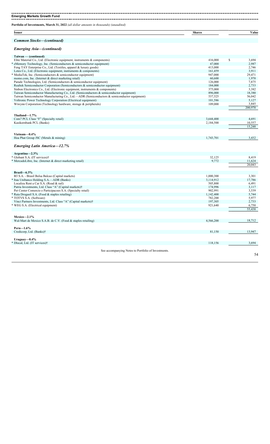| Portfolio of Investments, March 31, 2022 (all dollar amounts in thousands) (unaudited)      |               |                 |
|---------------------------------------------------------------------------------------------|---------------|-----------------|
| <b>Issuer</b>                                                                               | <b>Shares</b> | Value           |
| <b>Common Stocks–(continued)</b>                                                            |               |                 |
| <b>Emerging Asia-(continued)</b>                                                            |               |                 |
| Taiwan — (continued)                                                                        |               |                 |
| Elite Material Co., Ltd. (Electronic equipment, instruments & components)                   | 416,000       | \$<br>3,694     |
| * eMemory Technology, Inc. (Semiconductors & semiconductor equipment)                       | 47,000        | 2,987           |
| Feng TAY Enterprise Co., Ltd. (Textiles, apparel & luxury goods)                            | 413,000       | 2,746           |
| Lotes Co., Ltd. (Electronic equipment, instruments & components)                            | 161,459       | 3,911           |
| * MediaTek, Inc. (Semiconductors & semiconductor equipment)                                 | 947,000       | 29,471          |
| momo.com, Inc. (Internet & direct marketing retail)                                         | 60,600        | 1,970           |
| Parade Technologies, Ltd. (Semiconductors & semiconductor equipment)                        | 126,000       | 7,875           |
| Realtek Semiconductor Corporation (Semiconductors & semiconductor equipment)                | 184,000       | 2,733           |
| Sinbon Electronics Co., Ltd. (Electronic equipment, instruments & components)               | 375,000       | 3,382           |
| Taiwan Semiconductor Manufacturing Co., Ltd. (Semiconductors & semiconductor equipment)     | 896,000       | 18,380          |
| Taiwan Semiconductor Manufacturing Co., Ltd.—ADR (Semiconductors & semiconductor equipment) | 537,525       | 56,042          |
| Voltronic Power Technology Corporation (Electrical equipment)                               | 101,586       | 5,127           |
| Wiwynn Corporation (Technology hardware, storage & peripherals)                             | 109,000       | 3,845           |
|                                                                                             |               | 200,970         |
| Thailand-1.7%                                                                               |               |                 |
| Com7 PCL Class "F" (Specialty retail)                                                       | 3,644,400     | 4,691           |
| Kasikornbank PCL (Banks)                                                                    | 2,184,500     | 10,557          |
|                                                                                             |               | 15,248          |
| Vietnam-0.4%                                                                                |               |                 |
| Hoa Phat Group JSC (Metals & mining)                                                        | 1,743,701     | 3,432           |
| <b>Emerging Latin America-12.7%</b>                                                         |               |                 |
| Argentina-2.3%                                                                              |               |                 |
| * Globant S.A. (IT services)†                                                               | 32,125        | 8,419           |
| * MercadoLibre, Inc. (Internet & direct marketing retail)                                   | 9,772         | 11,624          |
|                                                                                             |               | 20,043          |
| Brazil- $6.3\%$                                                                             |               |                 |
| B3 S.A. - Brasil Bolsa Balcao (Capital markets)                                             | 1,000,300     | 3,301           |
| * Itau Unibanco Holding S.A.—ADR (Banks)                                                    | 3,114,912     | 17,786          |
| Localiza Rent a Car S.A. (Road & rail)                                                      | 505,800       | 6,491           |
| Patria Investments, Ltd. Class "A" (Capital markets)†                                       | 174,996       | 3,117           |
| Pet Center Comercio e Participacoes S.A. (Specialty retail)                                 | 902.991       | 3,539           |
| * Raia Drogasil S.A. (Food & staples retailing)                                             | 1,142,400     | 5,744           |
| * TOTVS S.A. (Software)                                                                     | 782,200       | 5,977           |
| Vinci Partners Investments, Ltd. Class "A" (Capital markets)†                               | 197,305       | 2,733           |
| * WEG S.A. (Electrical equipment)                                                           | 921,640       | 6,750<br>55,438 |
|                                                                                             |               |                 |
| Mexico-2.1%                                                                                 |               | 18,712          |
| Wal-Mart de Mexico S.A.B. de C.V. (Food & staples retailing)                                | 4,566,200     |                 |
| Peru-1.6%                                                                                   |               |                 |
| Credicorp, Ltd. (Banks)†                                                                    | 81,150        | 13,947          |
| Uruguay $-0.4\%$                                                                            |               |                 |
| * Dlocal, Ltd. (IT services)†                                                               | 118,156       | 3,694           |
|                                                                                             |               |                 |

See accompanying Notes to Portfolio of Investments.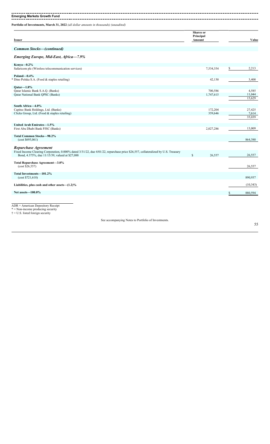*Common Stocks—(continued)*

**Emerging Markets Growth Fund** ----------------------------. \_ \_ \_ \_ \_ \_ \_ \_ \_ \_ \_ \_ \_ \_ \_ \_ \_ \_

**Portfolio of Investments, March 31, 2022** *(all dollar amounts in thousands) (unaudited)*

|        | Shares or |       |
|--------|-----------|-------|
|        | Principal |       |
| Issuer | Amount    | Value |
|        |           |       |

## *Emerging Europe, Mid-East, Africa—7.9%*

| Kenya-0.2%                                                                                                                       |             |           |   |           |
|----------------------------------------------------------------------------------------------------------------------------------|-------------|-----------|---|-----------|
| Safaricom plc (Wireless telecommunication services)                                                                              |             | 7,534,354 | S | 2,213     |
|                                                                                                                                  |             |           |   |           |
| Poland $-0.4\%$                                                                                                                  |             |           |   |           |
| Dino Polska S.A. (Food $&$ staples retailing)                                                                                    |             | 42,130    |   | 3,400     |
|                                                                                                                                  |             |           |   |           |
| Oatar $-1.8\%$                                                                                                                   |             |           |   |           |
| Qatar Islamic Bank S.A.Q. (Banks)                                                                                                |             | 700,586   |   | 4,585     |
| Qatar National Bank QPSC (Banks)                                                                                                 |             | 1,747,615 |   | 11,044    |
|                                                                                                                                  |             |           |   | 15,629    |
|                                                                                                                                  |             |           |   |           |
| South Africa-4.0%                                                                                                                |             |           |   |           |
| Capitec Bank Holdings, Ltd. (Banks)                                                                                              |             | 172,204   |   | 27,425    |
| Clicks Group, Ltd. (Food & staples retailing)                                                                                    |             | 359,646   |   | 7,614     |
|                                                                                                                                  |             |           |   | 35,039    |
|                                                                                                                                  |             |           |   |           |
| United Arab Emirates-1.5%                                                                                                        |             |           |   |           |
| First Abu Dhabi Bank PJSC (Banks)                                                                                                |             | 2,027,286 |   | 13,009    |
|                                                                                                                                  |             |           |   |           |
| <b>Total Common Stocks-98.2%</b>                                                                                                 |             |           |   | 864,380   |
| (cost \$695,061)                                                                                                                 |             |           |   |           |
|                                                                                                                                  |             |           |   |           |
| Repurchase Agreement                                                                                                             |             |           |   |           |
| Fixed Income Clearing Corporation, 0.000% dated 3/31/22, due 4/01/22, repurchase price \$26,557, collateralized by U.S. Treasury |             |           |   |           |
| Bond, 4.375%, due 11/15/39, valued at \$27,088                                                                                   | $\mathbf S$ | 26,557    |   | 26,557    |
|                                                                                                                                  |             |           |   |           |
| Total Repurchase Agreement-3.0%<br>(cost \$26,557)                                                                               |             |           |   | 26,557    |
|                                                                                                                                  |             |           |   |           |
| Total Investments-101.2%                                                                                                         |             |           |   |           |
| (cost \$721,618)                                                                                                                 |             |           |   | 890,937   |
|                                                                                                                                  |             |           |   |           |
| Liabilities, plus cash and other assets $-(1.2)\%$                                                                               |             |           |   | (10, 343) |
|                                                                                                                                  |             |           |   |           |
| Net assets-100.0%                                                                                                                |             |           |   | 880.594   |
|                                                                                                                                  |             |           |   |           |
|                                                                                                                                  |             |           |   |           |

ADR = American Depository Receipt

\* = Non-income producing security

 $\dagger$  = U.S. listed foreign security

See accompanying Notes to Portfolio of Investments.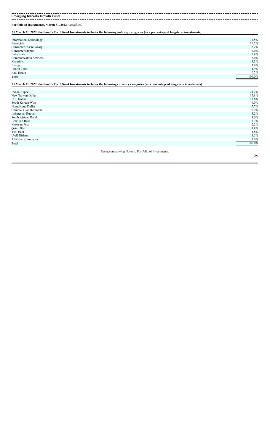**Emerging Markets Growth Fund**

**Portfolio of Investments, March 31, 2022** *(unaudited)*

**At March 31, 2022, the Fund's Portfolio of Investments includes the following industry categories (as a percentage of long-term investments):**

| <b>Information Technology</b> | 32.5%  |
|-------------------------------|--------|
| Financials                    | 30.5%  |
| Consumer Discretionary        | 8.2%   |
| Consumer Staples              | 7.0%   |
| Industrials                   | 6.8%   |
| <b>Communication Services</b> | 5.0%   |
| Materials                     | 4.3%   |
| Energy                        | 3.6%   |
| Health Care                   | 1.9%   |
| Real Estate                   | 0.2%   |
| Total                         | 100.0% |
|                               |        |

**At March 31, 2022, the Fund's Portfolio of Investments includes the following currency categories (as a percentage of long-term investments):**

| <b>Indian Rupee</b>   |                                                     | 24.2%   |
|-----------------------|-----------------------------------------------------|---------|
| New Taiwan Dollar     |                                                     | 17.8%   |
| U.S. Dollar           |                                                     | 13.6%   |
| South Korean Won      |                                                     | $9.0\%$ |
| Hong Kong Dollar      |                                                     | 7.7%    |
| Chinese Yuan Renminbi |                                                     | 5.9%    |
| Indonesian Rupiah     |                                                     | 5.2%    |
| South African Rand    |                                                     | 4.0%    |
| <b>Brazilian Real</b> |                                                     | 3.7%    |
| Mexican Peso          |                                                     | $2.2\%$ |
| Qatari Rial           |                                                     | 1.8%    |
| Thai Baht             |                                                     | 1.8%    |
| <b>UAE</b> Dirham     |                                                     | 1.5%    |
| All Other Currencies  |                                                     | 1.6%    |
| Total                 |                                                     | 100.0%  |
|                       |                                                     |         |
|                       | See accompanying Notes to Portfolio of Investments. |         |
|                       |                                                     | 56      |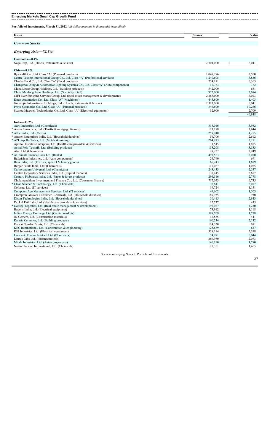# **Emerging Markets Small Cap Growth Fund**

| <b>Issuer</b>                                                                                                            | <b>Shares</b>    | Value          |
|--------------------------------------------------------------------------------------------------------------------------|------------------|----------------|
| <b>Common Stocks</b>                                                                                                     |                  |                |
| Emerging Asia-72.8%                                                                                                      |                  |                |
| Cambodia-0.4%                                                                                                            |                  |                |
| NagaCorp, Ltd. (Hotels, restaurants & leisure)                                                                           | 2,304,000        | 2,041<br>\$    |
| $China—8.9\%$                                                                                                            |                  |                |
| By-health Co., Ltd. Class "A" (Personal products)                                                                        | 1,048,776        | 3,500          |
| Centre Testing International Group Co., Ltd. Class "A" (Professional services)                                           | 1,240,605        | 3,836          |
| Chacha Food Co., Ltd. Class "A" (Food products)                                                                          | 754,171          | 6,363          |
| Changzhou Xingyu Automotive Lighting Systems Co., Ltd. Class "A" (Auto components)                                       | 17,763           | 362            |
| China Lesso Group Holdings, Ltd. (Building products)                                                                     | 542,000          | 651            |
| China Meidong Auto Holdings, Ltd. (Specialty retail)                                                                     | 972,000          | 3.694          |
| CIFI Ever Sunshine Services Group, Ltd. (Real estate management & development)                                           | 2,268,000        | 3,023          |
| Estun Automation Co., Ltd. Class "A" (Machinery)                                                                         | 445,800          | 1,403          |
| Jiumaojiu International Holdings, Ltd. (Hotels, restaurants & leisure)                                                   | 2,383,000        | 5,041          |
| Proya Cosmetics Co., Ltd. Class "A" (Personal products)                                                                  | 346,600          | 10,266         |
| Suzhou Maxwell Technologies Co., Ltd. Class "A" (Electrical equipment)                                                   | 32,900           | 2,709          |
|                                                                                                                          |                  | 40,848         |
| India $-33.2\%$                                                                                                          |                  |                |
| Aarti Industries, Ltd. (Chemicals)                                                                                       | 318,016          | 3,982          |
| Aavas Financiers, Ltd. (Thrifts & mortgage finance)                                                                      | 113,198          | 3,844          |
| * Affle India, Ltd. (Media)                                                                                              | 259,940          | 4,255          |
| * Amber Enterprises India, Ltd. (Household durables)                                                                     | 56,706           | 2,612          |
| * APL Apollo Tubes, Ltd. (Metals & mining)                                                                               | 264,913          | 3,171          |
| Apollo Hospitals Enterprise, Ltd. (Health care providers & services)                                                     | 31,545           | 1,875          |
| Astral Poly Technik, Ltd. (Building products)                                                                            | 133,208          | 3,533          |
| Atul, Ltd. (Chemicals)                                                                                                   | 29,227           | 3,949          |
| AU Small Finance Bank Ltd. (Banks)                                                                                       | 493,563          | 8,050          |
| Balkrishna Industries, Ltd. (Auto components)                                                                            | 24,760           | 691            |
| Bata India, Ltd. (Textiles, apparel & luxury goods)                                                                      | 65,243           | 1,679          |
| Berger Paints India, Ltd. (Chemicals)                                                                                    | 117,067          | 1,075          |
| Carborundum Universal, Ltd. (Chemicals)                                                                                  | 243,433          | 2,557          |
| Central Depository Services India, Ltd. (Capital markets)                                                                | 138,445          | 2,677          |
| Century Plyboards India, Ltd. (Paper & forest products)                                                                  | 294,516          | 2,778          |
| Cholamandalam Investment and Finance Co., Ltd. (Consumer finance)                                                        | 717,053          | 6,735          |
| Clean Science & Technology, Ltd. (Chemicals)                                                                             | 78,841           | 2,057          |
| Coforge, Ltd. (IT services)                                                                                              | 19,724<br>49,602 | 1,151<br>1,503 |
| Computer Age Management Services, Ltd. (IT services)<br>Crompton Greaves Consumer Electricals, Ltd. (Household durables) | 189,935          | 930            |
| Dixon Technologies India, Ltd. (Household durables)                                                                      | 50,415           | 2,843          |
| Dr. Lal PathLabs, Ltd. (Health care providers & services)                                                                | 12,737           | 435            |
| Godrej Properties, Ltd. (Real estate management & development)                                                           | 193,027          | 4,230          |
| Havells India, Ltd. (Electrical equipment)                                                                               | 73,912           | 1,118          |
| Indian Energy Exchange Ltd. (Capital markets)                                                                            | 598,709          | 1,758          |
| JK Cement, Ltd. (Construction materials)                                                                                 | 13,835           | 441            |
| Kajaria Ceramics, Ltd. (Building products)                                                                               | 160,234          | 2,132          |
| Kansai Nerolac Paints, Ltd. (Chemicals)                                                                                  | 114,320          | 691            |
| KEC International, Ltd. (Construction $\&$ engineering)                                                                  | 125,689          | 627            |
| KEI Industries, Ltd. (Electrical equipment)                                                                              | 328,114          | 5,398          |
| Larsen & Toubro Infotech Ltd. (IT services)                                                                              | 74,971           | 6,044          |
| Laurus Labs Ltd. (Pharmaceuticals)                                                                                       | 266,980          | 2,073          |
| Minda Industries, Ltd. (Auto components)                                                                                 | 146,190          | 1,780          |
|                                                                                                                          |                  |                |

Navin Fluorine International, Ltd. (Chemicals) 27,351 1,465

See accompanying Notes to Portfolio of Investments.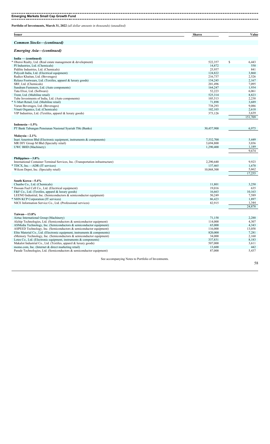#### **Emerging Markets Small Cap Growth Fund**

--------------------- $\frac{1}{2}$ --------------------

| <b>Issuer</b>                    | <b>Shares</b> | Value |
|----------------------------------|---------------|-------|
| <b>Common Stocks–(continued)</b> |               |       |
| <b>Emerging Asia-(continued)</b> |               |       |

| India — (continued)                                                             |            |    |         |
|---------------------------------------------------------------------------------|------------|----|---------|
| Oberoi Realty, Ltd. (Real estate management & development)                      | 522,357    | \$ | 6,443   |
| PI Industries, Ltd. (Chemicals)                                                 | 14,872     |    | 550     |
| Pidilite Industries, Ltd. (Chemicals)                                           | 25,957     |    | 841     |
| Polycab India, Ltd. (Electrical equipment)                                      | 124,822    |    | 3,860   |
| Radico Khaitan, Ltd. (Beverages)                                                | 216,737    |    | 2,526   |
| Relaxo Footwears, Ltd. (Textiles, apparel & luxury goods)                       | 154,245    |    | 2,167   |
| SRF, Ltd. (Chemicals)                                                           | 201,496    |    | 7.095   |
| Sundram Fasteners, Ltd. (Auto components)                                       | 164,247    |    | 1,934   |
| Tata Elxsi, Ltd. (Software)                                                     | 52,223     |    | 6,061   |
| Trent, Ltd. (Multiline retail)                                                  | 525,314    |    | 8,823   |
| Tube Investments of India, Ltd. (Auto components)                               | 105,513    |    | 2,238   |
| V-Mart Retail, Ltd. (Multiline retail)                                          | 71,898     |    | 3,689   |
| Varun Beverages, Ltd. (Beverages)                                               | 738,293    |    | 9,086   |
| Vinati Organics, Ltd. (Chemicals)                                               | 102,103    |    | 2,618   |
| VIP Industries, Ltd. (Textiles, apparel & luxury goods)                         | 373,126    |    | 3,639   |
|                                                                                 |            |    | 151,709 |
|                                                                                 |            |    |         |
| Indonesia-1.5%                                                                  |            |    |         |
| PT Bank Tabungan Pensiunan Nasional Syariah Tbk (Banks)                         | 30,457,900 |    | 6,975   |
|                                                                                 |            |    |         |
| Malaysia-2.1%                                                                   |            |    |         |
| Inari Amertron Bhd (Electronic equipment, instruments & components)             | 7,532,700  |    | 5,449   |
| MR DIY Group M Bhd (Specialty retail)                                           | 3,694,800  |    | 3,036   |
| UWC BHD (Machinery)                                                             | 1,290,400  |    | 1,189   |
|                                                                                 |            |    | 9,674   |
|                                                                                 |            |    |         |
| Philippines-3.8%                                                                |            |    |         |
| International Container Terminal Services, Inc. (Transportation infrastructure) | 2,290,640  |    | 9,923   |
| TDCX, Inc.—ADR (IT services)                                                    | 137,465    |    | 1,670   |
| Wilcon Depot, Inc. (Specialty retail)                                           | 10,868,300 |    | 5,662   |
|                                                                                 |            |    | 17,255  |
|                                                                                 |            |    |         |
| South Korea-5.4%                                                                |            |    |         |
| Chunbo Co., Ltd. (Chemicals)                                                    | 11,801     |    | 3,250   |
| Doosan Fuel Cell Co., Ltd. (Electrical equipment)                               | 19,016     |    | 635     |
| F&F Co., Ltd. (Textiles, apparel & luxury goods)                                | 16,663     |    | 10,163  |
| LEENO Industrial, Inc. (Semiconductors & semiconductor equipment)               | 50.249     |    | 7,589   |
| * NHN KCP Corporation (IT services)                                             | 86,423     |    | 1,897   |
| NICE Information Service Co., Ltd. (Professional services)                      | 82,915     |    | 1,344   |
|                                                                                 |            |    | 24,878  |
|                                                                                 |            |    |         |
| Taiwan-13.8%                                                                    |            |    |         |
| Airtac International Group (Machinery)                                          | 71,158     |    | 2,288   |
| Alchip Technologies, Ltd. (Semiconductors & semiconductor equipment)            | 114,000    |    | 4,307   |
| ASMedia Technology, Inc. (Semiconductors & semiconductor equipment)             | 65,000     |    | 4,343   |
| ASPEED Technology, Inc. (Semiconductors $\&$ semiconductor equipment)           | 116,000    |    | 13,058  |
| Elite Material Co., Ltd. (Electronic equipment, instruments & components)       | 820,000    |    | 7,281   |
| eMemory Technology, Inc. (Semiconductors & semiconductor equipment)             | 34,000     |    | 2,160   |
| Lotes Co., Ltd. (Electronic equipment, instruments & components)                | 337,831    |    | 8,183   |
| Makalot Industrial Co., Ltd. (Textiles, apparel & luxury goods)                 | 507,000    |    | 3,611   |
| momo.com, Inc. (Internet & direct marketing retail)                             | 13,600     |    | 442     |
| Parade Technologies, Ltd. (Semiconductors & semiconductor equipment)            | 87,000     |    | 5,437   |
|                                                                                 |            |    |         |
| See accompanying Notes to Portfolio of Investments.                             |            |    |         |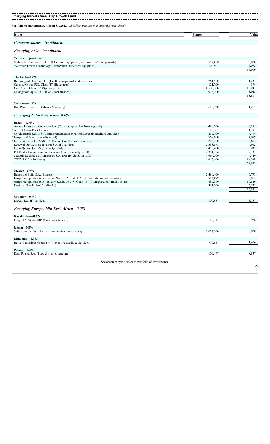| <b>Emerging Markets Small Cap Growth Fund</b>                                          |               |             |
|----------------------------------------------------------------------------------------|---------------|-------------|
| Portfolio of Investments, March 31, 2022 (all dollar amounts in thousands) (unaudited) |               |             |
| Issuer                                                                                 | <b>Shares</b> | Value       |
| <b>Common Stocks–(continued)</b>                                                       |               |             |
| Emerging Asia—(continued)                                                              |               |             |
| Taiwan — (continued)                                                                   |               |             |
| Sinbon Electronics Co., Ltd. (Electronic equipment, instruments $\&$ components)       | 757,000       | S.<br>6,828 |
| Voltronic Power Technology Corporation (Electrical equipment)                          | 100,507       | 5,072       |
|                                                                                        |               | 63,010      |
| Thailand-3.4%                                                                          |               |             |
| Bumrungrad Hospital PCL (Health care providers & services)                             | 261,500       | 1,231       |
| Carabao Group PCL Class "F" (Beverages)                                                | 121,700       | 394         |
| Com7 PCL Class "F" (Specialty retail)                                                  | 8,500,300     | 10,941      |
| Muangthai Capital PCL (Consumer finance)                                               | 1,936,700     | 3,045       |
|                                                                                        |               | 15,611      |

**Vietnam—0.3%**

| Hoa Phat Group JSC (Metals & mining)                                                     | 642,920    | 1,265  |
|------------------------------------------------------------------------------------------|------------|--------|
| <b>Emerging Latin America-18.6%</b>                                                      |            |        |
| $Brazil - 12.0%$                                                                         |            |        |
| Arezzo Industria e Comercio S.A. (Textiles, apparel & luxury goods)                      | 490,200    | 9,285  |
| * Azul S.A.—ADR (Airlines)                                                               | 85,103     | 1,281  |
| Cyrela Brazil Realty S.A. Empreendimentos e Participacoes (Household durables)           | 1,215,100  | 4,464  |
| * Grupo SBF S.A. (Specialty retail)                                                      | 767,600    | 4,079  |
| * Infracommerce CXAAS S.A. (Interactive Media & Services)                                | 1,203,400  | 3,614  |
| * Locaweb Servicos de Internet S.A. (IT services)                                        | 2,338,878  | 4,962  |
| Lojas Quero Quero S (Specialty retail)                                                   | 435,400    | 937    |
| Pet Center Comercio e Participacoes S.A. (Specialty retail)                              | 2,381,306  | 9,333  |
| * Sequoia Logistica e Transportes S.A. (Air freight & logistics)                         | 1,694,500  | 4,449  |
| TOTVS S.A. (Software)                                                                    | 1,647,400  | 12,588 |
|                                                                                          |            | 54,992 |
|                                                                                          |            |        |
| Mexico-5.9%                                                                              |            |        |
| Banco del Bajio S.A. (Banks)                                                             | 2,480,400  | 6,778  |
| Grupo Aeroportuario del Centro Norte S.A.B. de C.V. (Transportation infrastructure)      | 914,099    | 6,804  |
| Grupo Aeroportuario del Sureste S.A.B. de C.V. Class "B" (Transportation infrastructure) | 487,390    | 10,826 |
| Regional S.A.B. de C.V. (Banks)                                                          | 361,200    | 2,523  |
|                                                                                          |            | 26,931 |
|                                                                                          |            |        |
| Uruguay $-0.7\%$                                                                         |            |        |
| * Dlocal, Ltd. (IT services)†                                                            | 100,981    | 3,157  |
|                                                                                          |            |        |
| <b>Emerging Europe, Mid-East, Africa-7.7%</b>                                            |            |        |
|                                                                                          |            |        |
| Kazakhstan-0.2%                                                                          |            |        |
| Kaspi.KZ JSC-GDR (Consumer finance)                                                      | 18,713     | 928    |
|                                                                                          |            |        |
| Kenya- $0.8\%$                                                                           |            |        |
| Safaricom plc (Wireless telecommunication services)                                      | 13,027,160 | 3,828  |
|                                                                                          |            |        |
| Lithuania-0.3%                                                                           |            |        |
| Baltic Classifieds Group plc (Interactive Media & Services)                              | 779,857    | 1,406  |
|                                                                                          |            |        |
| Poland $-2.4\%$                                                                          |            |        |
| * Dino Polska S.A. (Food & staples retailing)                                            | 109,497    | 8,837  |
|                                                                                          |            |        |
| See accompanying Notes to Portfolio of Investments                                       |            |        |

See accompanying Notes to Portfolio of Investments.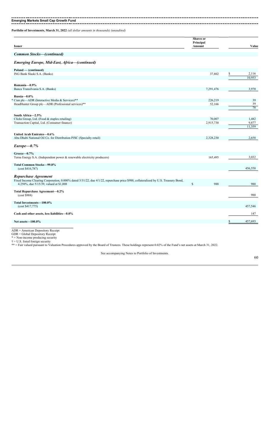#### **Emerging Markets Small Cap Growth Fund**

**Portfolio of Investments, March 31, 2022** *(all dollar amounts in thousands) (unaudited)*

| <b>Issuer</b>                                                                                                                                              | <b>Shares</b> or<br>Principal<br>Amount |                     | Value                    |
|------------------------------------------------------------------------------------------------------------------------------------------------------------|-----------------------------------------|---------------------|--------------------------|
| <b>Common Stocks-(continued)</b>                                                                                                                           |                                         |                     |                          |
| <b>Emerging Europe, Mid-East, Africa-(continued)</b>                                                                                                       |                                         |                     |                          |
| Poland — (continued)<br>ING Bank Slaski S.A. (Banks)                                                                                                       |                                         | 37,802              | \$<br>2,116<br>10,953    |
| Romania-0.9%<br>Banca Transilvania S.A. (Banks)                                                                                                            |                                         | 7,291,476           | 3,970                    |
| Russia-0.0%<br>Cian plc—ADR (Interactive Media & Services)**<br>HeadHunter Group plc—ADR (Professional services)**                                         |                                         | 226,219<br>52,166   | 39<br>39<br>78           |
| South Africa-2.5%<br>Clicks Group, Ltd. (Food & staples retailing)<br>Transaction Capital, Ltd. (Consumer finance)                                         |                                         | 70,007<br>2,915,730 | 1,482<br>9,877<br>11,359 |
| United Arab Emirates-0.6%<br>Abu Dhabi National Oil Co. for Distribution PJSC (Specialty retail)                                                           |                                         | 2,328,230           | 2,658                    |
| $Europe-0.7%$                                                                                                                                              |                                         |                     |                          |
| Greece-0.7%<br>Terna Energy S.A. (Independent power & renewable electricity producers)                                                                     |                                         | 165,495             | 3,032                    |
| <b>Total Common Stocks-99.8%</b><br>(cost \$416,787)                                                                                                       |                                         |                     | 456,558                  |
| Repurchase Agreement<br>Fixed Income Clearing Corporation, 0.000% dated 3/31/22, due 4/1/22, repurchase price \$988, collateralized by U.S. Treasury Bond, | $\mathbf S$                             | 988                 | 988                      |
| 4.250%, due 5/15/39, valued at \$1,008<br>Total Repurchase Agreement-0.2%<br>(cost \$988)                                                                  |                                         |                     | 988                      |
| Total Investments-100.0%<br>(cost \$417,775)                                                                                                               |                                         |                     | 457,546                  |
| Cash and other assets, less liabilities-0.0%                                                                                                               |                                         |                     | 147                      |
| Net assets-100.0%                                                                                                                                          |                                         |                     | \$<br>457,693            |
| $ADR = American Depository Receiver$<br>GDR = Global Depository Receipt<br>$* =$ Non-income producing security                                             |                                         |                     |                          |

 $\dagger$  = U.S. listed foreign security

\*\* = Fair valued pursuant to Valuation Procedures approved by the Board of Trustees. These holdings represent 0.02% of the Fund's net assets at March 31, 2022.

See accompanying Notes to Portfolio of Investments.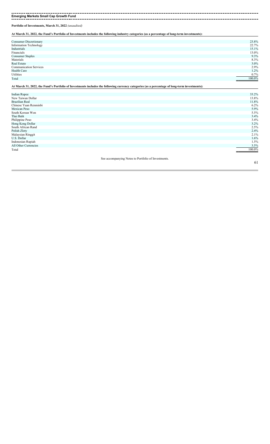# **Emerging Markets Small Cap Growth Fund**

**Portfolio of Investments, March 31, 2022** *(unaudited)*

**At March 31, 2022, the Fund's Portfolio of Investments includes the following industry categories (as a percentage of long-term investments):**

| Consumer Discretionary        | 23.8%  |
|-------------------------------|--------|
| <b>Information Technology</b> | 22.7%  |
| Industrials                   | 15.1%  |
| Financials                    | 13.0%  |
| <b>Consumer Staples</b>       | 9.3%   |
| Materials                     | 8.3%   |
| Real Estate                   | 3.0%   |
| <b>Communication Services</b> | 2.9%   |
| Health Care                   | 1.2%   |
| Utilities                     | 0.7%   |
| Total                         | 100.0% |

**At March 31, 2022, the Fund's Portfolio of Investments includes the following currency categories (as a percentage of long-term investments):**

| Indian Rupee                                        | 33.2%  |
|-----------------------------------------------------|--------|
| New Taiwan Dollar                                   | 13.8%  |
| <b>Brazilian Real</b>                               | 11.8%  |
| Chinese Yuan Renminbi                               | 6.2%   |
| Mexican Peso                                        | 5.9%   |
| South Korean Won                                    | 5.5%   |
| Thai Baht                                           | 3.4%   |
| Philippine Peso                                     | 3.4%   |
| Hong Kong Dollar                                    | 3.2%   |
| South African Rand                                  | 2.5%   |
| Polish Zloty                                        | 2.4%   |
| Malaysian Ringgit                                   | 2.1%   |
| U.S. Dollar                                         | 1.6%   |
| Indonesian Rupiah                                   | 1.5%   |
| All Other Currencies                                | 3.5%   |
| Total                                               | 100.0% |
|                                                     |        |
| See accompanying Notes to Portfolio of Investments. |        |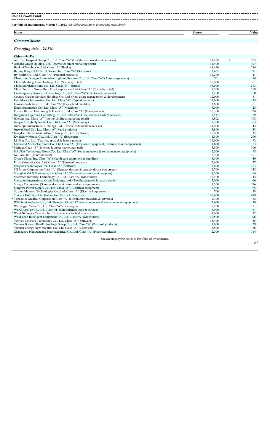**China Growth Fund** 

**Portfolio of Investments, March 31, 2022** *(all dollar amounts in thousands) (unaudited)*

**Issuer Shares Value**

## *Common Stocks*

#### *Emerging Asia—94.5%*

| China-94.5%                                                                                                                                       |                |           |
|---------------------------------------------------------------------------------------------------------------------------------------------------|----------------|-----------|
| Aier Eye Hospital Group Co., Ltd. Class "A" (Health care providers & services)                                                                    | 21,168         | \$<br>105 |
| * Alibaba Group Holding, Ltd. (Internet & direct marketing retail)                                                                                | 14,400         | 197       |
| Bank of Ningbo Co., Ltd. Class "A" (Banks)                                                                                                        | 48,490         | 284       |
| Beijing Kingsoft Office Software, Inc. Class "A" (Software)                                                                                       | 2,405          | 71        |
| By-health Co., Ltd. Class "A" (Personal products)                                                                                                 | 12,200         | 41        |
| Changzhou Xingyu Automotive Lighting Systems Co., Ltd. Class "A" (Auto components)                                                                | 701            | 14        |
| China Meidong Auto Holdings, Ltd. (Specialty retail)                                                                                              | 16,000         | 61        |
| China Merchants Bank Co., Ltd. Class "H" (Banks)                                                                                                  | 35,000         | 273       |
| China Tourism Group Duty Free Corporation, Ltd. Class "A" (Specialty retail)                                                                      | 8,500          | 219       |
| Contemporary Amperex Technology Co., Ltd. Class "A" (Electrical equipment)                                                                        | 2,100          | 168       |
| Country Garden Services Holdings Co., Ltd. (Real estate management & development)                                                                 | 12,000         | 51        |
| East Money Information Co., Ltd. Class "A" (Capital markets)                                                                                      | 33,600         | 133       |
| Ecovacs Robotics Co., Ltd. Class "A" (Household durables)                                                                                         | 3,600          | 61<br>25  |
| Estun Automation Co., Ltd. Class "A" (Machinery)                                                                                                  | 8,000          | 224       |
| Foshan Haitian Flavouring & Food Co., Ltd. Class "A" (Food products)                                                                              | 16,300         |           |
| Hangzhou Tigermed Consulting Co., Ltd. Class "A" (Life sciences tools & services)                                                                 | 3,517          | 59        |
| * JD.com, Inc. Class "A" (Internet & direct marketing retail)                                                                                     | 6,802          | 193       |
| Jiangsu Hengli Hydraulic Co., Ltd. Class "A" (Machinery)                                                                                          | 7,700          | 63        |
| Jiumaojiu International Holdings, Ltd. (Hotels, restaurants & leisure)                                                                            | 21,000         | 44        |
| Juewei Food Co., Ltd. Class "A" (Food products)                                                                                                   | 5,800          | 38<br>35  |
| * Kingdee International Software Group Co., Ltd. (Software)                                                                                       | 16,000         | 296       |
| Kweichow Moutai Co., Ltd. Class "A" (Beverages)                                                                                                   | 1,100          | 93        |
| Li Ning Co., Ltd. (Textiles, apparel & luxury goods)                                                                                              | 11,000         | 53        |
| Maxscend Microelectronics Co., Ltd. Class "A" (Electronic equipment, instruments & components)                                                    | 1,600<br>5,300 | 100       |
| * Meituan Class "B" (Internet & direct marketing retail)<br>NAURA Technology Group Co., Ltd. Class "A" (Semiconductors & semiconductor equipment) | 2,300          | 98        |
|                                                                                                                                                   | 8,900          | 161       |
| NetEase, Inc. (Entertainment)<br>Ovctek China, Inc. Class "A" (Health care equipment & supplies)                                                  | 8,100          | 46        |
| Proya Cosmetics Co., Ltd. Class "A" (Personal products)                                                                                           | 2,600          | 77        |
| Sangfor Technologies, Inc. Class "A" (Software)                                                                                                   | 3,600          | 63        |
| SG Micro Corporation Class "A" (Semiconductors & semiconductor equipment)                                                                         | 2,700          | 138       |
| Shanghai M&G Stationery, Inc. Class "A" (Commercial services & supplies)                                                                          | 8,300          | 64        |
| Shenzhen Inovance Technology Co., Ltd. Class "A" (Machinery)                                                                                      | 16,100         | 144       |
| Shenzhou International Group Holdings, Ltd. (Textiles, apparel & luxury goods)                                                                    | 5,000          | 66        |
| Silergy Corporation (Semiconductors & semiconductor equipment)                                                                                    | 1,500          | 176       |
| Sungrow Power Supply Co., Ltd. Class "A" (Electrical equipment)                                                                                   | 3,900          | 65        |
| Suzhou Maxwell Technologies Co., Ltd. Class "A" (Electrical equipment)                                                                            | 700            | 58        |
| Tencent Holdings, Ltd. (Interactive Media & Services)                                                                                             | 10,400         | 479       |
| * Topchoice Medical Corporation Class "A" (Health care providers & services)                                                                      | 2,300          | 52        |
| Will Semiconductor Co., Ltd. Shanghai Class "A" (Semiconductors & semiconductor equipment)                                                        | 2,600          | 79        |
| Wuliangye Yibin Co., Ltd. Class "A" (Beverages)                                                                                                   | 6,200          | 151       |
| WuXi AppTec Co., Ltd. Class "H" (Life sciences tools & services)                                                                                  | 3,900          | 61        |
| * Wuxi Biologics Cayman, Inc. (Life sciences tools & services)                                                                                    | 9,000          | 72        |
| Wuxi Lead Intelligent Equipment Co., Ltd. Class "A" (Machinery)                                                                                   | 10,500         | 96        |
| Yonyou Network Technology Co., Ltd. Class "A" (Software)                                                                                          | 15,400         | 55        |
| Yunnan Botanee Bio-Technology Group Co., Ltd. Class "A" (Personal products)                                                                       | 1,000          | 29        |
| Yunnan Energy New Material Co., Ltd. Class "A" (Chemicals)                                                                                        | 2,500          | 86        |
| Zhangzhou Pientzehuang Pharmaceutical Co., Ltd. Class "A" (Pharmaceuticals)                                                                       | 2,300          | 114       |
|                                                                                                                                                   |                |           |

See accompanying Notes to Portfolio of Investments.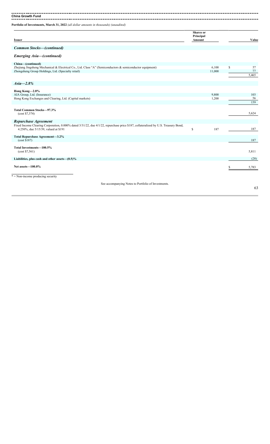**China Growth Fund** 

**Portfolio of Investments, March 31, 2022** *(all dollar amounts in thousands) (unaudited)*

|        | <b>Shares</b> or |       |
|--------|------------------|-------|
|        | Principal        |       |
| Issuer | Amount           | Value |

| Common Stocks-(continued) |  |
|---------------------------|--|
|                           |  |

### *Emerging Asia—(continued)*

| China-(continued)                                                                                                                  |           |          |
|------------------------------------------------------------------------------------------------------------------------------------|-----------|----------|
| Zhejiang Jingsheng Mechanical & Electrical Co., Ltd. Class "A" (Semiconductors & semiconductor equipment)                          | 6,100     | \$<br>57 |
| Zhongsheng Group Holdings, Ltd. (Specialty retail)                                                                                 | 11,000    | $77\,$   |
|                                                                                                                                    |           | 5,465    |
| $Asia-2.8\%$                                                                                                                       |           |          |
| Hong Kong-2.8%                                                                                                                     |           |          |
| AIA Group, Ltd. (Insurance)                                                                                                        | 9,800     | 103      |
| Hong Kong Exchanges and Clearing, Ltd. (Capital markets)                                                                           | 1,200     | 56       |
|                                                                                                                                    |           | 159      |
|                                                                                                                                    |           |          |
| Total Common Stocks-97.3%<br>(cost \$7,374)                                                                                        |           | 5,624    |
|                                                                                                                                    |           |          |
| Repurchase Agreement                                                                                                               |           |          |
| Fixed Income Clearing Corporation, 0.000% dated 3/31/22, due 4/1/22, repurchase price \$187, collateralized by U.S. Treasury Bond, |           |          |
| 4.250%, due 5/15/39, valued at \$191                                                                                               | \$<br>187 | 187      |
|                                                                                                                                    |           |          |
| Total Repurchase Agreement-3.2%                                                                                                    |           |          |
| (cost \$187)                                                                                                                       |           | 187      |
| Total Investments-100.5%                                                                                                           |           |          |
| (cost \$7,561)                                                                                                                     |           | 5,811    |
|                                                                                                                                    |           |          |
| Liabilities, plus cash and other assets— $(0.5)\%$                                                                                 |           | (28)     |
|                                                                                                                                    |           |          |
| Net assets-100.0%                                                                                                                  |           | 5,783    |
|                                                                                                                                    |           |          |
| $* =$ Non-income producing security                                                                                                |           |          |
|                                                                                                                                    |           |          |

See accompanying Notes to Portfolio of Investments.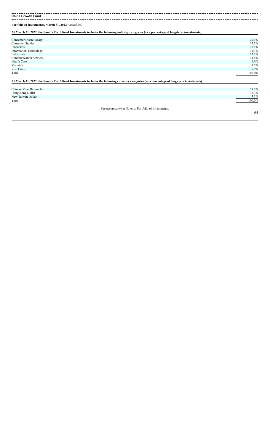**China Growth Fund**

**Portfolio of Investments, March 31, 2022** *(unaudited)*

**At March 31, 2022, the Fund's Portfolio of Investments includes the following industry categories (as a percentage of long-term investments):**

| Consumer Discretionary                                                                                                                        | 20.1%   |
|-----------------------------------------------------------------------------------------------------------------------------------------------|---------|
| <b>Consumer Staples</b>                                                                                                                       | 15.2%   |
| Financials                                                                                                                                    | 15.1%   |
| <b>Information Technology</b>                                                                                                                 | 14.7%   |
| Industrials                                                                                                                                   | 12.1%   |
| <b>Communication Services</b>                                                                                                                 | 11.4%   |
| <b>Health Care</b>                                                                                                                            | $9.0\%$ |
| Materials                                                                                                                                     | 1.5%    |
| Real Estate                                                                                                                                   | 0.9%    |
| Total                                                                                                                                         | 100.0%  |
| At March 31, 2022, the Fund's Portfolio of Investments includes the following currency categories (as a percentage of long-term investments): |         |
| Chinese Yuan Renminbi                                                                                                                         | 59.2%   |
| Hong Kong Dollar                                                                                                                              | 37.7%   |
| New Taiwan Dollar                                                                                                                             | 3.1%    |
| Total                                                                                                                                         | 100.0%  |

See accompanying Notes to Portfolio of Investments.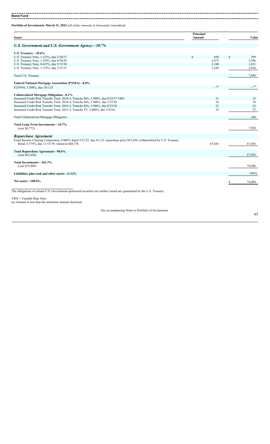**Bond Fund**

| <b>Issuer</b>                                                                                                                                                                     | Principal<br>Amount |        | Value     |
|-----------------------------------------------------------------------------------------------------------------------------------------------------------------------------------|---------------------|--------|-----------|
| U.S. Government and U.S. Government Agency-10.7%                                                                                                                                  |                     |        |           |
| U.S. Treasury-10.6%                                                                                                                                                               |                     |        |           |
| U.S. Treasury Note, 1.125%, due 2/28/27                                                                                                                                           | S                   | 850    | \$<br>799 |
| U.S. Treasury Note, 1.250%, due 6/30/28                                                                                                                                           |                     | 2,475  | 2,306     |
| U.S. Treasury Note, 0.625%, due 5/15/30                                                                                                                                           |                     | 2,100  | 1,831     |
| U.S. Treasury Note, 1.125%, due 2/15/31                                                                                                                                           |                     | 3,220  | 2,910     |
| Total U.S. Treasury                                                                                                                                                               |                     |        | 7,846     |
| <b>Federal National Mortgage Association (FNMA)-0.0%</b>                                                                                                                          |                     |        |           |
| #255956, 5.500%, due 10/1/25                                                                                                                                                      |                     | (a)    | (a)       |
| Collateralized Mortgage Obligation-0.1%                                                                                                                                           |                     |        |           |
| Seasoned Credit Risk Transfer Trust, 2018-3, Tranche MA, 3.500%, due 8/25/57 VRN                                                                                                  |                     | 31     | 32        |
| Seasoned Credit Risk Transfer Trust, 2018-4, Tranche MA, 3.500%, due 3/25/58                                                                                                      |                     | 18     | 18        |
| Seasoned Credit Risk Transfer Trust, 2019-2, Tranche MA, 3.500%, due 8/25/58                                                                                                      |                     | 22     | 22        |
| Seasoned Credit Risk Transfer Trust, 2021-3, Tranche TT, 2.000%, due 3/25/61                                                                                                      |                     | 33     | 32        |
| Total Collateralized Mortgage Obligation                                                                                                                                          |                     |        | 104       |
| Total Long-Term Investments-10.7%<br>(cost \$8,772)                                                                                                                               |                     |        | 7,950     |
| Repurchase Agreement                                                                                                                                                              |                     |        |           |
| Fixed Income Clearing Corporation, 0.000% dated 3/31/22, due 4/1/22, repurchase price \$67,036, collateralized by U.S. Treasury<br>Bond, 4.375%, due 11/15/39, valued at \$68,376 |                     | 67,036 | 67,036    |
| Total Repurchase Agreement-90.6%<br>(cost \$67,036)                                                                                                                               |                     |        | 67,036    |
| Total Investments-101.3%<br>(cost \$75,808)                                                                                                                                       |                     |        | 74,986    |
| Liabilities, plus cash and other assets— $(1.3)\%$                                                                                                                                |                     |        | (982)     |
|                                                                                                                                                                                   |                     |        |           |
| Net assets-100.0%                                                                                                                                                                 |                     |        | 74,004    |
| The obligations of certain U.S. Government-sponsored securities are neither issued nor guaranteed by the U.S. Treasury.                                                           |                     |        |           |
| VRN = Variable Rate Note<br>(a) Amount is less than the minimum amount disclosed.                                                                                                 |                     |        |           |
| See accompanying Notes to Portfolio of Investments.                                                                                                                               |                     |        | 65        |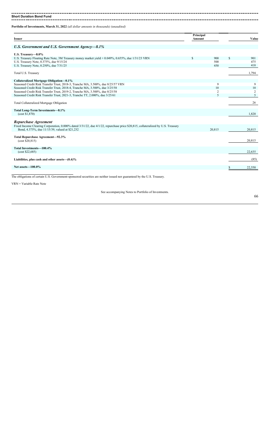### 

**Short Duration Bond Fund** 

**Portfolio of Investments, March 31, 2022** *(all dollar amounts in thousands) (unaudited)*

| <b>Issuer</b>                                                                                                                   | Principal<br>Amount |                | Value          |
|---------------------------------------------------------------------------------------------------------------------------------|---------------------|----------------|----------------|
|                                                                                                                                 |                     |                |                |
| U.S. Government and U.S. Government Agency-8.1%                                                                                 |                     |                |                |
| U.S. Treasury-8.0%                                                                                                              |                     |                |                |
| U.S. Treasury Floating Rate Note, 3M Treasury money market yield + 0.049%, 0.655%, due 1/31/23 VRN                              |                     | 900            | \$<br>901      |
| U.S. Treasury Note, 0.375%, due 9/15/24                                                                                         |                     | 500            | 475            |
| U.S. Treasury Note, 0.250%, due 7/31/25                                                                                         |                     | 450            | 418            |
| Total U.S. Treasury                                                                                                             |                     |                | 1,794          |
|                                                                                                                                 |                     |                |                |
| Collateralized Mortgage Obligation-0.1%<br>Seasoned Credit Risk Transfer Trust, 2018-3, Tranche MA, 3.500%, due 8/25/57 VRN     |                     | 9              | 9              |
| Seasoned Credit Risk Transfer Trust, 2018-4, Tranche MA, 3.500%, due 3/25/58                                                    |                     | 10             | $10\,$         |
| Seasoned Credit Risk Transfer Trust, 2019-2, Tranche MA, 3.500%, due 8/25/58                                                    |                     | $\overline{c}$ | $\overline{c}$ |
| Seasoned Credit Risk Transfer Trust, 2021-3, Tranche TT, 2.000%, due 3/25/61                                                    |                     | 5              | 5              |
| Total Collateralized Mortgage Obligation                                                                                        |                     |                | 26             |
|                                                                                                                                 |                     |                |                |
| Total Long-Term Investments-8.1%<br>(cost \$1,870)                                                                              |                     |                | 1.820          |
| Repurchase Agreement                                                                                                            |                     |                |                |
| Fixed Income Clearing Corporation, 0.000% dated 3/31/22, due 4/1/22, repurchase price \$20,815, collateralized by U.S. Treasury |                     |                |                |
| Bond, 4.375%, due 11/15/39, valued at \$21,232                                                                                  |                     | 20,815         | 20,815         |
|                                                                                                                                 |                     |                |                |
| Total Repurchase Agreement-92.3%<br>(cost \$20,815)                                                                             |                     |                | 20,815         |
|                                                                                                                                 |                     |                |                |
| Total Investments-100.4%                                                                                                        |                     |                |                |
| (cost \$22,685)                                                                                                                 |                     |                | 22.635         |
| Liabilities, plus cash and other assets— $(0.4)\%$                                                                              |                     |                | (85)           |
|                                                                                                                                 |                     |                |                |
| Net assets-100.0%                                                                                                               |                     |                | 22,550         |
|                                                                                                                                 |                     |                |                |

The obligations of certain U.S. Government-sponsored securities are neither issued nor guaranteed by the U.S. Treasury.

VRN = Variable Rate Note

See accompanying Notes to Portfolio of Investments.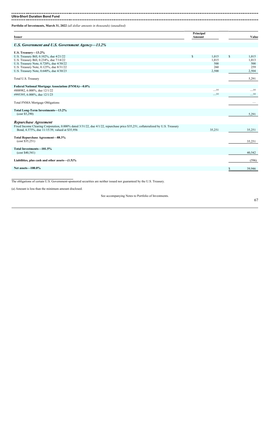#### 

**Ultra-Short Duration Bond Fund** 

**Portfolio of Investments, March 31, 2022** *(all dollar amounts in thousands) (unaudited)*

| <b>Issuer</b>                                                                                                                                                                     | Principal<br>Amount |                                | Value                          |
|-----------------------------------------------------------------------------------------------------------------------------------------------------------------------------------|---------------------|--------------------------------|--------------------------------|
| U.S. Government and U.S. Government Agency-13.2%                                                                                                                                  |                     |                                |                                |
| U.S. Treasury-13.2%                                                                                                                                                               |                     |                                |                                |
| U.S. Treasury Bill, 0.102%, due 4/21/22                                                                                                                                           | <b>S</b>            | 1,015                          | \$<br>1,015                    |
| U.S. Treasury Bill, 0.234%, due 7/14/22                                                                                                                                           |                     | 1,015                          | 1,013                          |
| U.S. Treasury Note, 0.720%, due 4/30/22                                                                                                                                           |                     | 500                            | 500                            |
| U.S. Treasury Note, 0.125%, due 8/31/22                                                                                                                                           |                     | 260                            | 259                            |
| U.S. Treasury Note, 0.640%, due 4/30/23                                                                                                                                           |                     | 2,500                          | 2,504                          |
| Total U.S. Treasury                                                                                                                                                               |                     |                                | 5,291                          |
| <b>Federal National Mortgage Association (FNMA)-0.0%</b>                                                                                                                          |                     |                                |                                |
| #888982, 6.000%, due 12/1/22                                                                                                                                                      |                     | $\_\_$ (a)                     | $\underline{\hspace{1cm}}$ (a) |
| #995395, 6.000%, due 12/1/23                                                                                                                                                      |                     | $\underline{\hspace{1cm}}$ (a) | $\underline{\hspace{1cm}}$ (a) |
| Total FNMA Mortgage Obligations                                                                                                                                                   |                     |                                |                                |
| Total Long-Term Investments-13.2%<br>(cost \$5,290)                                                                                                                               |                     |                                | 5,291                          |
| Repurchase Agreement                                                                                                                                                              |                     |                                |                                |
| Fixed Income Clearing Corporation, 0.000% dated 3/31/22, due 4/1/22, repurchase price \$35,251, collateralized by U.S. Treasury<br>Bond, 4.375%, due 11/15/39, valued at \$35,956 |                     | 35,251                         | 35,251                         |
| Total Repurchase Agreement-88.3%<br>(cost \$35,251)                                                                                                                               |                     |                                | 35,251                         |
| Total Investments-101.5%<br>(cost \$40,541)                                                                                                                                       |                     |                                | 40,542                         |
| Liabilities, plus cash and other assets $-(1.5)\%$                                                                                                                                |                     |                                | (596)                          |
| Net assets-100.0%                                                                                                                                                                 |                     |                                | 39,946                         |
|                                                                                                                                                                                   |                     |                                |                                |

The obligations of certain U.S. Government-sponsored securities are neither issued nor guaranteed by the U.S. Treasury.

(a) Amount is less than the minimum amount disclosed.

See accompanying Notes to Portfolio of Investments.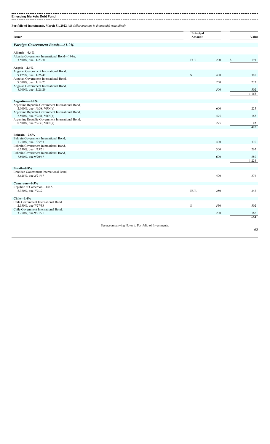--------------------------**Emerging Markets Debt Fund**

. . . . . . . . . . . . .

-----------------------------

|                                                                                    |                                                     | Principal   |     |    |       |
|------------------------------------------------------------------------------------|-----------------------------------------------------|-------------|-----|----|-------|
| <b>Issuer</b>                                                                      |                                                     | Amount      |     |    | Value |
| <b>Foreign Government Bonds-61.2%</b>                                              |                                                     |             |     |    |       |
| Albania-0.4%                                                                       |                                                     |             |     |    |       |
| Albania Government International Bond-144A,<br>3.500%, due 11/23/31                |                                                     | <b>EUR</b>  | 200 | \$ | 191   |
| Angola $-2.4\%$                                                                    |                                                     |             |     |    |       |
| Angolan Government International Bond,<br>9.125%, due 11/26/49                     |                                                     | \$          | 400 |    | 388   |
| Angolan Government International Bond,<br>9.500%, due 11/12/25                     |                                                     |             | 250 |    | 273   |
| Angolan Government International Bond,<br>8.000%, due 11/26/29                     |                                                     |             | 500 |    | 502   |
|                                                                                    |                                                     |             |     |    | 1,163 |
| Argentina-1.0%                                                                     |                                                     |             |     |    |       |
| Argentine Republic Government International Bond,<br>2.000%, due 1/9/38, VRN(a)    |                                                     |             | 600 |    | 225   |
| Argentine Republic Government International Bond,<br>2.500%, due $7/9/41$ , VRN(a) |                                                     |             | 475 |    | 165   |
| Argentine Republic Government International Bond,<br>0.500%, due $7/9/30$ , VRN(a) |                                                     |             | 275 |    | 92    |
|                                                                                    |                                                     |             |     |    | 482   |
| Bahrain-2.5%                                                                       |                                                     |             |     |    |       |
| Bahrain Government International Bond,<br>5.250%, due 1/25/33                      |                                                     |             | 400 |    | 370   |
| Bahrain Government International Bond,<br>6.250%, due 1/25/51                      |                                                     |             | 300 |    | 265   |
| Bahrain Government International Bond,<br>7.500%, due 9/20/47                      |                                                     |             | 600 |    | 589   |
|                                                                                    |                                                     |             |     |    | 1,224 |
| Brazil $-0.8\%$                                                                    |                                                     |             |     |    |       |
| Brazilian Government International Bond,<br>5.625%, due 2/21/47                    |                                                     |             | 400 |    | 376   |
| Cameroon-0.5%                                                                      |                                                     |             |     |    |       |
| Republic of Cameroon—144A,<br>5.950%, due 7/7/32                                   |                                                     | <b>EUR</b>  | 250 |    | 243   |
| $Chile-1.4%$                                                                       |                                                     |             |     |    |       |
| Chile Government International Bond,<br>2.550%, due 7/27/33                        |                                                     | $\mathbb S$ | 550 |    | 502   |
| Chile Government International Bond,<br>3.250%, due 9/21/71                        |                                                     |             | 200 |    | 162   |
|                                                                                    |                                                     |             |     |    | 664   |
|                                                                                    | See accompanying Notes to Portfolio of Investments. |             |     |    |       |
|                                                                                    |                                                     |             |     |    | 68    |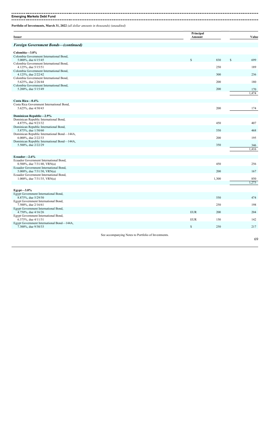#### -------------

**Emerging Markets Debt Fund** ----------------------------------------------------------------. **. . . . . . . . . .** .

| <b>Issuer</b>                                                            |                                                     | Principal<br>Amount |       | Value        |
|--------------------------------------------------------------------------|-----------------------------------------------------|---------------------|-------|--------------|
| <b>Foreign Government Bonds-(continued)</b>                              |                                                     |                     |       |              |
| Colombia-3.0%                                                            |                                                     |                     |       |              |
| Colombia Government International Bond,<br>5.000%, due 6/15/45           |                                                     | \$                  | 830   | \$<br>699    |
| Colombia Government International Bond,<br>4.125%, due 5/15/51           |                                                     |                     | 250   | 189          |
| Colombia Government International Bond,<br>4.125%, due 2/22/42           |                                                     |                     | 300   | 236          |
| Colombia Government International Bond,<br>5.625%, due 2/26/44           |                                                     |                     | 200   | 180          |
| Colombia Government International Bond,<br>5.200%, due 5/15/49           |                                                     |                     | 200   | 170          |
|                                                                          |                                                     |                     |       | 1,474        |
| Costa Rica-0.4%                                                          |                                                     |                     |       |              |
| Costa Rica Government International Bond,<br>5.625%, due 4/30/43         |                                                     |                     | 200   | 174          |
| <b>Dominican Republic-2.9%</b>                                           |                                                     |                     |       |              |
| Dominican Republic International Bond,<br>4.875%, due 9/23/32            |                                                     |                     | 450   | 407          |
| Dominican Republic International Bond,<br>5.875%, due 1/30/60            |                                                     |                     | 550   | 468          |
| Dominican Republic International Bond-144A,<br>6.000%, due $2/22/33$     |                                                     |                     | 200   | 195          |
| Dominican Republic International Bond-144A,                              |                                                     |                     | 350   |              |
| 5.500%, due 2/22/29                                                      |                                                     |                     |       | 346<br>1,416 |
| Ecuador-2.6%                                                             |                                                     |                     |       |              |
| Ecuador Government International Bond,<br>0.500%, due $7/31/40$ , VRN(a) |                                                     |                     | 450   | 256          |
| Ecuador Government International Bond,<br>5.000%, due $7/31/30$ , VRN(a) |                                                     |                     | 200   | 167          |
| Ecuador Government International Bond,<br>1.000%, due $7/31/35$ , VRN(a) |                                                     |                     | 1,300 | 850          |
|                                                                          |                                                     |                     |       | 1,273        |
| $Egypt - 3.0\%$                                                          |                                                     |                     |       |              |
| Egypt Government International Bond,<br>8.875%, due 5/29/50              |                                                     |                     | 550   | 474          |
| Egypt Government International Bond,<br>7.500%, due 2/16/61              |                                                     |                     | 250   | 198          |
| Egypt Government International Bond,<br>4.750%, due 4/16/26              |                                                     | <b>EUR</b>          | 200   | 204          |
| Egypt Government International Bond,<br>6.375%, due 4/11/31              |                                                     | <b>EUR</b>          | 150   | 142          |
| Egypt Government International Bond—144A,<br>7.300%, due 9/30/33         |                                                     | $\mathbb{S}$        | 250   | 217          |
|                                                                          |                                                     |                     |       |              |
|                                                                          | See accompanying Notes to Portfolio of Investments. |                     |       | 69           |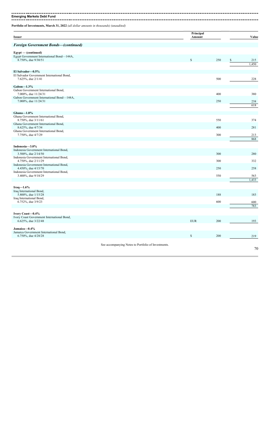**Emerging Markets Debt Fund** ----------------------------------------

| <b>Issuer</b>                                                                           |                                                     | Principal<br>Amount |     | Value |
|-----------------------------------------------------------------------------------------|-----------------------------------------------------|---------------------|-----|-------|
| Foreign Government Bonds-(continued)                                                    |                                                     |                     |     |       |
| Egypt - (continued)<br>Egypt Government International Bond-144A,<br>8.750%, due 9/30/51 |                                                     | \$                  | 250 | 215   |
|                                                                                         |                                                     |                     |     | 1,450 |
| El Salvador-0.5%                                                                        |                                                     |                     |     |       |
| El Salvador Government International Bond,<br>7.625%, due 2/1/41                        |                                                     |                     | 500 | 228   |
| $Gabon-1.3%$                                                                            |                                                     |                     |     |       |
| Gabon Government International Bond,<br>7.000%, due 11/24/31                            |                                                     |                     | 400 | 380   |
| Gabon Government International Bond-144A,<br>7.000%, due 11/24/31                       |                                                     |                     | 250 | 238   |
|                                                                                         |                                                     |                     |     | 618   |
| Ghana-1.8%<br>Ghana Government International Bond,                                      |                                                     |                     |     |       |
| 8.750%, due 3/11/61                                                                     |                                                     |                     | 550 | 374   |
| Ghana Government International Bond,<br>8.625%, due 4/7/34                              |                                                     |                     | 400 | 281   |
| Ghana Government International Bond,<br>7.750%, due 4/7/29                              |                                                     |                     | 300 | 213   |
|                                                                                         |                                                     |                     |     | 868   |
| Indonesia-3.0%<br>Indonesia Government International Bond,                              |                                                     |                     |     |       |
| 3.500%, due 2/14/50                                                                     |                                                     |                     | 300 | 280   |
| Indonesia Government International Bond,<br>4.750%, due 2/11/29                         |                                                     |                     | 300 | 332   |
| Indonesia Government International Bond,<br>4.450%, due 4/15/70                         |                                                     |                     | 250 | 258   |
| Indonesia Government International Bond,<br>3.400%, due 9/18/29                         |                                                     |                     | 550 | 563   |
|                                                                                         |                                                     |                     |     | 1,433 |
| Iraq $-1.6\%$                                                                           |                                                     |                     |     |       |
| Iraq International Bond,<br>5.800%, due 1/15/28                                         |                                                     |                     | 188 | 183   |
| Iraq International Bond,<br>6.752%, due 3/9/23                                          |                                                     |                     | 600 | 600   |
|                                                                                         |                                                     |                     |     | 783   |
| Ivory Coast-0.4%                                                                        |                                                     |                     |     |       |
| Ivory Coast Government International Bond,<br>6.625%, due 3/22/48                       |                                                     | <b>EUR</b>          | 200 | 193   |
| Jamaica-0.4%<br>Jamaica Government International Bond,                                  |                                                     |                     |     |       |
| 6.750%, due 4/28/28                                                                     |                                                     | \$                  | 200 | 219   |
|                                                                                         | See accompanying Notes to Portfolio of Investments. |                     |     |       |
|                                                                                         |                                                     |                     |     | 70    |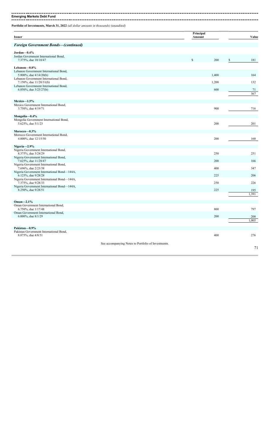**Emerging Markets Debt Fund** 

**Portfolio of Investments, March 31, 2022** *(all dollar amounts in thousands) (unaudited)*

| <b>Issuer</b>                                                                |                                                     | Principal<br>Amount |       | Value     |
|------------------------------------------------------------------------------|-----------------------------------------------------|---------------------|-------|-----------|
| <b>Foreign Government Bonds-(continued)</b>                                  |                                                     |                     |       |           |
| Jordan-0.4%<br>Jordan Government International Bond,<br>7.375%, due 10/10/47 |                                                     | $\mathsf{\$}$       | 200   | \$<br>181 |
| Lebanon-0.8%                                                                 |                                                     |                     |       |           |
| Lebanon Government International Bond,<br>5.800%, due $4/14/20(b)$           |                                                     |                     | 1,400 | 164       |
| Lebanon Government International Bond,<br>7.150%, due $11/20/31(b)$          |                                                     |                     | 1,200 | 132       |
| Lebanon Government International Bond,<br>6.850%, due $3/23/27(b)$           |                                                     |                     | 600   | 71        |
|                                                                              |                                                     |                     |       | 367       |
| Mexico-1.5%                                                                  |                                                     |                     |       |           |
| Mexico Government International Bond,<br>3.750%, due 4/19/71                 |                                                     |                     | 900   | 716       |
| Mongolia-0.4%                                                                |                                                     |                     |       |           |
| Mongolia Government International Bond,<br>5.625%, due 5/1/23                |                                                     |                     | 200   | 201       |
| Morocco-0.3%                                                                 |                                                     |                     |       |           |
| Morocco Government International Bond,<br>4.000%, due 12/15/50               |                                                     |                     | 200   | 160       |
| Nigeria-2.9%                                                                 |                                                     |                     |       |           |
| Nigeria Government International Bond,<br>8.375%, due 3/24/29                |                                                     |                     | 250   | 251       |
| Nigeria Government International Bond,<br>7.625%, due 11/28/47               |                                                     |                     | 200   | 166       |
| Nigeria Government International Bond,<br>7.696%, due 2/23/38                |                                                     |                     | 400   | 347       |
| Nigeria Government International Bond-144A,<br>6.125%, due 9/28/28           |                                                     |                     | 225   | 206       |
| Nigeria Government International Bond-144A,<br>7.375%, due 9/28/33           |                                                     |                     | 250   | 226       |
| Nigeria Government International Bond-144A,<br>8.250%, due 9/28/51           |                                                     |                     | 225   | 195       |
|                                                                              |                                                     |                     |       | 1,391     |
| Oman- $2.1\%$                                                                |                                                     |                     |       |           |
| Oman Government International Bond,<br>6.750%, due 1/17/48                   |                                                     |                     | 800   | 797       |
| Oman Government International Bond,<br>6.000%, due 8/1/29                    |                                                     |                     | 200   | 208       |
|                                                                              |                                                     |                     |       | 1.005     |
| Pakistan-0.9%                                                                |                                                     |                     |       |           |
| Pakistan Government International Bond,<br>8.875%, due 4/8/51                |                                                     |                     | 400   | 276       |
|                                                                              | See accompanying Notes to Portfolio of Investments. |                     |       |           |
|                                                                              |                                                     |                     |       | 71        |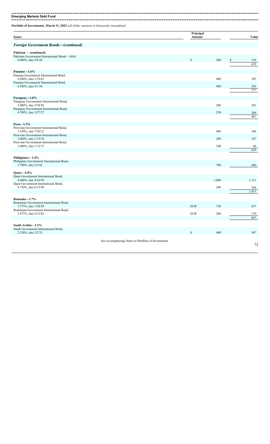**Emerging Markets Debt Fund** 

**Portfolio of Investments, March 31, 2022** *(all dollar amounts in thousands) (unaudited)*

| Issuer                                                                 |                                                     | Principal<br>Amount |       | Value            |
|------------------------------------------------------------------------|-----------------------------------------------------|---------------------|-------|------------------|
| Foreign Government Bonds-(continued)                                   |                                                     |                     |       |                  |
| Pakistan — (continued)<br>Pakistan Government International Bond-144A, |                                                     | $\mathcal{S}$       | 200   |                  |
| 6.000%, due $4/8/26$                                                   |                                                     |                     |       | 156<br>\$<br>432 |
| Panama-1.6%                                                            |                                                     |                     |       |                  |
| Panama Government International Bond,<br>4.500%, due 1/19/63           |                                                     |                     | 400   | 385              |
| Panama Government International Bond,<br>4.500\%, due $4/1/56$         |                                                     |                     | 400   | 392              |
|                                                                        |                                                     |                     |       | 777              |
| Paraguay-1.0%                                                          |                                                     |                     |       |                  |
| Paraguay Government International Bond,<br>5.400%, due 3/30/50         |                                                     |                     | 200   | 201              |
| Paraguay Government International Bond,<br>4.700%, due 3/27/27         |                                                     |                     | 250   | 260              |
|                                                                        |                                                     |                     |       | 461              |
| $Peru-1.3%$                                                            |                                                     |                     |       |                  |
| Peruvian Government International Bond,<br>3.230%, due 7/28/21         |                                                     |                     | 480   | 366              |
| Peruvian Government International Bond,<br>3.000%, due 1/15/34         |                                                     |                     | 200   | 187              |
| Peruvian Government International Bond,<br>3.600%, due 1/15/72         |                                                     |                     | 100   | 86               |
|                                                                        |                                                     |                     |       | 639              |
| Philippines-1.4%                                                       |                                                     |                     |       |                  |
| Philippine Government International Bond,<br>3.700%, due 2/2/42        |                                                     |                     | 700   | 680              |
|                                                                        |                                                     |                     |       |                  |
| Oatar-2.9%<br>Qatar Government International Bond,                     |                                                     |                     |       |                  |
| 4.400\%, due $4/16/50$                                                 |                                                     |                     | 1,000 | 1,121            |
| Qatar Government International Bond,<br>9.750%, due 6/15/30            |                                                     |                     | 200   | 294              |
|                                                                        |                                                     |                     |       | 1,415            |
| Romania-1.7%                                                           |                                                     |                     |       |                  |
| Romanian Government International Bond,<br>3.375%, due 1/28/50         |                                                     | <b>EUR</b>          | 720   | 637              |
| Romanian Government International Bond,                                |                                                     |                     |       |                  |
| 2.875%, due 4/13/42                                                    |                                                     | <b>EUR</b>          | 200   | 170<br>807       |
| Saudi Arabia-2.1%                                                      |                                                     |                     |       |                  |
| Saudi Government International Bond,<br>2.250%, due 2/2/33             |                                                     | $\mathbb{S}$        | 400   | 367              |
|                                                                        | See accompanying Notes to Portfolio of Investments. |                     |       |                  |
|                                                                        |                                                     |                     |       | 72               |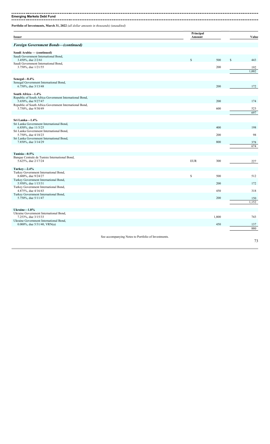**Emerging Markets Debt Fund**

**Portfolio of Investments, March 31, 2022** *(all dollar amounts in thousands) (unaudited)*

**Issuer Principal** Amount Value *Foreign Government Bonds—(continued)* **Saudi Arabia — (continued)** Saudi Government International Bond, 3.450%, due 2/2/61  $\frac{\text{1}}{\text{1}}$  500  $\frac{\text{1}}{\text{2}}$  443 Saudi Government International Bond,  $3.750\%$ , due  $1/21/55$  200 192 1,002 **Senegal—0.4%** Senegal Government International Bond, 6.750%, due 3/13/48 200 200 172 **South Africa—1.4%** Republic of South Africa Government International Bond, 5.650%, due 9/27/47 200 200 174 Republic of South Africa Government International Bond, 5.750%, due 9/30/49 600 523  $\frac{656}{697}$ **Sri Lanka—1.4%** Sri Lanka Government International Bond, 6.850%, due 11/3/25 400 198 Sri Lanka Government International Bond, 5.750%, due 4/18/23 200 98 Sri Lanka Government International Bond, 7.850%, due 3/14/29 800 3/18/29 800 378 674 **Tunisia—0.5%** Banque Centrale de Tunisie International Bond, 5.625%, due 2/17/24 EUR 300 227 **Turkey—2.4%** Turkey Government International Bond, 8.600%, due 9/24/27  $\frac{\$}{\$}$  500 512 Turkey Government International Bond, 5.950%, due 1/15/31 200 200 172 Turkey Government International Bond, 4.875%, due 4/16/43 450 318 Turkey Government International Bond, 5.750%, due 5/11/47 200 200 150 1,152 **Ukraine—1.8%** Ukraine Government International Bond, 7.253%, due 3/15/33 1,800 743 Ukraine Government International Bond,  $0.000\%$ , due 5/31/40, VRN(a)  $450$   $137$ 880 See accompanying Notes to Portfolio of Investments.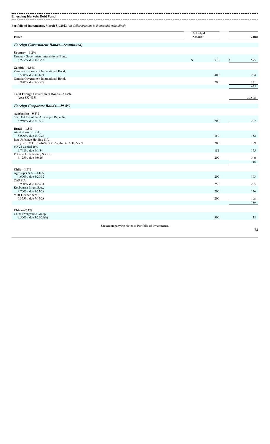| Portfolio of Investments, March 31, 2022 (all dollar amounts in thousands) (unaudited) |                     |     |              |            |
|----------------------------------------------------------------------------------------|---------------------|-----|--------------|------------|
| <b>Issuer</b>                                                                          | Principal<br>Amount |     |              | Value      |
| <b>Foreign Government Bonds-(continued)</b>                                            |                     |     |              |            |
| Uruguay $-1.2\%$                                                                       |                     |     |              |            |
| Uruguay Government International Bond,<br>4.975%, due 4/20/55                          | $\mathbb S$         | 510 | $\mathbb{S}$ | 595        |
| Zambia-0.9%                                                                            |                     |     |              |            |
| Zambia Government International Bond,<br>8.500%, due 4/14/24                           |                     | 400 |              | 284        |
| Zambia Government International Bond,                                                  |                     |     |              |            |
| 8.970%, due 7/30/27                                                                    |                     | 200 |              | 141<br>425 |
|                                                                                        |                     |     |              |            |
| Total Foreign Government Bonds-61.2%<br>(cost \$32,435)                                |                     |     |              | 29,528     |
| Foreign Corporate Bonds-29.8%                                                          |                     |     |              |            |
| Azerbaijan-0.4%                                                                        |                     |     |              |            |
| State Oil Co. of the Azerbaijan Republic,<br>6.950%, due 3/18/30                       |                     | 200 |              | 222        |
|                                                                                        |                     |     |              |            |
| Brazil- $1.5\%$<br>Atento Luxco 1 S.A.,                                                |                     |     |              |            |
| 8.000%, due 2/10/26<br>Itau Unibanco Holding S.A.,                                     |                     | 150 |              | 152        |
| 5 year CMT + 3.446%, 3.875%, due 4/15/31, VRN                                          |                     | 200 |              | 189        |
| MV24 Capital BV,<br>6.748%, due 6/1/34                                                 |                     | 181 |              | 175        |
| Petrorio Luxembourg S.a.r.l.,<br>6.125%, due 6/9/26                                    |                     | 200 |              | 200        |
|                                                                                        |                     |     |              | 716        |
| Chile $-1.6\%$                                                                         |                     |     |              |            |
| Agrosuper S.A.—144A,<br>4.600%, due 1/20/32                                            |                     | 200 |              | 193        |
| CAP S.A.,                                                                              |                     | 250 |              | 225        |
|                                                                                        |                     |     |              |            |
| 3.900%, due 4/27/31<br>Kenbourne Invest S.A.,                                          |                     |     |              |            |
| 4.700%, due 1/22/28<br>VTR Finance N.V.,                                               |                     | 200 |              | 176        |
| 6.375%, due 7/15/28                                                                    |                     | 200 |              | 195        |
| China $-2.7\%$                                                                         |                     |     |              | 789        |

See accompanying Notes to Portfolio of Investments.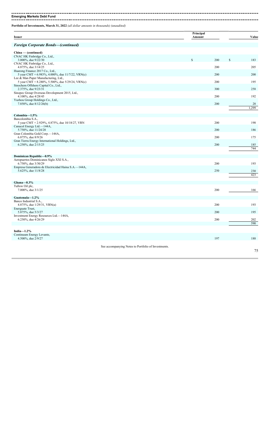**Emerging Markets Debt Fund** 

**Portfolio of Investments, March 31, 2022** *(all dollar amounts in thousands) (unaudited)*

| Issuer                                                                                   |                                                     | Principal<br>Amount |     | Value       |
|------------------------------------------------------------------------------------------|-----------------------------------------------------|---------------------|-----|-------------|
| <b>Foreign Corporate Bonds-(continued)</b>                                               |                                                     |                     |     |             |
| China - (continued)                                                                      |                                                     |                     |     |             |
| CNAC HK Finbridge Co., Ltd.,<br>3.000%, due 9/22/30                                      |                                                     | \$                  | 200 | \$<br>183   |
| CNAC HK Finbridge Co., Ltd.,<br>4.875%, due 3/14/25                                      |                                                     |                     | 200 | 205         |
| Huarong Finance 2017 Co., Ltd.,<br>5 year CMT + 6.983%, 4.000%, due 11/7/22, VRN(c)      |                                                     |                     | 200 | 200         |
| Lee & Man Paper Manufacturing, Ltd.,<br>5 year CMT + 8.280%, 5.500%, due 5/29/24, VRN(c) |                                                     |                     | 200 | 195         |
| Sinochem Offshore Capital Co., Ltd.,                                                     |                                                     |                     | 300 |             |
| 2.375%, due 9/23/31<br>Sinopec Group Overseas Development 2015, Ltd.,                    |                                                     |                     |     | 258         |
| 4.100%, due 4/28/45<br>Yuzhou Group Holdings Co., Ltd.,                                  |                                                     |                     | 200 | 192         |
| 7.850%, due 8/12/26(b)                                                                   |                                                     |                     | 200 | 28<br>1.299 |
| Colombia-1.5%                                                                            |                                                     |                     |     |             |
| Bancolombia S.A.,<br>5 year CMT + 2.929%, 4.875%, due 10/18/27, VRN                      |                                                     |                     | 200 | 198         |
| Canacol Energy Ltd.-144A,                                                                |                                                     |                     | 200 |             |
| 5.750%, due 11/24/28<br>Gran Colombia Gold Corp.-144A,                                   |                                                     |                     |     | 186         |
| 6.875%, due 8/9/26<br>Gran Tierra Energy International Holdings, Ltd.,                   |                                                     |                     | 200 | 175         |
| 6.250%, due 2/15/25                                                                      |                                                     |                     | 200 | 185<br>744  |
| <b>Dominican Republic-0.9%</b>                                                           |                                                     |                     |     |             |
| Aeropuertos Dominicanos Siglo XXI S.A.,<br>6.750%, due 3/30/29                           |                                                     |                     | 200 | 193         |
| Empresa Generadora de Electricidad Haina S.A.-144A,                                      |                                                     |                     |     |             |
| 5.625%, due 11/8/28                                                                      |                                                     |                     | 250 | 230<br>423  |
| Ghana $-0.3\%$                                                                           |                                                     |                     |     |             |
| Tullow Oil plc,<br>7.000%, due 3/1/25                                                    |                                                     |                     | 200 | 166         |
| Guatemala-1.2%                                                                           |                                                     |                     |     |             |
| Banco Industrial S.A.,                                                                   |                                                     |                     |     |             |
| 4.875%, due 1/29/31, VRN(a)<br>Energuate Trust,                                          |                                                     |                     | 200 | 193         |
| 5.875%, due 5/3/27<br>Investment Energy Resources Ltd.—144A,                             |                                                     |                     | 200 | 195         |
| 6.250%, due 4/26/29                                                                      |                                                     |                     | 200 | 202<br>590  |
| India $-1.2\%$                                                                           |                                                     |                     |     |             |
| Continuum Energy Levante,<br>4.500%, due 2/9/27                                          |                                                     |                     | 197 | 188         |
|                                                                                          |                                                     |                     |     |             |
|                                                                                          | See accompanying Notes to Portfolio of Investments. |                     |     | 75          |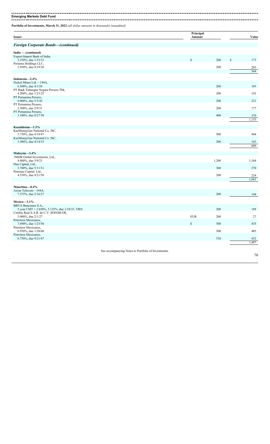#### ---------------------

**Emerging Markets Debt Fund**

**Portfolio of Investments, March 31, 2022** *(all dollar amounts in thousands) (unaudited)*

| <b>Issuer</b>                                                                          | Principal<br>Amount |       | Value        |
|----------------------------------------------------------------------------------------|---------------------|-------|--------------|
| <b>Foreign Corporate Bonds-(continued)</b>                                             |                     |       |              |
| India - (continued)                                                                    |                     |       |              |
| Export-Import Bank of India,<br>2.250%, due 1/13/31                                    | $\mathbb{S}$        | 200   | \$<br>173    |
| Periama Holdings LLC,                                                                  |                     |       |              |
| 5.950%, due 4/19/26                                                                    |                     | 200   | 203<br>564   |
| Indonesia-2.4%                                                                         |                     |       |              |
| Nickel Mines Ltd.-144A,<br>6.500%, due 4/1/24                                          |                     | 200   | 185          |
| PT Bank Tabungan Negara Persero Tbk,<br>4.200%, due 1/23/25                            |                     | 200   | 193          |
| PT Pertamina Persero,<br>6.000%, due 5/3/42                                            |                     | 200   | 221          |
| PT Pertamina Persero,<br>2.300%, due 2/9/31                                            |                     | 200   | 177          |
| PT Pertamina Persero,<br>3.100%, due 8/27/30                                           |                     | 400   | 379          |
|                                                                                        |                     |       | 1,155        |
| Kazakhstan-1.3%                                                                        |                     |       |              |
| KazMunayGas National Co. JSC,<br>5.750%, due 4/19/47                                   |                     | 500   | 444          |
| KazMunayGas National Co. JSC,<br>3.500%, due 4/14/33                                   |                     | 200   | 165          |
|                                                                                        |                     |       | 609          |
| Malaysia-3.4%                                                                          |                     |       |              |
| 1MDB Global Investments, Ltd.,<br>4.400%, due 3/9/23                                   |                     | 1,200 | 1,168        |
| Dua Capital, Ltd.,<br>2.780%, due 5/11/31                                              |                     | 300   | 270          |
| Petronas Capital, Ltd.,                                                                |                     |       |              |
| 4.550%, due 4/21/50                                                                    |                     | 200   | 224<br>1,662 |
| Mauritius-0.4%                                                                         |                     |       |              |
| Axian Telecom-144A,<br>7.375%, due 2/16/27                                             |                     | 200   | 194          |
| Mexico-3.1%                                                                            |                     |       |              |
| BBVA Bancomer S.A.,                                                                    |                     |       |              |
| 5 year CMT + 2.650%, 5.125%, due 1/18/33, VRN<br>Credito Real S.A.B. de C.V. SOFOM ER, |                     | 200   | 188          |
| 5.000%, due 2/1/27<br>Petroleos Mexicanos,                                             | <b>EUR</b>          | 200   | 27           |
| 7.690%, due 1/23/50<br>Petroleos Mexicanos,                                            | \$                  | 500   | 435          |
| 6.950%, due 1/28/60<br>Petroleos Mexicanos,                                            |                     | 500   | 405          |
| 6.750%, due 9/21/47                                                                    |                     | 538   | 432          |
|                                                                                        |                     |       | 1,487        |

See accompanying Notes to Portfolio of Investments.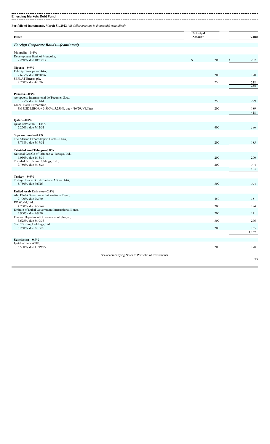**Emerging Markets Debt Fund**

**Portfolio of Investments, March 31, 2022** *(all dollar amounts in thousands) (unaudited)*

| <b>Issuer</b>                                                                  |                                                     | Principal<br>Amount |     | Value        |
|--------------------------------------------------------------------------------|-----------------------------------------------------|---------------------|-----|--------------|
| <b>Foreign Corporate Bonds-(continued)</b>                                     |                                                     |                     |     |              |
| Mongolia-0.4%                                                                  |                                                     |                     |     |              |
| Development Bank of Mongolia,<br>7.250%, due 10/23/23                          |                                                     | $\mathbb S$         | 200 | \$<br>202    |
| Nigeria-0.9%                                                                   |                                                     |                     |     |              |
| Fidelity Bank plc-144A,<br>7.625%, due 10/28/26                                |                                                     |                     | 200 | 190          |
| SEPLAT Energy plc,<br>7.750%, due 4/1/26                                       |                                                     |                     | 250 | 238          |
|                                                                                |                                                     |                     |     | 428          |
| Panama-0.9%                                                                    |                                                     |                     |     |              |
| Aeropuerto Internacional de Tocumen S.A.,<br>5.125%, due 8/11/61               |                                                     |                     | 250 | 229          |
| Global Bank Corporation,<br>3M USD LIBOR + 3.300%, 5.250%, due 4/16/29, VRN(a) |                                                     |                     | 200 | 189          |
|                                                                                |                                                     |                     |     | 418          |
| $Qatar -0.8%$                                                                  |                                                     |                     |     |              |
| Qatar Petroleum -144A,<br>2.250%, due 7/12/31                                  |                                                     |                     | 400 | 369          |
| Supranational-0.4%                                                             |                                                     |                     |     |              |
| The African Export-Import Bank-144A,<br>3.798%, due 5/17/31                    |                                                     |                     | 200 | 185          |
| Trinidad And Tobago-0.8%                                                       |                                                     |                     |     |              |
| National Gas Co of Trinidad & Tobago, Ltd.,                                    |                                                     |                     | 200 | 200          |
| 6.050%, due 1/15/36<br>Trinidad Petroleum Holdings, Ltd.,                      |                                                     |                     |     |              |
| 9.750%, due 6/15/26                                                            |                                                     |                     | 200 | 203<br>403   |
| Turkey-0.6%                                                                    |                                                     |                     |     |              |
| Turkiye Ihracat Kredi Bankasi A.S.-144A,<br>5.750%, due 7/6/26                 |                                                     |                     | 300 | 273          |
| United Arab Emirates-2.4%                                                      |                                                     |                     |     |              |
| Abu Dhabi Government International Bond,                                       |                                                     |                     |     |              |
| 2.700%, due 9/2/70<br>DP World, Ltd.,                                          |                                                     |                     | 450 | 351          |
| 4.700%, due 9/30/49<br>Emirate of Dubai Government International Bonds,        |                                                     |                     | 200 | 194          |
| 3.900%, due 9/9/50<br>Finance Department Government of Sharjah,                |                                                     |                     | 200 | 171          |
| 3.625%, due 3/10/33<br>Shelf Drilling Holdings, Ltd.,                          |                                                     |                     | 300 | 276          |
| 8.250%, due 2/15/25                                                            |                                                     |                     | 200 | 165<br>1,157 |
| Uzbekistan-0.7%                                                                |                                                     |                     |     |              |
| Ipoteka-Bank ATIB,                                                             |                                                     |                     |     |              |
| 5.500%, due 11/19/25                                                           |                                                     |                     | 200 | 178          |
|                                                                                | See accompanying Notes to Portfolio of Investments. |                     |     | 77           |
|                                                                                |                                                     |                     |     |              |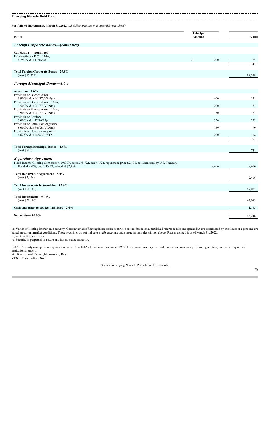**Emerging Markets Debt Fund** -----------------

**Portfolio of Investments, March 31, 2022** *(all dollar amounts in thousands) (unaudited)*

| <b>Issuer</b>                                                                                                                                                                                          | Principal<br>Amount |            | Value            |
|--------------------------------------------------------------------------------------------------------------------------------------------------------------------------------------------------------|---------------------|------------|------------------|
| <b>Foreign Corporate Bonds–(continued)</b>                                                                                                                                                             |                     |            |                  |
| Uzbekistan — (continued)<br>Uzbekneftegaz JSC-144A,<br>4.750%, due 11/16/28                                                                                                                            | $\mathbb{S}$        | 200        | \$<br>165<br>343 |
| <b>Total Foreign Corporate Bonds-29.8%</b><br>(cost \$15,529)                                                                                                                                          |                     |            | 14,398           |
| <b>Foreign Municipal Bonds-1.6%</b>                                                                                                                                                                    |                     |            |                  |
| Argentina- $1.6\%$<br>Provincia de Buenos Aires,<br>3.900%, due $9/1/37$ , VRN(a)                                                                                                                      |                     | 400        | 171              |
| Provincia de Buenos Aires—144A,<br>3.500%, due $9/1/37$ , VRN(a)<br>Provincia de Buenos Aires-144A,<br>3.900%, due $9/1/37$ , VRN(a)                                                                   |                     | 200<br>50  | 73<br>21         |
| Provincia de Cordoba,<br>5.000%, due $12/10/25(a)$<br>Provincia de Entre Rios Argentina,                                                                                                               |                     | 350        | 273              |
| 5.000%, due $8/8/28$ , VRN(a)<br>Provincia de Neuquen Argentina,<br>4.625%, due 4/27/30, VRN                                                                                                           |                     | 150<br>200 | 99<br>114        |
|                                                                                                                                                                                                        |                     |            | 751              |
| Total Foreign Municipal Bonds-1.6%<br>(cost \$810)                                                                                                                                                     |                     |            | 751              |
| Repurchase Agreement<br>Fixed Income Clearing Corporation, 0.000% dated 3/31/22, due 4/1/22, repurchase price \$2,406, collateralized by U.S. Treasury<br>Bond, 4.250%, due 5/15/39, valued at \$2,454 |                     | 2,406      | 2,406            |
| Total Repurchase Agreement-5.0%<br>(cost \$2,406)                                                                                                                                                      |                     |            | 2,406            |
| Total Investments in Securities-97.6%<br>(cost \$51,180)                                                                                                                                               |                     |            | 47,083           |
| Total Investments-97.6%<br>(cost \$51,180)                                                                                                                                                             |                     |            | 47,083           |
| Cash and other assets, less liabilities-2.4%                                                                                                                                                           |                     |            | 1,163            |
| Net assets-100.0%                                                                                                                                                                                      |                     |            | \$<br>48,246     |

(a) Variable/Floating interest rate security. Certain variable/floating interest rate securities are not based on a published reference rate and spread but are determined by the issuer or agent and are based on current market conditions. These securities do not indicate a reference rate and spread in their description above. Rate presented is as of March 31, 2022. (b) = Defaulted securities.

(c) Security is perpetual in nature and has no stated maturity.

144A = Security exempt from registration under Rule 144A of the Securities Act of 1933. These securities may be resold in transactions exempt from registration, normally to qualified institutional buyers. SOFR = Secured Overnight Financing Rate

VRN = Variable Rate Note

See accompanying Notes to Portfolio of Investments.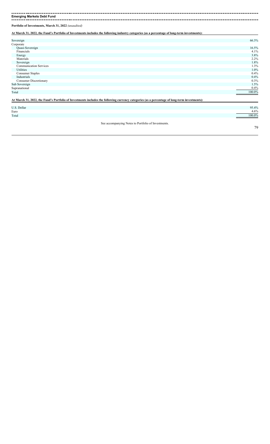-------\_\_\_\_\_\_\_\_\_\_\_\_\_\_\_\_\_\_\_\_\_\_\_\_\_\_\_ **Emerging Markets Debt Fund** ------------------------..................

**Portfolio of Investments, March 31, 2022** *(unaudited)*

**At March 31, 2022, the Fund's Portfolio of Investments includes the following industry categories (as a percentage of long-term investments):**

| Sovereign                                                                                                                                     | 66.3%   |
|-----------------------------------------------------------------------------------------------------------------------------------------------|---------|
| Corporate                                                                                                                                     |         |
| Quasi-Sovereign                                                                                                                               | 16.5%   |
| Financials                                                                                                                                    | 4.1%    |
| Energy                                                                                                                                        | 3.8%    |
| Materials                                                                                                                                     | $2.2\%$ |
| Sovereign                                                                                                                                     | 1.8%    |
| <b>Communication Services</b>                                                                                                                 | 1.3%    |
| Utilities                                                                                                                                     | 1.0%    |
| Consumer Staples                                                                                                                              | 0.4%    |
| Industrials                                                                                                                                   | 0.4%    |
| <b>Consumer Discretionary</b>                                                                                                                 | 0.3%    |
| Sub Sovereign                                                                                                                                 | 1.5%    |
| Supranational                                                                                                                                 | 0.4%    |
| Total                                                                                                                                         | 100.0%  |
| At March 31, 2022, the Fund's Portfolio of Investments includes the following currency categories (as a percentage of long-term investments): |         |
| U.S. Dollar                                                                                                                                   | 95.4%   |

| Euro  | $\epsilon$<br>4.O% |
|-------|--------------------|
| Total | 100.0%             |

See accompanying Notes to Portfolio of Investments.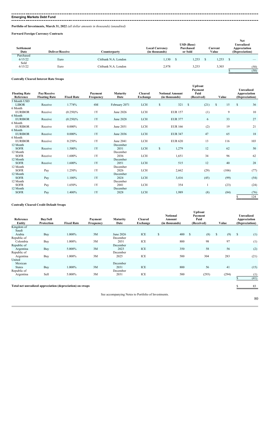---**Emerging Markets Debt Fund**

**Portfolio of Investments, March 31, 2022** *(all dollar amounts in thousands) (unaudited)*

**Forward Foreign Currency Contracts**

| Settlement<br>Date | <b>Deliver/Receive</b> | Counterparty         | <b>Local Currency</b><br>(in thousands) | <b>USD</b> (Base)<br>Purchased<br>or Sold |       |  | Current<br>Value | <b>Net</b><br><b>Unrealized</b><br>Appreciation<br>(Depreciation) |
|--------------------|------------------------|----------------------|-----------------------------------------|-------------------------------------------|-------|--|------------------|-------------------------------------------------------------------|
| Purchased          |                        |                      |                                         |                                           |       |  |                  |                                                                   |
| 6/15/22            | Euro                   | Citibank N.A. London | 1,130                                   |                                           | .253  |  | .253             |                                                                   |
| Sold               |                        |                      |                                         |                                           |       |  |                  |                                                                   |
| 6/15/22            | Euro                   | Citibank N.A. London | 2,978                                   |                                           | 3,253 |  | 3,303            | (50)                                                              |
|                    |                        |                      |                                         |                                           |       |  |                  | (50)                                                              |

### **Centrally Cleared Interest Rate Swaps**

| <b>Floating Rate</b><br>Reference | Pay/Receive<br><b>Floating Rate</b> | <b>Fixed Rate</b> | Payment<br>Frequency | Maturity<br>Date | <b>Cleared</b><br>Exchange | <b>Notional Amount</b><br>(in thousands) |                      | <b>Upfront</b><br>Payment<br>Paid<br>(Received) | Value    | <b>Unrealized</b><br>Appreciation<br>(Depreciation) |  |
|-----------------------------------|-------------------------------------|-------------------|----------------------|------------------|----------------------------|------------------------------------------|----------------------|-------------------------------------------------|----------|-----------------------------------------------------|--|
| 3 Month USD<br><b>LIBOR</b>       | Receive                             | 1.774%            | 6M                   |                  | <b>LCH</b>                 | \$                                       | 321<br><sup>\$</sup> |                                                 | \$<br>15 | S<br>36                                             |  |
| 6 Month                           |                                     |                   |                      | February 2071    |                            |                                          |                      | (21)                                            |          |                                                     |  |
| <b>EURIBOR</b>                    | Receive                             | $(0.250)\%$       | 1Y                   | June 2026        | LCH                        | <b>EUR 157</b>                           |                      | (1)                                             | 9        | 10                                                  |  |
| 6 Month<br><b>EURIBOR</b>         | Receive                             | $(0.250)\%$       | 1Y                   | June 2028        | <b>LCH</b>                 | <b>EUR 377</b>                           |                      | 6                                               | 33       | 27                                                  |  |
| 6 Month<br><b>EURIBOR</b>         | Receive                             | $0.000\%$         | 1Y                   | June 2031        | LCH                        | <b>EUR 166</b>                           |                      | (2)                                             | 19       | 21                                                  |  |
| 6 Month<br><b>EURIBOR</b>         | Receive                             | $0.000\%$         | 1Y                   | June 2036        | <b>LCH</b>                 | <b>EUR 347</b>                           |                      | 47                                              | 65       | 18                                                  |  |
| 6 Month<br><b>EURIBOR</b>         | Receive                             | 0.250%            | 1Y                   | June 2041        | <b>LCH</b>                 | <b>EUR 620</b>                           |                      | 13                                              | 116      | 103                                                 |  |
| 12 Month<br><b>SOFR</b>           | Receive                             | 1.500%            | 1Y                   | December<br>2031 | <b>LCH</b>                 | \$                                       | 1,279                | 12                                              | 62       | 50                                                  |  |
| 12 Month<br><b>SOFR</b>           | Receive                             | 1.600%            | 1Y                   | December<br>2036 | LCH                        |                                          | 1,651                | 34                                              | 96       | 62                                                  |  |
| 12 Month<br><b>SOFR</b>           | Receive                             | 1.600%            | 1Y                   | December<br>2051 | LCH                        |                                          | 515                  | 12                                              | 40       | 28                                                  |  |
| 12 Month<br><b>SOFR</b>           | Pay                                 | 1.250%            | 1Y                   | December<br>2026 | LCH                        |                                          | 2,662                | (29)                                            | (106)    | (77)                                                |  |
| 12 Month<br><b>SOFR</b>           | Pay                                 | 1.100%            | 1Y                   | December<br>2024 | <b>LCH</b>                 |                                          | 3,416                | (45)                                            | (99)     | (54)                                                |  |
| 12 Month<br><b>SOFR</b>           | Pay                                 | 1.650%            | 1Y                   | December<br>2041 | LCH                        |                                          | 354                  | 1                                               | (23)     | (24)                                                |  |
| 12 Month<br><b>SOFR</b>           | Pay                                 | 1.400%            | 1Y                   | December<br>2028 | <b>LCH</b>                 |                                          | 1,989                | (8)                                             | (84)     | (76)                                                |  |
|                                   |                                     |                   |                      |                  |                            |                                          |                      |                                                 |          | 124<br>S                                            |  |

### **Centrally Cleared Credit Default Swaps**

| Reference<br>Entity      | <b>Buy/Sell</b><br>Protection | <b>Fixed Rate</b> | Payment<br>Frequency | <b>Maturity</b><br>Date | <b>Cleared</b><br>Exchange |               | <b>Notional</b><br>Amount<br>(in thousands) | <b>Upfront</b><br>Payment<br>Paid<br>(Received) | Value     | <b>Unrealized</b><br>Appreciation<br>(Depreciation) |
|--------------------------|-------------------------------|-------------------|----------------------|-------------------------|----------------------------|---------------|---------------------------------------------|-------------------------------------------------|-----------|-----------------------------------------------------|
| Kingdom of<br>Saudi      |                               |                   |                      |                         |                            |               |                                             |                                                 |           |                                                     |
| Arabia                   | Buy                           | 1.000%            | 3M                   | June 2026               | ICE                        | <sup>\$</sup> | 400                                         | <sup>\$</sup><br>(8)                            | (9)<br>\$ | \$<br>(1)                                           |
| Republic of<br>Colombia  | Buy                           | 1.000%            | 3M                   | December<br>2031        | ICE                        |               | 800                                         | 98                                              | 97        | (1)                                                 |
| Republic of<br>Argentina | Buy                           | 5.000%            | 3M                   | December<br>2023        | ICE                        |               | 350                                         | 58                                              | 56        | (2)                                                 |
| Republic of<br>Argentina | Buy                           | 1.000%            | 3M                   | December<br>2025        | ICE                        |               | 500                                         | 304                                             | 283       | (21)                                                |
| United<br>Mexican        |                               |                   |                      | December                |                            |               |                                             |                                                 |           |                                                     |
| <b>States</b>            | Buy                           | 1.000%            | 3M                   | 2031                    | ICE                        |               | 800                                         | 56                                              | 41        | (15)                                                |
| Republic of<br>Argentina | Sell                          | 5.000%            | 3M                   | December<br>2031        | ICE                        |               | 500                                         | (293)                                           | (294)     | (1)                                                 |
|                          |                               |                   |                      |                         |                            |               |                                             |                                                 |           | (41)                                                |

Total net unrealized appreciation (depreciation) on swaps **\$** 83

See accompanying Notes to Portfolio of Investments.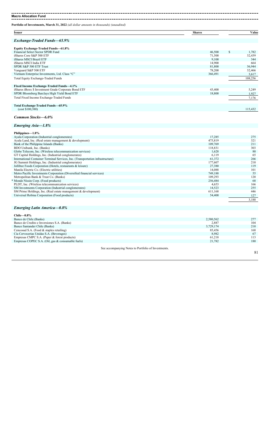**Portfolio of Investments, March 31, 2022** *(all dollar amounts in thousands) (unaudited)* **Issuer Shares Value** *Exchange-Traded Funds—65.9%* **Equity Exchange-Traded Funds—61.8%** Financial Select Sector SPDR Fund 1,782 iShares Core S&P 500 ETF and the state of the state of the state of the state of the SAT of the SAT of the SAT<br>
iShares Core S&P 500 ETF 71,500 32,439<br>
9,100 344  $\frac{1}{100}$  and  $\frac{1}{200}$   $\frac{1}{344}$  900  $\frac{1}{344}$  9,100  $\frac{1}{344}$  9,100  $\frac{1}{344}$  9,100  $\frac{1}{344}$  9,100  $\frac{1}{344}$ iShares MSCI India ETF 14,900 664<br>
SPDR S&P 500 ETF Trust 88 P 500 ETF Trust 86,944<br>
178,200 32,466 78,200 32,466 178,200 32,466 SPDR S&P 500 ETF Trust Vanguard S&P 500 ETF 200<br>Vietnam Enterprise Investments, Ltd. Class "C" 32,466<br>Vietnam Enterprise Investments, Ltd. Class "C" 36,491 3,617 Vietnam Enterprise Investments, Ltd. Class "C" Total Equity Exchange-Traded Funds 108,256 **Fixed Income Exchange-Traded Funds—4.1%** iShares iBoxx \$ Investment Grade Corporate Bond ETF 43,400 5,249 SPDR Bloomberg Barclays High Yield Bond ETF 18,800 1,927 Total Fixed Income Exchange-Traded Funds 7,176 **Total Exchange-Traded Funds—65.9%** (cost \$100,380) 115,432 *Common Stocks—6.0% Emerging Asia—1.8%* **Philippines—1.8%** Ayala Corporation (Industrial conglomerates) 17,285 275 Ayala Land, Inc. (Real estate management & development) 475,819 321 Ayala Corporation (Industrial conglomerates)<br>
Ayala Land, Inc. (Real estate management & development)<br>
Bank of the Philippine Islands (Banks)<br>
Bank of the Philippine Islands (Banks)<br>
109,769 211<br>
BDO Unibank, Inc. (Banks)<br> BDO Unibank, Inc. (Banks) 303 Globe Telecom, Inc. (Wireless telecommunication services) 80 and 1,628 80 and 1,628 80 and 1,628 80 and 1,628 80 and 1,628 80 and 1,628 80 and 1,628 80 and 1,628 80 and 1,628 80 and 1,628 80 and 1,628 80 and 1,628 80 and 1 GT Capital Holdings, Inc. (Industrial conglomerates) 653 International Container Terminal Services, Inc. (Transportation infrastructure) 61,372 266 JG Summit Holdings, Inc. (Industrial conglomerates) 177,607 210 Jollibee Foods Corporation (Hotels, restaurants & leisure) 27,380 119 Manila Electric Co. (Electric utilities) 14,088 101 Metro Pacific Investments Corporation (Diversified financial services) 749,188 55 Metropolitan Bank & Trust Co. (Banks) 109,293 120 \* Monde Nissin Corp. (Food products) 256,484 68 PLDT, Inc. (Wireless telecommunication services) 4,653 166 SM Investments Corporation (Industrial conglomerates) 14,523 255 SM Prime Holdings, Inc. (Real estate management & development) 611,168 611,168 446 Universal Robina Corporation (Food products) 54,400 127 3,188

### *Emerging Latin America—0.8%*

| $Chile=0.8\%$                                     |           |     |
|---------------------------------------------------|-----------|-----|
| Banco de Chile (Banks)                            | 2,580,562 | 277 |
| Banco de Credito e Inversiones S.A. (Banks)       | 2,887     | 104 |
| Banco Santander Chile (Banks)                     | 3,729,174 | 210 |
| Cencosud S.A. (Food $&$ staples retailing)        | 85.456    | 168 |
| Cia Cervecerias Unidas S.A. (Beverages)           | 8.982     | 67  |
| Empresas CMPC S.A. (Paper & forest products)      | 61.218    | 113 |
| Empresas COPEC S.A. (Oil, gas & consumable fuels) | 21.782    | 180 |
|                                                   |           |     |

See accompanying Notes to Portfolio of Investments.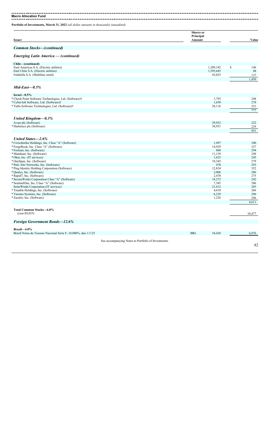**Macro Allocation Fund** --------------------------------

**Portfolio of Investments, March 31, 2022** *(all dollar amounts in thousands) (unaudited)*

| <b>Issuer</b>                                                 |                                                     | <b>Shares</b> or<br>Principal<br>Amount | Value        |
|---------------------------------------------------------------|-----------------------------------------------------|-----------------------------------------|--------------|
| Common Stocks-(continued)                                     |                                                     |                                         |              |
| <b>Emerging Latin America — (continued)</b>                   |                                                     |                                         |              |
| Chile-(continued)                                             |                                                     |                                         |              |
| Enel Americas S.A. (Electric utilities)                       |                                                     | 1,209,182                               | \$<br>146    |
| Enel Chile S.A. (Electric utilities)                          |                                                     | 1,595,645                               | 48           |
| Falabella S.A. (Multiline retail)                             |                                                     | 43,023                                  | 137          |
|                                                               |                                                     |                                         | 1,450        |
| $Mid\text{-}East-0.5\%$                                       |                                                     |                                         |              |
| $Israel - 0.5%$                                               |                                                     |                                         |              |
| * Check Point Software Technologies, Ltd. (Software)†         |                                                     | 1,793                                   | 248          |
| * CyberArk Software, Ltd. (Software)†                         |                                                     | 1,650                                   | 278          |
| * Tufin Software Technologies, Ltd. (Software)†               |                                                     | 28,116                                  | 251          |
|                                                               |                                                     |                                         | 777          |
| United Kingdom—0.3%                                           |                                                     |                                         |              |
| Avast plc (Software)                                          |                                                     | 29,952                                  | 222          |
| * Darktrace plc (Software)                                    |                                                     | 38,951                                  | 229          |
|                                                               |                                                     |                                         | 451          |
| United States-2.6%                                            |                                                     |                                         |              |
| * Crowdstrike Holdings, Inc. Class "A" (Software)             |                                                     | 1,497                                   | 340          |
| *ForgeRock, Inc. Class "A" (Software)                         |                                                     | 14,929                                  | 327          |
| *Fortinet, Inc. (Software)                                    |                                                     | 860                                     | 294          |
| * Mandiant, Inc. (Software)                                   |                                                     | 11,139                                  | 249<br>245   |
| * Okta, Inc. (IT services)<br>* OneSpan, Inc. (Software)      |                                                     | 1,623<br>19,345                         | 279          |
| * Palo Alto Networks, Inc. (Software)                         |                                                     | 470                                     | 293          |
| * Ping Identity Holding Corporation (Software)                |                                                     | 12,834                                  | 352          |
| * Qualys, Inc. (Software)                                     |                                                     | 2,006                                   | 286          |
| * Rapid7, Inc. (Software)                                     |                                                     | 2,470                                   | 275          |
| * SecureWorks Corporation Class "A" (Software)                |                                                     | 18,272                                  | 242          |
| * SentinelOne, Inc. Class "A" (Software)                      |                                                     | 7,385                                   | 286          |
| SolarWinds Corporation (IT services)                          |                                                     | 21,412                                  | 285          |
| * Tenable Holdings, Inc. (Software)                           |                                                     | 4,610                                   | 266          |
| * Varonis Systems, Inc. (Software)                            |                                                     | 6,229                                   | 296          |
| * Zscaler, Inc. (Software)                                    |                                                     | 1,226                                   | 296<br>4,611 |
|                                                               |                                                     |                                         |              |
| Total Common Stocks-6.0%<br>(cost \$9,835)                    |                                                     |                                         | 10,477       |
| <b>Foreign Government Bonds-12.6%</b>                         |                                                     |                                         |              |
| <b>Brazil-4.0%</b>                                            |                                                     |                                         |              |
| Brazil Notas do Tesouro Nacional Serie F, 10.000%, due 1/1/25 |                                                     | <b>BRL</b><br>34,420                    | 6,976        |
|                                                               | See accompanying Notes to Portfolio of Investments. |                                         |              |
|                                                               |                                                     |                                         | 82           |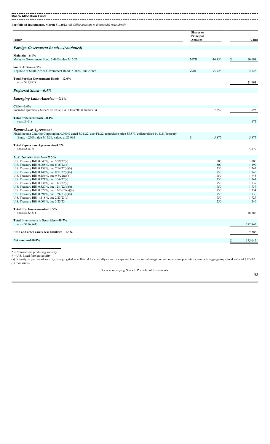**Macro Allocation Fund** 

**Portfolio of Investments, March 31, 2022** *(all dollar amounts in thousands) (unaudited)*

| <b>Issuer</b>                                                                                                                                                                                          | <b>Shares</b> or<br>Principal<br>Amount |                | Value          |
|--------------------------------------------------------------------------------------------------------------------------------------------------------------------------------------------------------|-----------------------------------------|----------------|----------------|
| <b>Foreign Government Bonds—(continued)</b>                                                                                                                                                            |                                         |                |                |
| Malaysia-6.1%                                                                                                                                                                                          |                                         |                |                |
| Malaysia Government Bond, 3.480%, due 3/15/23                                                                                                                                                          | <b>MYR</b>                              | 44,450         | \$<br>10,694   |
| South Africa-2.5%<br>Republic of South Africa Government Bond, 7.000%, due 2/28/31                                                                                                                     | ZAR                                     | 75,723         | 4,323          |
| Total Foreign Government Bonds-12.6%<br>(cost \$21,897)                                                                                                                                                |                                         |                | 21,993         |
| <b>Preferred Stock–0.4%</b>                                                                                                                                                                            |                                         |                |                |
| <b>Emerging Latin America—0.4%</b>                                                                                                                                                                     |                                         |                |                |
| Chile $-0.4\%$                                                                                                                                                                                         |                                         |                |                |
| Sociedad Quimica y Minera de Chile S.A. Class "B" (Chemicals)                                                                                                                                          |                                         | 7,859          | 675            |
| Total Preferred Stock-0.4%<br>(cost \$401)                                                                                                                                                             |                                         |                | 675            |
|                                                                                                                                                                                                        |                                         |                |                |
| Repurchase Agreement<br>Fixed Income Clearing Corporation, 0.000% dated 3/31/22, due 4/1/22, repurchase price \$5,877, collateralized by U.S. Treasury<br>Bond, 4.250%, due 5/15/39, valued at \$5,994 | $\mathbb{S}$                            | 5,877          | 5,877          |
| Total Repurchase Agreement-3.3%                                                                                                                                                                        |                                         |                |                |
| (cost \$5,877)                                                                                                                                                                                         |                                         |                | 5,877          |
| U.S. Government-10.5%                                                                                                                                                                                  |                                         |                |                |
| U.S. Treasury Bill, 0.043%, due 5/19/22(a)                                                                                                                                                             |                                         | 1,000          | 1,000          |
| U.S. Treasury Bill, 0.065%, due 6/16/22(a)                                                                                                                                                             |                                         | 1,500          | 1,499          |
| U.S. Treasury Bill, 0.139%, due 7/14/22(a)(b)<br>U.S. Treasury Bill, 0.148%, due $8/11/22(a)(b)$                                                                                                       |                                         | 1,750<br>1,750 | 1,747<br>1,745 |
| U.S. Treasury Bill, 0.156%, due $9/8/22(a)(b)$                                                                                                                                                         |                                         | 1,750          | 1,743          |
| U.S. Treasury Bill, 0.171%, due 10/6/22(a)                                                                                                                                                             |                                         | 1,750          | 1,741          |
| U.S. Treasury Bill, 0.238%, due 11/3/22(a)                                                                                                                                                             |                                         | 1,750          | 1,739          |
| U.S. Treasury Bill, 0.327%, due 12/1/22(a)(b)                                                                                                                                                          |                                         | 1,750          | 1,737          |
| U.S. Treasury Bill, 0.572%, due $12/29/22(a)(b)$                                                                                                                                                       |                                         | 1,750          | 1,734          |
| U.S. Treasury Bill, 0.694%, due $1/26/23(a)(b)$                                                                                                                                                        |                                         | 1,750          | 1,730          |
| U.S. Treasury Bill, 1.118%, due 2/23/23(a)                                                                                                                                                             |                                         | 1,750          | 1,727          |
| U.S. Treasury Bill, 0.000%, due 3/23/23                                                                                                                                                                |                                         | 250            | 246            |
| Total U.S. Government-10.5%                                                                                                                                                                            |                                         |                |                |
| (cost \$18,451)                                                                                                                                                                                        |                                         |                | 18,388         |
| Total Investments in Securities-98.7%<br>(cost \$156,841)                                                                                                                                              |                                         |                | 172,842        |
| Cash and other assets, less liabilities-1.3%                                                                                                                                                           |                                         |                | 2,205          |
| Net assets-100.0%                                                                                                                                                                                      |                                         |                | 175,047        |
|                                                                                                                                                                                                        |                                         |                |                |

\* = Non-income producing security

 $\dagger$  = U.S. listed foreign security (a) Security, or portion of security, is segregated as collateral for centrally cleared swaps and to cover initial margin requirements on open futures contracts aggregating a total value of \$12,683 (in thousands).

See accompanying Notes to Portfolio of Investments.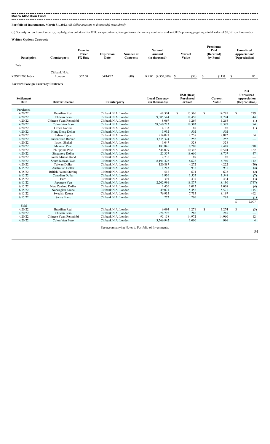-------------------------**Portfolio of Investments, March 31, 2022** *(all dollar amounts in thousands) (unaudited)*

(b) Security, or portion of security, is pledged as collateral for OTC swap contracts, foreign forward currency contracts, and an OTC option aggregating a total value of \$2,361 (in thousands).

**Written Options Contracts**

| <b>Description</b> | Counterparty            | <b>Exercise</b><br>Price/<br><b>FX</b> Rate | <b>Expiration</b><br>Date | Number of<br>Contracts | <b>Notional</b><br>Amount<br>(in thousand) | Market<br>Value | <b>Premiums</b><br>Paid<br>(Received)<br>by Fund | Unrealized<br>Appreciation/<br>(Depreciation) |
|--------------------|-------------------------|---------------------------------------------|---------------------------|------------------------|--------------------------------------------|-----------------|--------------------------------------------------|-----------------------------------------------|
| Puts               |                         |                                             |                           |                        |                                            |                 |                                                  |                                               |
| KOSPI 200 Index    | Citibank N.A.<br>London | 362.50                                      | 04/14/22                  | (48)                   | <b>KRW</b><br>(4,350,000)                  | (30)            | (115)                                            | 85                                            |

**Forward Foreign Currency Contracts**

| <b>Settlement</b><br>Date | <b>Deliver/Receive</b>        | Counterparty                                        | <b>Local Currency</b><br>(in thousands) | <b>USD</b> (Base)<br>Purchased<br>or Sold |        |               | Current<br>Value | <b>Net</b><br><b>Unrealized</b><br>Appreciation<br>(Depreciation) |                          |
|---------------------------|-------------------------------|-----------------------------------------------------|-----------------------------------------|-------------------------------------------|--------|---------------|------------------|-------------------------------------------------------------------|--------------------------|
|                           |                               |                                                     |                                         |                                           |        |               |                  |                                                                   |                          |
| Purchased                 |                               |                                                     |                                         |                                           |        |               |                  |                                                                   |                          |
| 4/20/22                   | <b>Brazilian Real</b>         | Citibank N.A. London                                | 68.324                                  | <sup>\$</sup>                             | 13,566 | <sup>\$</sup> | 14,285           | \$                                                                | 719                      |
| 4/20/22                   | Chilean Peso                  | Citibank N.A. London                                | 9,305,544                               |                                           | 11,450 |               | 11,794           |                                                                   | 344                      |
| 4/20/22                   | Chinese Yuan Renminbi         | Citibank N.A. London                                | 8,067                                   |                                           | 1,269  |               | 1,268            |                                                                   | (1)                      |
| 4/20/22                   | Colombian Peso                | Citibank N.A. London                                | 69,560,713                              |                                           | 18,303 |               | 18,397           |                                                                   | 94                       |
| 4/20/22                   | Czech Koruna                  | Citibank N.A. London                                | 4,133                                   |                                           | 188    |               | 187              |                                                                   | (1)                      |
| 4/20/22                   | Hong Kong Dollar              | Citibank N.A. London                                | 3,932                                   |                                           | 502    |               | 502              |                                                                   |                          |
| 4/20/22                   | <b>Indian Rupee</b>           | Citibank N.A. London                                | 214,021                                 |                                           | 2,758  |               | 2,812            |                                                                   | 54                       |
| 4/20/22                   | <b>Indonesian Rupiah</b>      | Citibank N.A. London                                | 3,615,324                               |                                           | 252    |               | 252              |                                                                   | $\overline{\phantom{0}}$ |
| 4/20/22                   | Israeli Shekel                | Citibank N.A. London                                | 1,047                                   |                                           | 328    |               | 328              |                                                                   |                          |
| 4/20/22                   | Mexican Peso                  | Citibank N.A. London                                | 187,845                                 |                                           | 8,700  |               | 9,418            |                                                                   | 718                      |
| 4/20/22                   | Philippine Peso               | Citibank N.A. London                                | 544,079                                 |                                           | 10,342 |               | 10,504           |                                                                   | 162                      |
| 4/20/22                   | Singapore Dollar              | Citibank N.A. London                                | 25,357                                  |                                           | 18,660 |               | 18,707           |                                                                   | 47                       |
| 4/20/22                   | South African Rand            | Citibank N.A. London                                | 2,735                                   |                                           | 187    |               | 187              |                                                                   |                          |
| 4/20/22                   | South Korean Won              | Citibank N.A. London                                | 8,191,422                               |                                           | 6,628  |               | 6,740            |                                                                   | 112                      |
| 4/20/22                   | Taiwan Dollar                 | Citibank N.A. London                                | 120,887                                 |                                           | 4,272  |               | 4,222            |                                                                   | (50)                     |
| 6/15/22                   | Australian Dollar             | Citibank N.A. London                                | 1,243                                   |                                           | 935    |               | 931              |                                                                   | (4)                      |
| 6/15/22                   | <b>British Pound Sterling</b> | Citibank N.A. London                                | 512                                     |                                           | 674    |               | 672              |                                                                   |                          |
| 6/15/22                   | Canadian Dollar               | Citibank N.A. London                                | 1,936                                   |                                           | 1,555  |               | 1,548            |                                                                   | $\binom{2}{7}$           |
| 6/15/22                   | Euro                          | Citibank N.A. London                                | 391                                     |                                           | 437    |               | 434              |                                                                   | (3)                      |
| 6/15/22                   | Japanese Yen                  | Citibank N.A. London                                | 2,202,991                               |                                           | 18,877 |               | 18,130           |                                                                   | (747)                    |
| 6/15/22                   | New Zealand Dollar            | Citibank N.A. London                                | 1,456                                   |                                           | 1,012  |               | 1,008            |                                                                   | (4)                      |
| 6/15/22                   | Norwegian Krone               | Citibank N.A. London                                | 49,071                                  |                                           | 5,456  |               | 5,571            |                                                                   | 115                      |
| 6/15/22                   | Swedish Krona                 | Citibank N.A. London                                | 76,935                                  |                                           | 7,735  |               | 8,197            |                                                                   | 462                      |
| 6/15/22                   | Swiss Franc                   | Citibank N.A. London                                | 272                                     |                                           | 296    |               | 295              |                                                                   | (1)                      |
|                           |                               |                                                     |                                         |                                           |        |               |                  | S.                                                                | 2,007                    |
| Sold                      |                               |                                                     |                                         |                                           |        |               |                  |                                                                   |                          |
| 4/20/22                   | <b>Brazilian Real</b>         | Citibank N.A. London                                | 6.094                                   | \$                                        | 1,271  | \$            | 1,274            | \$                                                                | (3)                      |
| 4/20/22                   | Chilean Peso                  | Citibank N.A. London                                | 224,795                                 |                                           | 285    |               | 285              |                                                                   |                          |
| 4/20/22                   | Chinese Yuan Renminbi         | Citibank N.A. London                                | 95,158                                  |                                           | 14,972 |               | 14,960           |                                                                   | 12                       |
| 4/20/22                   | Colombian Peso                | Citibank N.A. London                                | 3,766,942                               |                                           | 1,000  |               | 996              |                                                                   | $\overline{4}$           |
|                           |                               |                                                     |                                         |                                           |        |               |                  |                                                                   |                          |
|                           |                               | See accompanying Notes to Portfolio of Investments. |                                         |                                           |        |               |                  |                                                                   |                          |
|                           |                               |                                                     |                                         |                                           |        |               |                  |                                                                   | 84                       |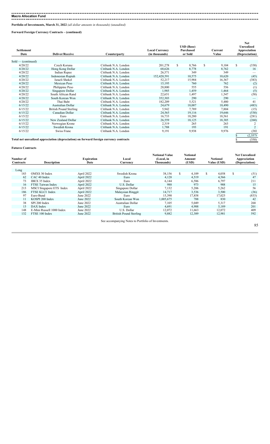-------------------------------

**Portfolio of Investments, March 31, 2022** *(all dollar amounts in thousands) (unaudited)*

**Forward Foreign Currency Contracts – (continued)**

| <b>Settlement</b><br>Date | <b>Deliver/Receive</b>                                                                 | Counterparty                                 | <b>Local Currency</b><br>(in thousands) | <b>USD</b> (Base)<br>Purchased<br>or Sold |   | Current<br>Value | <b>Net</b><br>Unrealized<br>Appreciation<br>(Depreciation) |
|---------------------------|----------------------------------------------------------------------------------------|----------------------------------------------|-----------------------------------------|-------------------------------------------|---|------------------|------------------------------------------------------------|
|                           |                                                                                        |                                              |                                         |                                           |   |                  |                                                            |
| $Sold$ (continued)        | Czech Koruna                                                                           | Citibank N.A. London                         |                                         |                                           | S |                  |                                                            |
| 4/20/22<br>4/20/22        |                                                                                        | Citibank N.A. London                         | 201,278<br>68,626                       | \$<br>8,766<br>8.778                      |   | 9,104<br>8.762   | \$<br>(338)<br>16                                          |
| 4/20/22                   | Hong Kong Dollar                                                                       |                                              |                                         |                                           |   |                  |                                                            |
|                           | Indian Rupee                                                                           | Citibank N.A. London                         | 26,571                                  | 349                                       |   | 349              |                                                            |
| 4/20/22<br>4/20/22        | Indonesian Rupiah<br>Israeli Shekel                                                    | Citibank N.A. London<br>Citibank N.A. London | 152,420,591                             | 10,575                                    |   | 10,620           | (45)                                                       |
|                           |                                                                                        |                                              | 52,217                                  | 15,984                                    |   | 16,367           | (383)                                                      |
| 4/20/22                   | Mexican Peso                                                                           | Citibank N.A. London                         | 15,195                                  | 760                                       |   | 762              | (2)                                                        |
| 4/20/22                   | Philippine Peso                                                                        | Citibank N.A. London                         | 28,800                                  | 555                                       |   | 556              | (1)                                                        |
| 4/20/22                   | Singapore Dollar                                                                       | Citibank N.A. London                         | 1,985                                   | 1,459                                     |   | 1,464            | (5)                                                        |
| 4/20/22                   | South African Rand                                                                     | Citibank N.A. London                         | 22,651                                  | 1,497                                     |   | 1,547            | (50)                                                       |
| 4/20/22                   | South Korean Won                                                                       | Citibank N.A. London                         | 352,303                                 | 290                                       |   | 290              |                                                            |
| 4/20/22                   | Thai Baht                                                                              | Citibank N.A. London                         | 182,209                                 | 5,521                                     |   | 5,480            | 41                                                         |
| 6/15/22                   | Australian Dollar                                                                      | Citibank N.A. London                         | 24,679                                  | 18,007                                    |   | 18,490           | (483)                                                      |
| 6/15/22                   | British Pound Sterling                                                                 | Citibank N.A. London                         | 5,942                                   | 7,789                                     |   | 7,804            | (15)                                                       |
| 6/15/22                   | Canadian Dollar                                                                        | Citibank N.A. London                         | 24,565                                  | 19,116                                    |   | 19,646           | (530)                                                      |
| 6/15/22                   | Euro                                                                                   | Citibank N.A. London                         | 16,733                                  | 18,280                                    |   | 18,561           | (281)                                                      |
| 6/15/22                   | New Zealand Dollar                                                                     | Citibank N.A. London                         | 26,559                                  | 18,125                                    |   | 18,385           | (260)                                                      |
| 6/15/22                   | Norwegian Krone                                                                        | Citibank N.A. London                         | 2,319                                   | 265                                       |   | 263              |                                                            |
| 6/15/22                   | Swedish Krona                                                                          | Citibank N.A. London                         | 1,788                                   | 193                                       |   | 191              | $\overline{2}$                                             |
| 6/15/22                   | Swiss Franc                                                                            | Citibank N.A. London                         | 9,191                                   | 9,938                                     |   | 9,976            | (38)                                                       |
|                           |                                                                                        |                                              |                                         |                                           |   |                  | (2,357)                                                    |
|                           | Total net unrealized appreciation (depreciation) on forward foreign currency contracts |                                              |                                         |                                           |   |                  | (350)                                                      |
|                           |                                                                                        |                                              |                                         |                                           |   |                  |                                                            |

#### **Futures Contracts**

| Number of<br><b>Contracts</b> | <b>Description</b>        | <b>Expiration</b><br>Date | Local<br>Currency      | <b>Notional Value</b><br>(Local, in<br>Thousands) |     | <b>Notional</b><br>Amount<br>(USD) |     | <b>Notional</b><br>Value (USD) |     | <b>Net Unrealized</b><br>Appreciation<br>(Depreciation) |
|-------------------------------|---------------------------|---------------------------|------------------------|---------------------------------------------------|-----|------------------------------------|-----|--------------------------------|-----|---------------------------------------------------------|
|                               |                           |                           |                        |                                                   |     |                                    |     |                                |     |                                                         |
| Long                          |                           |                           |                        |                                                   |     |                                    |     |                                |     |                                                         |
| 183                           | OMXS 30 Index             | April 2022                | Swedish Krona          | 38,156                                            | \$. | 4,109                              | \$. | 4,058                          | \$. | (51)                                                    |
| 62                            | CAC <sub>40</sub> Index   | April 2022                | Euro                   | 4,128                                             |     | 4,519                              |     | 4,566                          |     | 47                                                      |
| 73                            | IBEX 35 Index             | April 2022                | Euro                   | 6,144                                             |     | 6,586                              |     | 6,797                          |     | 211                                                     |
| 16                            | FTSE Taiwan Index         | April 2022                | U.S. Dollar            | 988                                               |     | 973                                |     | 988                            |     | 15                                                      |
| 213                           | MSCI Singapore ETS Index  | April 2022                | Singapore Dollar       | 7,132                                             |     | 5,206                              |     | 5,262                          |     | 56                                                      |
| 186                           | FTSE KLCI Index           | April 2022                | Malaysian Ringgit      | 14,717                                            |     | 3,536                              |     | 3,500                          |     | (36)                                                    |
| 97                            | Euro-Bund                 | June 2022                 | Euro                   | 15,390                                            |     | 17,858                             |     | 17,025                         |     | (833)                                                   |
|                               | KOSPI 200 Index           | June 2022                 | South Korean Won       | 1.005.675                                         |     | 788                                |     | 830                            |     | 42                                                      |
| 38                            | SPI 200 Index             | June 2022                 | Australian Dollar      | 7,105                                             |     | 5,049                              |     | 5,317                          |     | 268                                                     |
| 13                            | DAX Index                 | June 2022                 | Euro                   | 4.691                                             |     | 4.988                              |     | 5,189                          |     | 201                                                     |
| 148                           | E-Mini Russell 1000 Index | June 2022                 | U.S. Dollar            | 12,072                                            |     | 11,663                             |     | 12,072                         |     | 409                                                     |
| 132                           | FTSE 100 Index            | June 2022                 | British Pound Sterling | 9,882                                             |     | 12,389                             |     | 12.981                         |     | 592                                                     |

See accompanying Notes to Portfolio of Investments.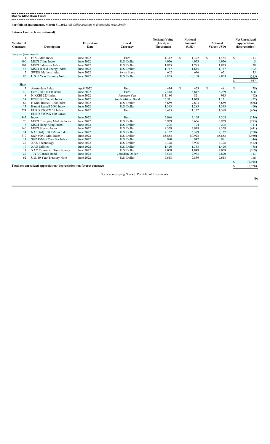**Portfolio of Investments, March 31, 2022** *(all dollar amounts in thousands) (unaudited)*

**Futures Contracts – (continued)**

| Number of          |                                                                       | <b>Expiration</b> | Local              | <b>Notional Value</b><br>(Local, in | <b>Notional</b><br><b>Amount</b> |    | <b>Notional</b> | <b>Net Unrealized</b><br>Appreciation |                |
|--------------------|-----------------------------------------------------------------------|-------------------|--------------------|-------------------------------------|----------------------------------|----|-----------------|---------------------------------------|----------------|
| <b>Contracts</b>   | <b>Description</b>                                                    | Date              | Currency           | Thousands)                          | (USD)                            |    | Value (USD)     | (Depreciation)                        |                |
|                    |                                                                       |                   |                    |                                     |                                  |    |                 |                                       |                |
| Long — (continued) |                                                                       |                   |                    |                                     |                                  |    |                 |                                       |                |
| 11                 | FTSE MIB Index                                                        | June 2022         | Euro               | 1,342                               | \$<br>1,372                      | \$ | 1,485           | \$                                    | 113            |
| 190                | MSCI China Index                                                      | June 2022         | U.S. Dollar        | 4,956                               | 4,953                            |    | 4,956           |                                       | $\overline{3}$ |
| 101                | MSCI Indonesia Index                                                  | June 2022         | U.S. Dollar        | 1,823                               | 1,795                            |    | 1,823           |                                       | 28             |
| 43                 | MSCI World Energy Index                                               | June 2022         | U.S. Dollar        | 1,747                               | 1,645                            |    | 1,747           |                                       | 102            |
| 5                  | <b>SWISS Markets Index</b>                                            | June 2022         | Swiss Franc        | 602                                 | 616                              |    | 651             |                                       | 35             |
| 86                 | U.S. 5 Year Treasury Note                                             | June 2022         | U.S. Dollar        | 9,863                               | 10,108                           |    | 9.863           |                                       | (245)          |
|                    |                                                                       |                   |                    |                                     |                                  |    |                 | \$                                    | 957            |
| Short              |                                                                       |                   |                    |                                     |                                  |    |                 |                                       |                |
| 3                  | Amsterdam Index                                                       | April 2022        | Euro               | 434                                 | \$<br>453                        | \$ | 481             | \$                                    | (28)           |
| 40                 | Euro-Buxl 30YR Bond                                                   | June 2022         | Euro               | 7,448                               | 8,847                            |    | 8,239           |                                       | 608            |
| 8                  | NIKKEI 225 Index                                                      | June 2022         | Japanese Yen       | 111,180                             | 821                              |    | 913             |                                       | (92)           |
| 24                 | FTSE/JSE Top 40 Index                                                 | June 2022         | South African Rand | 16,531                              | 1,079                            |    | 1.131           |                                       | (52)           |
| 62                 | E-Mini Russell 1000 Index                                             | June 2022         | U.S. Dollar        | 8,659                               | 7,803                            |    | 8,659           |                                       | (856)          |
| 13                 | E-mini Russell 2000 Index                                             | June 2022         | U.S. Dollar        | 1,343                               | 1,283                            |    | 1,343           |                                       | (60)           |
| 274                | EURO STOXX 50 Index                                                   | June 2022         | Euro               | 10,475                              | 11,132                           |    | 11,588          |                                       | (456)          |
|                    | EURO STOXX 600 Banks                                                  |                   |                    |                                     |                                  |    |                 |                                       |                |
| 447                | Index                                                                 | June 2022         | Euro               | 2,986                               | 3,169                            |    | 3,303           |                                       | (134)          |
| 70                 | <b>MSCI</b> Emerging Markets Index                                    | June 2022         | U.S. Dollar        | 3,939                               | 3,666                            |    | 3,939           |                                       | (273)          |
| 3                  | MSCI Hong Kong Index                                                  | June 2022         | U.S. Dollar        | 205                                 | 194                              |    | 205             |                                       | (11)           |
| 140                | <b>MSCI</b> Mexico Index                                              | June 2022         | U.S. Dollar        | 4,359                               | 3,918                            |    | 4,359           |                                       | (441)          |
| 24                 | NASDAQ 100 E-Mini Index                                               | June 2022         | U.S. Dollar        | 7,137                               | 6,379                            |    | 7,137           |                                       | (758)          |
| 379                | S&P 500 E Mini Index                                                  | June 2022         | U.S. Dollar        | 85,858                              | 80,928                           |    | 85,858          |                                       | (4,930)        |
| 11                 | S&P E-Mini Com Ser Index                                              | June 2022         | U.S. Dollar        | 990                                 | 947                              |    | 991             |                                       | (44)           |
| 27                 | XAK Technology                                                        | June 2022         | U.S. Dollar        | 4,328                               | 3,906                            |    | 4,328           |                                       | (422)          |
| 19                 | <b>XAU Utilities</b>                                                  | June 2022         | U.S. Dollar        | 1,426                               | 1,338                            |    | 1,426           |                                       | (88)           |
| 11                 | XAY Consumer Discretionary                                            | June 2022         | U.S. Dollar        | 2,058                               | 1,849                            |    | 2,058           |                                       | (209)          |
| 27                 | 10YR Canada Bond                                                      | June 2022         | Canadian Dollar    | 3,525                               | 2,933                            |    | 2,820           |                                       | 113            |
| 62                 | U.S. 10 Year Treasury Note                                            | June 2022         | U.S. Dollar        | 7,618                               | 7,836                            |    | 7,618           |                                       | 218            |
|                    |                                                                       |                   |                    |                                     |                                  |    |                 | \$                                    | (7, 915)       |
|                    | Total net unrealized appreciation (depreciation) on futures contracts |                   |                    |                                     |                                  |    |                 |                                       | (6.958)        |
|                    |                                                                       |                   |                    |                                     |                                  |    |                 |                                       |                |

See accompanying Notes to Portfolio of Investments.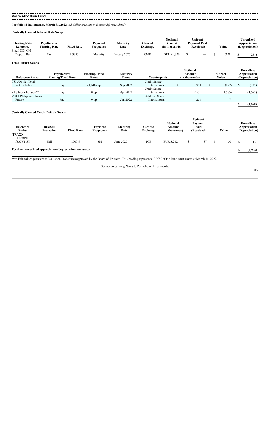**Macro Allocation Fund** 

**Portfolio of Investments, March 31, 2022** *(all dollar amounts in thousands) (unaudited)*

**Centrally Cleared Interest Rate Swap**

| <b>Floating Rate</b><br>Reference | <b>Pav/Receive</b><br><b>Floating Rate</b> | <b>Fixed Rate</b> | Pavment<br>Frequency | Maturity<br>Date | <b>Cleared</b><br>exchange | Notional<br>Amount<br>(in thousands) | Upfront<br><b>Pavment Paid</b><br>(Received) | Value | <b>Unrealized</b><br>Appreciation<br>(Depreciation) |
|-----------------------------------|--------------------------------------------|-------------------|----------------------|------------------|----------------------------|--------------------------------------|----------------------------------------------|-------|-----------------------------------------------------|
| <b>Brazil CDI ON</b>              |                                            |                   |                      |                  |                            |                                      |                                              |       |                                                     |
| Deposit Rate                      | Pay                                        | 9.985%            | Maturity             | January 2025     | CME                        | <b>BRL 41.858</b>                    |                                              | 251   | (251)                                               |

#### **Total Return Swaps**

|                               | Pay/Receive                | <b>Floating/Fixed</b> | Maturity     |               | <b>Notional</b><br>Amount | Market  | Unrealized<br>Appreciation |
|-------------------------------|----------------------------|-----------------------|--------------|---------------|---------------------------|---------|----------------------------|
| <b>Reference Entity</b>       | <b>Floating/Fixed Rate</b> | Rates                 | <b>Dates</b> | Counterparty  | (in thousands)            | Value   | (Depreciation)             |
| CSI 500 Net Total             |                            |                       |              | Credit Suisse |                           |         |                            |
| Return Index                  | Pay                        | $(1,140)$ bp          | Sep 2022     | International | 1,921                     | (122)   | (122)                      |
|                               |                            |                       |              | Credit Suisse |                           |         |                            |
| RTS Index Futures**           | Pay                        | 0 <sub>bp</sub>       | Apr 2022     | International | 2,535                     | (1,575) | (1, 575)                   |
| <b>MSCI</b> Philippines Index |                            |                       |              | Goldman Sachs |                           |         |                            |
| Future                        | Pay                        | 0 <sub>bp</sub>       | Jun 2022     | International | 236                       |         |                            |
|                               |                            |                       |              |               |                           |         | (1,690)                    |

### **Centrally Cleared Credit Default Swaps**

| Reference<br>Entity             | <b>Buy/Sell</b><br>Protection                             | <b>Fixed Rate</b> | Payment<br>Frequency | Maturity<br>Date | <b>Cleared</b><br>Exchange | <b>Notional</b><br>Amount<br>(in thousands) | <b>Upfront</b><br>Payment<br>Paid<br>(Received) | Value | <b>Unrealized</b><br>Appreciation<br>(Depreciation) |
|---------------------------------|-----------------------------------------------------------|-------------------|----------------------|------------------|----------------------------|---------------------------------------------|-------------------------------------------------|-------|-----------------------------------------------------|
| <b>ITRAXX-</b><br><b>EUROPE</b> |                                                           |                   |                      |                  |                            |                                             |                                                 |       |                                                     |
| fS37V1-5Y                       | Sell                                                      | $.000\%$          | 3M                   | June 2027        | ICE                        | EUR 3,282                                   | 37                                              | 50    | 13                                                  |
|                                 | Total net unrealized appreciation (depreciation) on swaps |                   |                      |                  |                            |                                             |                                                 |       | (1,928)                                             |

\*\* = Fair valued pursuant to Valuation Procedures approved by the Board of Trustees. This holding represents -0.90% of the Fund's net assets at March 31, 2022.

See accompanying Notes to Portfolio of Investments.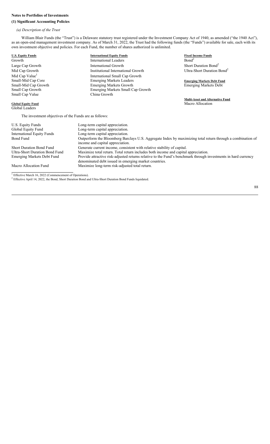### **Notes to Portfolios of Investments**

### **(1) Significant Accounting Policies**

## *(a) Description of the Trust*

William Blair Funds (the "Trust") is a Delaware statutory trust registered under the Investment Company Act of 1940, as amended ("the 1940 Act"), as an open-end management investment company. As of March 31, 2022, the Trust had the following funds (the "Funds") available for sale, each with its own investment objective and policies. For each Fund, the number of shares authorized is unlimited.

| <b>U.S. Equity Funds</b>                               | <b>International Equity Funds</b>                                                                              | <b>Fixed Income Funds</b>               |
|--------------------------------------------------------|----------------------------------------------------------------------------------------------------------------|-----------------------------------------|
| Growth                                                 | <b>International Leaders</b>                                                                                   | Bond <sup>2</sup>                       |
| Large Cap Growth                                       | <b>International Growth</b>                                                                                    | Short Duration Bond <sup>2</sup>        |
| Mid Cap Growth                                         | Institutional International Growth                                                                             | Ultra-Short Duration Bond <sup>2</sup>  |
| Mid Cap Value <sup>1</sup>                             | International Small Cap Growth                                                                                 |                                         |
| Small-Mid Cap Core                                     | <b>Emerging Markets Leaders</b>                                                                                | <b>Emerging Markets Debt Fund</b>       |
| Small-Mid Cap Growth                                   | <b>Emerging Markets Growth</b>                                                                                 | <b>Emerging Markets Debt</b>            |
| Small Cap Growth                                       | Emerging Markets Small Cap Growth                                                                              |                                         |
| Small Cap Value                                        | China Growth                                                                                                   |                                         |
|                                                        |                                                                                                                | <b>Multi-Asset and Alternative Fund</b> |
| <b>Global Equity Fund</b>                              |                                                                                                                | Macro Allocation                        |
| Global Leaders                                         |                                                                                                                |                                         |
| The investment objectives of the Funds are as follows: |                                                                                                                |                                         |
| U.S. Equity Funds                                      | Long-term capital appreciation.                                                                                |                                         |
| Global Equity Fund                                     | Long-term capital appreciation.                                                                                |                                         |
| <b>International Equity Funds</b>                      | Long-term capital appreciation.                                                                                |                                         |
| <b>Bond Fund</b>                                       | Outperform the Bloomberg Barclays U.S. Aggregate Index by maximizing total return through a combination of     |                                         |
|                                                        | income and capital appreciation.                                                                               |                                         |
| <b>Short Duration Bond Fund</b>                        | Generate current income, consistent with relative stability of capital.                                        |                                         |
| <b>Ultra-Short Duration Bond Fund</b>                  | Maximize total return. Total return includes both income and capital appreciation.                             |                                         |
| <b>Emerging Markets Debt Fund</b>                      | Provide attractive risk-adjusted returns relative to the Fund's benchmark through investments in hard currency |                                         |
|                                                        | denominated debt issued in emerging market countries.                                                          |                                         |

Macro Allocation Fund Maximize long-term risk-adjusted total return.

<sup>1</sup> Effective March 16, 2022 (Commencement of Operations).<br><sup>2</sup> Effective April 14, 2022, the Bond, Short Duration Bond and Ultra-Short Duration Bond Funds liquidated.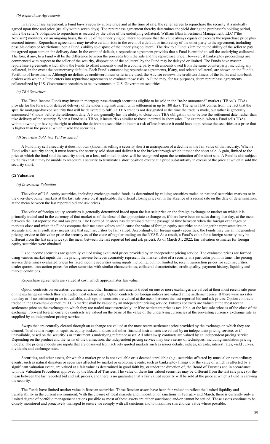#### *(b) Repurchase Agreements*

In a repurchase agreement, a Fund buys a security at one price and at the time of sale, the seller agrees to repurchase the security at a mutually agreed upon time and price (usually within seven days). The repurchase agreement thereby determines the yield during the purchaser's holding period, while the seller's obligation to repurchase is secured by the value of the underlying collateral. William Blair Investment Management, LLC ("the Adviser") monitors, on an ongoing basis, the value of the underlying collateral to ensure that the value always equals or exceeds the repurchase price plus accrued interest. Repurchase agreements may involve certain risks in the event of a default or insolvency of the other party to the agreement, including possible delays or restrictions upon a Fund's ability to dispose of the underlying collateral. The risk to a Fund is limited to the ability of the seller to pay the agreed upon sum on the delivery date. In the event of default, a repurchase agreement provides that a Fund is entitled to sell the underlying collateral. The loss, if any, to a Fund will be the difference between the proceeds from the sale and the repurchase price. However, if bankruptcy proceedings are commenced with respect to the seller of the security, disposition of the collateral by the Fund may be delayed or limited. The Funds have master repurchase agreements which allow the Funds to offset amounts owed to a counterparty with amounts owed from the same counterparty, including any collateral, in the event the counterparty defaults. Each Fund's outstanding repurchase agreements, if any, and related collateral, are shown on the Fund's Portfolio of Investments. Although no definitive creditworthiness criteria are used, the Adviser reviews the creditworthiness of the banks and non-bank dealers with which a Fund enters into repurchase agreements to evaluate those risks. A Fund may, for tax purposes, deem repurchase agreements collateralized by U.S. Government securities to be investments in U.S. Government securities.

#### *(c) TBA Securities*

The Fixed Income Funds may invest in mortgage pass-through securities eligible to be sold in the "to-be announced" market ("TBAs"). TBAs provide for the forward or delayed delivery of the underlying instrument with settlement in up to 180 days. The term TBA comes from the fact that the specific mortgage-backed security that will be delivered to fulfill a TBA trade is not designated at the time the trade is made, but rather is generally announced 48 hours before the settlement date. A Fund generally has the ability to close out a TBA obligation on or before the settlement date, rather than take delivery of the security. When a Fund sells TBAs, it incurs risks similar to those incurred in short sales. For example, when a Fund sells TBAs without owning or having the right to obtain the deliverable securities it incurs a risk of loss because it could have to purchase the securities at a price that is higher than the price at which it sold the securities.

#### *(d) Securities Sold, Not Yet Purchased*

A Fund may sell a security it does not own (known as selling a security short) in anticipation of a decline in the fair value of that security. When a Fund sells a security short, it must borrow the security sold short and deliver it to the broker through which it made the short sale. A gain, limited to the price at which the fund sold the security short, or a loss, unlimited in size, will be recognized upon the termination of the short sale. A Fund is also subject to the risk that it may be unable to reacquire a security to terminate a short position except at a price substantially in excess of the price at which it sold the security short.

#### **(2) Valuation**

#### *(a) Investment Valuation*

The value of U.S. equity securities, including exchange-traded funds, is determined by valuing securities traded on national securities markets or in the over-the-counter markets at the last sale price or, if applicable, the official closing price or, in the absence of a recent sale on the date of determination, at the mean between the last reported bid and ask prices.

The value of foreign equity securities is generally determined based upon the last sale price on the foreign exchange or market on which it is primarily traded and in the currency of that market as of the close of the appropriate exchange or, if there have been no sales during that day, at the mean between the last reported bid and ask prices. The Board of Trustees has determined that the passage of time between when the foreign exchanges or markets close and when the Funds compute their net asset values could cause the value of foreign equity securities to no longer be representative or accurate and, as a result, may necessitate that such securities be fair valued. Accordingly, for foreign equity securities, the Funds may use an independent pricing service to fair value price the security as of the close of regular trading on the NYSE. As a result, a Fund's value for a foreign security may be different from the last sale price (or the mean between the last reported bid and ask prices). As of March 31, 2022, fair valuation estimates for foreign equity securities were obtained.

Fixed income securities are generally valued using evaluated prices provided by an independent pricing service. The evaluated prices are formed using various market inputs that the pricing service believes accurately represent the market value of a security at a particular point in time. The pricing service determines evaluated prices for fixed income securities using inputs including, but not limited to, recent transaction prices for such securities, dealer quotes, transaction prices for other securities with similar characteristics, collateral characteristics, credit quality, payment history, liquidity and market conditions.

Repurchase agreements are valued at cost, which approximates fair value.

Option contracts on securities, currencies and other financial instruments traded on one or more exchanges are valued at their most recent sale price on the exchange on which they are traded most extensively. Option contracts on foreign indices are valued at the settlement price. If there were no sales that day or if no settlement price is available, such option contracts are valued at the mean between the last reported bid and ask prices. Option contracts traded in the Over-the-Counter ("OTC") market shall be valued by an independent pricing service. Futures contracts are valued at the most recent settlement price on the exchange on which they are traded most extensively, or if no settlement price is available, at the last sale price as of the close of the exchange. Forward foreign currency contracts are valued on the basis of the value of the underlying currencies at the prevailing currency exchange rate as supplied by an independent pricing service.

Swaps that are centrally cleared through an exchange are valued at the most recent settlement price provided by the exchange on which they are cleared. Total return swaps on equities, equity baskets, indices and other financial instruments are valued by an independent pricing service, or if unavailable, based on the security's or instrument's underlying reference asset. All other swap contracts are valued by an independent pricing service. Depending on the product and the terms of the transaction, the independent pricing service may use a series of techniques, including simulation pricing models. The pricing models use inputs that are observed from actively quoted markets such as issuer details, indices, spreads, interest rates, yield curves, dividends and exchange rates.

Securities, and other assets, for which a market price is not available or is deemed unreliable (e.g., securities affected by unusual or extraordinary events, such as natural disasters or securities affected by market or economic events, such as bankruptcy filings), or the value of which is affected by a significant valuation event, are valued at a fair value as determined in good faith by, or under the direction of, the Board of Trustees and in accordance with the Valuation Procedures approved by the Board of Trustees. The value of these fair valued securities may be different from the last sale price (or the mean between the last reported bid and ask prices), and there is no guarantee that a fair valued security will be sold at the price at which a Fund is carrying the security.

The Funds have limited market value in Russian securities. These Russian assets have been fair valued to reflect the limited liquidity and transferability in the current environment. With the closure of local markets and imposition of sanctions in February and March, there is currently only a limited degree of portfolio management actions possible as most of these assets are either sanctioned and/or cannot be settled. These assets continue to be closely monitored and proactively managed to ensure we comply with all sanctions and to maximize shareholder value where possible.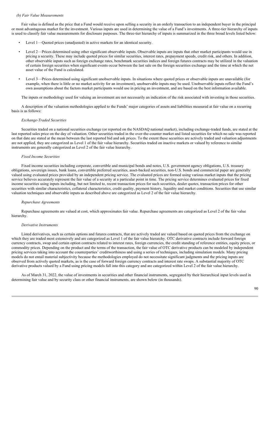#### *(b) Fair Value Measurements*

Fair value is defined as the price that a Fund would receive upon selling a security in an orderly transaction to an independent buyer in the principal or most advantageous market for the investment. Various inputs are used in determining the value of a Fund's investments. A three-tier hierarchy of inputs is used to classify fair value measurements for disclosure purposes. The three-tier hierarchy of inputs is summarized in the three broad levels listed below:

- Level 1—Quoted prices (unadjusted) in active markets for an identical security.
- Level 2—Prices determined using other significant observable inputs. Observable inputs are inputs that other market participants would use in pricing a security. These may include quoted prices for similar securities, interest rates, prepayment speeds, credit risk, and others. In addition, other observable inputs such as foreign exchange rates, benchmark securities indices and foreign futures contracts may be utilized in the valuation of certain foreign securities when significant events occur between the last sale on the foreign securities exchange and the time at which the net asset value of the Fund is calculated.
- Level 3—Prices determined using significant unobservable inputs. In situations where quoted prices or observable inputs are unavailable (for example, when there is little or no market activity for an investment), unobservable inputs may be used. Unobservable inputs reflect the Fund's own assumptions about the factors market participants would use in pricing an investment, and are based on the best information available.

The inputs or methodology used for valuing an investment are not necessarily an indication of the risk associated with investing in those securities.

A description of the valuation methodologies applied to the Funds' major categories of assets and liabilities measured at fair value on a recurring basis is as follows:

#### *Exchange-Traded Securities*

Securities traded on a national securities exchange (or reported on the NASDAQ national market), including exchange-traded funds, are stated at the last reported sales price on the day of valuation. Other securities traded in the over-the-counter market and listed securities for which no sale was reported on that date are stated at the mean between the last reported bid and ask prices. To the extent these securities are actively traded and valuation adjustments are not applied, they are categorized as Level 1 of the fair value hierarchy. Securities traded on inactive markets or valued by reference to similar instruments are generally categorized as Level 2 of the fair value hierarchy.

#### *Fixed Income Securities*

Fixed income securities including corporate, convertible and municipal bonds and notes, U.S. government agency obligations, U.S. treasury obligations, sovereign issues, bank loans, convertible preferred securities, asset-backed securities, non-U.S. bonds and commercial paper are generally valued using evaluated prices provided by an independent pricing service. The evaluated prices are formed using various market inputs that the pricing service believes accurately represent the fair value of a security at a particular point in time. The pricing service determines evaluated prices for fixed income securities using inputs including, but not limited to, recent transaction prices for such securities, dealer quotes, transaction prices for other securities with similar characteristics, collateral characteristics, credit quality, payment history, liquidity and market conditions. Securities that use similar valuation techniques and observable inputs as described above are categorized as Level 2 of the fair value hierarchy.

#### *Repurchase Agreements*

Repurchase agreements are valued at cost, which approximates fair value. Repurchase agreements are categorized as Level 2 of the fair value hierarchy.

#### *Derivative Instruments*

Listed derivatives, such as certain options and futures contracts, that are actively traded are valued based on quoted prices from the exchange on which they are traded most extensively and are categorized as Level 1 of the fair value hierarchy. OTC derivative contracts include forward foreign currency contracts, swap and certain option contracts related to interest rates, foreign currencies, the credit standing of reference entities, equity prices, or commodity prices. Depending on the product and the terms of the transaction, the fair value of OTC derivative products can be modeled by independent pricing services taking into account the counterparties' creditworthiness and using a series of techniques, including simulation models. Many pricing models do not entail material subjectivity because the methodologies employed do not necessitate significant judgments and the pricing inputs are observed from actively quoted markets, as is the case of forward foreign currency contracts and interest rate swaps. A substantial majority of OTC derivative products valued by a Fund using pricing models fall into this category and are categorized within Level 2 of the fair value hierarchy.

As of March 31, 2022, the value of investments in securities and other financial instruments, segregated by their hierarchical input levels used in determining fair value and by security class or other financial instruments, are shown below (in thousands).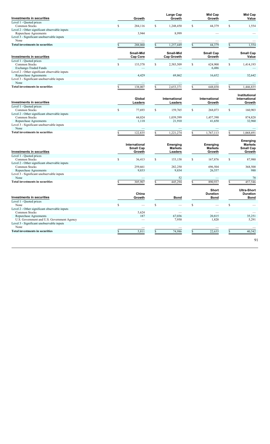| Investments in securities                                          |              | Growth                |               | Large Cap<br>Growth     |     | <b>Mid Cap</b><br>Growth   |    | Mid Cap<br>Value               |
|--------------------------------------------------------------------|--------------|-----------------------|---------------|-------------------------|-----|----------------------------|----|--------------------------------|
| Level 1 - Ouoted prices                                            |              |                       |               |                         |     |                            |    |                                |
| Common Stocks                                                      | \$           | 284,116               | \$            | 1,248,450               | \$  | 44,379                     | \$ | 1,554                          |
| Level 2 - Other significant observable inputs                      |              |                       |               |                         |     |                            |    |                                |
| Repurchase Agreements                                              |              | 3,944                 |               | 8,999                   |     |                            |    |                                |
| Level 3 - Significant unobservable inputs<br>None                  |              |                       |               |                         |     |                            |    |                                |
| <b>Total investments in securities</b>                             | \$           | 288,060               | \$            | 1,257,449               | S   | 44,379                     | S  | 1,554                          |
|                                                                    |              |                       |               |                         |     |                            |    |                                |
| Investments in securities                                          |              | Small-Mid<br>Cap Core |               | Small-Mid<br>Cap Growth |     | <b>Small Cap</b><br>Growth |    | <b>Small Cap</b><br>Value      |
| Level 1 - Quoted prices                                            |              |                       |               |                         |     |                            |    |                                |
| Common Stocks                                                      | \$           | 133,578               | \$            | 2,583,509               | \$  | 624,900                    | \$ | 1,414,193                      |
| Exchange-Traded Funds                                              |              |                       |               |                         |     | 6,486                      |    |                                |
| Level 2 - Other significant observable inputs                      |              |                       |               |                         |     |                            |    |                                |
| Repurchase Agreements                                              |              | 4,429                 |               | 69,862                  |     | 16,652                     |    | 32,642                         |
| Level 3 - Significant unobservable inputs                          |              |                       |               |                         |     |                            |    |                                |
| None                                                               |              |                       |               |                         |     |                            |    |                                |
| <b>Total investments in securities</b>                             |              | 138,007               |               | 2,653,371               |     | 648,038                    |    |                                |
|                                                                    | \$           |                       |               |                         |     |                            |    | 1,446,835                      |
|                                                                    |              | Global                |               | International           |     | International              |    | Institutional<br>International |
| Investments in securities                                          |              | Leaders               |               | Leaders                 |     | Growth                     |    | Growth                         |
| Level 1 - Quoted prices                                            |              |                       |               |                         |     |                            |    |                                |
| <b>Common Stocks</b>                                               | \$           | 77,693                | <sup>\$</sup> | 159,765                 | \$  | 268,073                    | S  | 160,903                        |
| Level 2 - Other significant observable inputs                      |              |                       |               |                         |     |                            |    |                                |
| Common Stocks                                                      |              | 44,024                |               | 1,039,599               |     | 1,457,390                  |    | 874,828                        |
| Repurchase Agreements<br>Level 3 - Significant unobservable inputs |              | 1,118                 |               | 21,910                  |     | 41,650                     |    | 32,960                         |
| None                                                               |              |                       |               |                         |     |                            |    |                                |
| <b>Total investments in securities</b>                             | \$           | 122,835               | \$            | 1,221,274               |     | 1,767,113                  |    | 1,068,691                      |
|                                                                    |              |                       |               |                         |     |                            |    |                                |
|                                                                    |              | International         |               | <b>Emerging</b>         |     | Emerging                   |    | Emerging<br><b>Markets</b>     |
|                                                                    |              |                       |               | <b>Markets</b>          |     | <b>Markets</b>             |    | <b>Small Cap</b>               |
|                                                                    |              |                       |               |                         |     |                            |    |                                |
|                                                                    |              | <b>Small Cap</b>      |               |                         |     |                            |    |                                |
| Investments in securities                                          |              | Growth                |               | <b>Leaders</b>          |     | Growth                     |    | Growth                         |
| Level 1 - Quoted prices                                            |              |                       |               |                         |     |                            |    |                                |
| Common Stocks                                                      | \$           | 36,413                | \$            | 153,158                 | \$  | 167,876                    | \$ | 87,980                         |
| Level 2 - Other significant observable inputs                      |              |                       |               |                         |     |                            |    |                                |
| Common Stocks                                                      |              | 259,661               |               | 282,250                 |     | 696,504                    |    | 368,500                        |
| Repurchase Agreements                                              |              | 9,833                 |               | 9,834                   |     | 26,557                     |    | 988                            |
| Level 3 - Significant unobservable inputs                          |              |                       |               |                         |     |                            |    |                                |
| None                                                               |              |                       |               | 52                      |     |                            |    | 78                             |
| <b>Total investments in securities</b>                             | \$           | 305,907               | \$            | 445,294                 | \$. | 890,937                    |    | 457,546                        |
|                                                                    |              |                       |               |                         |     | <b>Short</b>               |    | <b>Ultra-Short</b>             |
|                                                                    |              | China                 |               |                         |     | <b>Duration</b>            |    | <b>Duration</b>                |
| Investments in securities                                          |              | Growth                |               | <b>Bond</b>             |     | <b>Bond</b>                |    | <b>Bond</b>                    |
| Level 1 - Quoted prices                                            |              |                       |               |                         |     |                            |    |                                |
| None                                                               | \$           |                       | \$            |                         | \$  |                            | \$ |                                |
| Level 2 - Other significant observable inputs                      |              |                       |               |                         |     |                            |    |                                |
| Common Stocks                                                      |              | 5,624                 |               |                         |     |                            |    |                                |
| Repurchase Agreements                                              |              | 187                   |               | 67,036                  |     | 20,815                     |    | 35,251                         |
| U.S. Government and U.S. Government Agency                         |              |                       |               | 7,950                   |     | 1,820                      |    | 5,291                          |
| Level 3 - Significant unobservable inputs                          |              |                       |               |                         |     |                            |    |                                |
| None<br><b>Total investments in securities</b>                     | $\mathbb{S}$ | 5,811                 | \$            | 74,986                  | \$  | 22,635                     | S  | 40,542                         |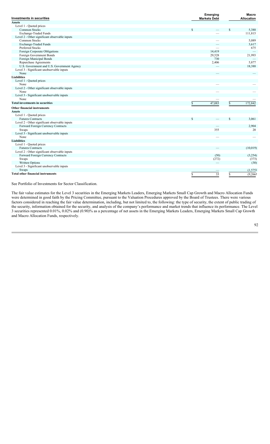| <b>Investments in securities</b>              | Emerging<br><b>Markets Debt</b> | <b>Macro</b><br><b>Allocation</b> |
|-----------------------------------------------|---------------------------------|-----------------------------------|
| <b>Assets</b>                                 |                                 |                                   |
| Level 1 - Quoted prices                       |                                 |                                   |
| <b>Common Stocks</b>                          | \$                              | \$<br>5,388                       |
| Exchange-Traded Funds                         |                                 | 111,815                           |
| Level 2 - Other significant observable inputs |                                 |                                   |
| Common Stocks                                 |                                 | 5,089                             |
| Exchange-Traded Funds                         |                                 | 3,617                             |
| <b>Preferred Stocks</b>                       |                                 | 675                               |
| Foreign Corporate Obligations                 | 14,419                          |                                   |
| Foreign Government Bonds                      | 29,528                          | 21,993                            |
| Foreign Municipal Bonds                       | 730                             |                                   |
| Repurchase Agreements                         | 2,406                           | 5,877                             |
| U.S. Government and U.S. Government Agency    |                                 | 18,388                            |
| Level 3 - Significant unobservable inputs     |                                 |                                   |
| None                                          |                                 |                                   |
| <b>Liabilities</b>                            |                                 |                                   |
| Level 1 - Quoted prices                       |                                 |                                   |
| None                                          |                                 |                                   |
| Level 2 - Other significant observable inputs |                                 |                                   |
| None                                          |                                 |                                   |
| Level 3 - Significant unobservable inputs     |                                 |                                   |
| None                                          |                                 |                                   |
| <b>Total investments in securities</b>        | 47,083<br>S                     | \$<br>172,842                     |
| <b>Other financial instruments</b>            |                                 |                                   |
| <b>Assets</b>                                 |                                 |                                   |
| Level 1 - Quoted prices                       |                                 |                                   |
| <b>Futures Contracts</b>                      | \$                              | \$<br>3,061                       |
| Level 2 - Other significant observable inputs |                                 |                                   |
| Forward Foreign Currency Contracts            |                                 | 2,904                             |
| Swaps                                         | 355                             | 20                                |
| Level 3 - Significant unobservable inputs     |                                 |                                   |
| None                                          |                                 |                                   |
| <b>Liabilities</b>                            |                                 |                                   |
| Level 1 - Quoted prices                       |                                 |                                   |
| <b>Futures Contracts</b>                      |                                 | (10,019)                          |
| Level 2 - Other significant observable inputs |                                 |                                   |
| Forward Foreign Currency Contracts            | (50)                            | (3,254)                           |
| Swaps                                         | (272)                           | (373)                             |
| Written Options                               |                                 | (30)                              |
| Level 3 - Significant unobservable inputs     |                                 |                                   |
| Swaps                                         |                                 | (1, 575)                          |
| <b>Total other financial instruments</b>      |                                 |                                   |
|                                               | 33<br>\$                        | \$<br>(9,266)                     |

See Portfolio of Investments for Sector Classification.

The fair value estimates for the Level 3 securities in the Emerging Markets Leaders, Emerging Markets Small Cap Growth and Macro Allocation Funds were determined in good faith by the Pricing Committee, pursuant to the Valuation Procedures approved by the Board of Trustees. There were various factors considered in reaching the fair value determination, including, but not limited to, the following: the type of security, the extent of public trading of the security, information obtained for the security, and analysis of the company's performance and market trends that influence its performance. The Level 3 securities represented 0.01%, 0.02% and (0.90)% as a percentage of net assets in the Emerging Markets Leaders, Emerging Markets Small Cap Growth and Macro Allocation Funds, respectively.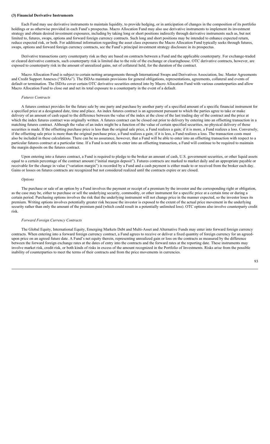#### **(3) Financial Derivative Instruments**

Each Fund may use derivative instruments to maintain liquidity, to provide hedging, or in anticipation of changes in the composition of its portfolio holdings or as otherwise provided in each Fund's prospectus. Macro Allocation Fund may also use derivative instruments to implement its investment strategy and obtain desired investment exposures, including by taking long or short positions indirectly through derivative instruments such as, but not limited to, futures, swaps, options and forward foreign currency contracts. Such long and short positions may be intended to enhance expected return, reduce expected risk, or both. For additional information regarding the asset class exposures the Macro Allocation Fund typically seeks through futures, swaps, options and forward foreign currency contracts, see the Fund's principal investment strategy disclosure in its prospectus.

Derivative transactions carry counterparty risk as they are based on contracts between a Fund and the applicable counterparty. For exchange-traded or cleared derivative contracts, such counterparty risk is limited due to the role of the exchange or clearinghouse. OTC derivative contracts, however, are exposed to counterparty risk in the amount of unrealized gains, net of collateral held, for the duration of the contract.

Macro Allocation Fund is subject to certain netting arrangements through International Swaps and Derivatives Association, Inc. Master Agreements and Credit Support Annexes ("ISDAs"). The ISDAs maintain provisions for general obligations, representations, agreements, collateral and events of default or termination. The ISDAs cover certain OTC derivative securities entered into by Macro Allocation Fund with various counterparties and allow Macro Allocation Fund to close out and net its total exposure to a counterparty in the event of a default.

### *Futures Contracts*

A futures contract provides for the future sale by one party and purchase by another party of a specified amount of a specific financial instrument for a specified price at a designated date, time and place. An index futures contract is an agreement pursuant to which the parties agree to take or make delivery of an amount of cash equal to the difference between the value of the index at the close of the last trading day of the contract and the price at which the index futures contract was originally written. A futures contract can be closed out prior to delivery by entering into an offsetting transaction in a matching futures contract. Although the value of an index might be a function of the value of certain specified securities, no physical delivery of those securities is made. If the offsetting purchase price is less than the original sale price, a Fund realizes a gain; if it is more, a Fund realizes a loss. Conversely, if the offsetting sale price is more than the original purchase price, a Fund realizes a gain; if it is less, a Fund realizes a loss. The transaction costs must also be included in these calculations. There can be no assurance, however, that a Fund will be able to enter into an offsetting transaction with respect to a particular futures contract at a particular time. If a Fund is not able to enter into an offsetting transaction, a Fund will continue to be required to maintain the margin deposits on the futures contract.

Upon entering into a futures contract, a Fund is required to pledge to the broker an amount of cash, U.S. government securities, or other liquid assets equal to a certain percentage of the contract amount ("initial margin deposit"). Futures contracts are marked to market daily and an appropriate payable or receivable for the change in value ("variation margin") is recorded by a Fund and a cash payment is either made to or received from the broker each day. Gains or losses on futures contracts are recognized but not considered realized until the contracts expire or are closed.

#### *Options*

The purchase or sale of an option by a Fund involves the payment or receipt of a premium by the investor and the corresponding right or obligation, as the case may be, either to purchase or sell the underlying security, commodity, or other instrument for a specific price at a certain time or during a certain period. Purchasing options involves the risk that the underlying instrument will not change price in the manner expected, so the investor loses its premium. Writing options involves potentially greater risk because the investor is exposed to the extent of the actual price movement in the underlying security rather than only the amount of the premium paid (which could result in a potentially unlimited loss). OTC options also involve counterparty credit risk.

### *Forward Foreign Currency Contracts*

The Global Equity, International Equity, Emerging Markets Debt and Multi-Asset and Alternative Funds may enter into forward foreign currency contracts. When entering into a forward foreign currency contract, a Fund agrees to receive or deliver a fixed quantity of foreign currency for an agreedupon price on an agreed future date. A Fund's net equity therein, representing unrealized gain or loss on the contracts as measured by the difference between the forward foreign exchange rates at the dates of entry into the contracts and the forward rates at the reporting date. These instruments may involve market risk, credit risk, or both kinds of risks in excess of the amount recognized in the Portfolio of Investments. Risks arise from the possible inability of counterparties to meet the terms of their contracts and from the price movements in currencies.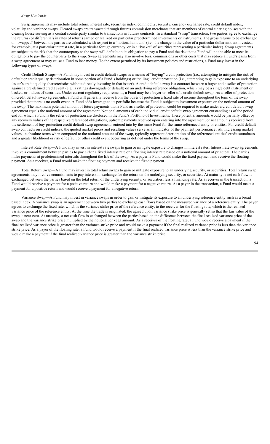#### *Swap Contracts*

Swap agreements may include total return, interest rate, securities index, commodity, security, currency exchange rate, credit default index, volatility and variance swaps. Cleared swaps are transacted through futures commission merchants that are members of central clearing houses with the clearing house serving as a central counterparty similar to transactions in futures contracts. In a standard "swap" transaction, two parties agree to exchange the returns (or differentials in rates of return) earned or realized on particular predetermined investments or instruments. The gross returns to be exchanged or "swapped" between the parties are calculated with respect to a "notional amount" (i.e., the change in the value of a particular dollar amount invested, for example, at a particular interest rate, in a particular foreign currency, or in a "basket" of securities representing a particular index). Swap agreements are subject to the risk that the counterparty to the swap will default on its obligation to pay a Fund and the risk that a Fund will not be able to meet its obligations to pay the counterparty to the swap. Swap agreements may also involve fees, commissions or other costs that may reduce a Fund's gains from a swap agreement or may cause a Fund to lose money. To the extent permitted by its investment policies and restrictions, a Fund may invest in the following types of swaps:

Credit Default Swaps—A Fund may invest in credit default swaps as a means of "buying" credit protection (i.e., attempting to mitigate the risk of default or credit quality deterioration in some portion of a Fund's holdings) or "selling" credit protection (i.e., attempting to gain exposure to an underlying issuer's credit quality characteristics without directly investing in that issuer). A credit default swap is a contract between a buyer and a seller of protection against a pre-defined credit event (e.g., a ratings downgrade or default) on an underlying reference obligation, which may be a single debt instrument or baskets or indices of securities. Under current regulatory requirements, a Fund may be a buyer or seller of a credit default swap. As a seller of protection on credit default swap agreements, a Fund will generally receive from the buyer of protection a fixed rate of income throughout the term of the swap provided that there is no credit event. A Fund adds leverage to its portfolio because the Fund is subject to investment exposure on the notional amount of the swap. The maximum potential amount of future payments that a Fund as a seller of protection could be required to make under a credit default swap agreement equals the notional amount of the agreement. Notional amounts of each individual credit default swap agreement outstanding as of the period end for which a Fund is the seller of protection are disclosed in the Fund's Portfolio of Investments. These potential amounts would be partially offset by any recovery values of the respective referenced obligations, upfront payments received upon entering into the agreement, or net amounts received from the settlement of buy protection credit default swap agreements entered into by the same Fund for the same referenced entity or entities. For credit default swap contracts on credit indices, the quoted market prices and resulting values serve as an indicator of the payment performance risk. Increasing market values, in absolute terms when compared to the notional amount of the swap, typically represent deterioration of the referenced entities' credit soundness and a greater likelihood or risk of default or other credit event occurring as defined under the terms of the swap.

Interest Rate Swap—A Fund may invest in interest rate swaps to gain or mitigate exposure to changes in interest rates. Interest rate swap agreements involve a commitment between parties to pay either a fixed interest rate or a floating interest rate based on a notional amount of principal. The parties make payments at predetermined intervals throughout the life of the swap. As a payer, a Fund would make the fixed payment and receive the floating payment. As a receiver, a Fund would make the floating payment and receive the fixed payment.

Total Return Swap—A Fund may invest in total return swaps to gain or mitigate exposure to an underlying security, or securities. Total return swap agreements may involve commitments to pay interest in exchange for the return on the underlying security, or securities. At maturity, a net cash flow is exchanged between the parties based on the total return of the underlying security, or securities, less a financing rate. As a receiver in the transaction, a Fund would receive a payment for a positive return and would make a payment for a negative return. As a payer in the transaction, a Fund would make a payment for a positive return and would receive a payment for a negative return.

Variance Swap—A Fund may invest in variance swaps in order to gain or mitigate its exposure to an underlying reference entity such as a broad based index. A variance swap is an agreement between two parties to exchange cash flows based on the measured variance of a reference entity. The payer agrees to exchange the fixed rate, which is the variance strike price of the reference entity, to the receiver for the floating rate, which is the realized variance price of the reference entity. At the time the trade is originated, the agreed upon variance strike price is generally set so that the fair value of the swap is near zero. At maturity, a net cash flow is exchanged between the parties based on the difference between the final realized variance price of the swap and the variance strike price multiplied by the notional, or vega amount. As a receiver of the floating rate, a Fund would receive a payment if the final realized variance price is greater than the variance strike price and would make a payment if the final realized variance price is less than the variance strike price. As a payer of the floating rate, a Fund would receive a payment if the final realized variance price is less than the variance strike price and would make a payment if the final realized variance price is greater than the variance strike price.